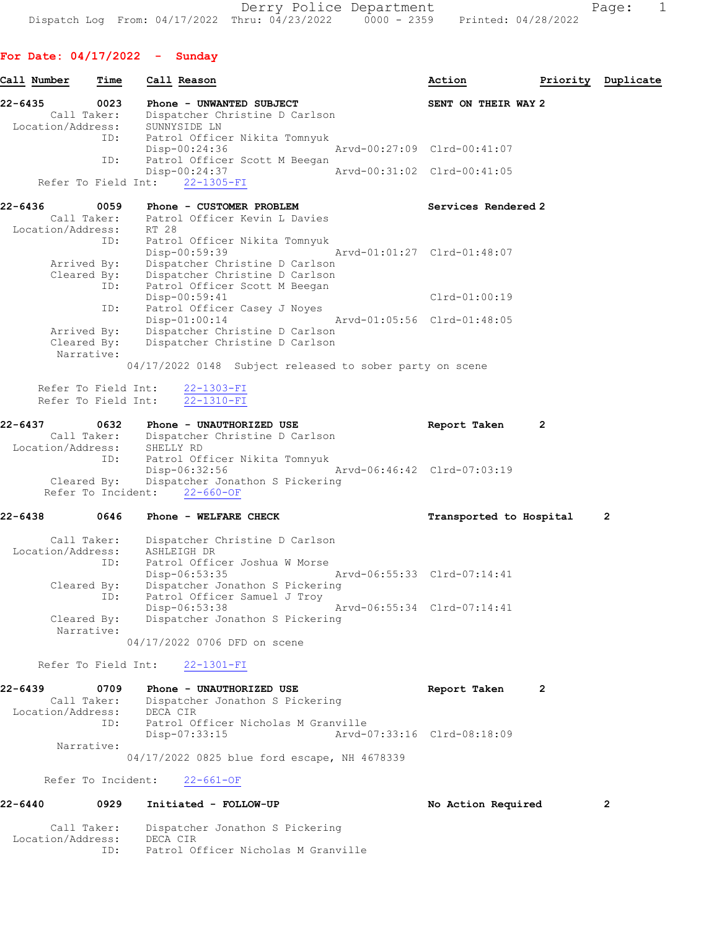Derry Police Department Fage: 1 Dispatch Log From:  $04/17/2022$  Thru:  $04/23/2022$  0000 - 2359 Printed: 04/28/2022

## For Date: 04/17/2022 - Sunday

| Call Number       | Time | Call Reason                    |                             | Action                      | Priority | Duplicate |
|-------------------|------|--------------------------------|-----------------------------|-----------------------------|----------|-----------|
| 22-6435           | 0023 | Phone - UNWANTED SUBJECT       |                             | SENT ON THEIR WAY 2         |          |           |
| Call Taker:       |      | Dispatcher Christine D Carlson |                             |                             |          |           |
| Location/Address: |      | SUNNYSIDE LN                   |                             |                             |          |           |
|                   | ID:  | Patrol Officer Nikita Tomnyuk  |                             |                             |          |           |
|                   |      | Disp-00:24:36                  | Arvd-00:27:09 Clrd-00:41:07 |                             |          |           |
|                   | ID:  | Patrol Officer Scott M Beegan  |                             |                             |          |           |
|                   |      | Disp-00:24:37                  |                             | Arvd-00:31:02 Clrd-00:41:05 |          |           |
|                   |      | Refer To Field Int: 22-1305-FI |                             |                             |          |           |

| $22 - 6436$<br>0059       | Phone - CUSTOMER PROBLEM       | Services Rendered 2         |
|---------------------------|--------------------------------|-----------------------------|
| Call Taker:               | Patrol Officer Kevin L Davies  |                             |
| Location/Address:         | RT 28                          |                             |
| ID:                       | Patrol Officer Nikita Tomnyuk  |                             |
|                           | Disp-00:59:39                  | Arvd-01:01:27 Clrd-01:48:07 |
| Arrived By:               | Dispatcher Christine D Carlson |                             |
| Cleared By:               | Dispatcher Christine D Carlson |                             |
| ID:                       | Patrol Officer Scott M Beegan  |                             |
|                           | Disp-00:59:41                  | $Clrd-01:00:19$             |
| ID:                       | Patrol Officer Casey J Noyes   |                             |
|                           | $Disp-01:00:14$                | Arvd-01:05:56 Clrd-01:48:05 |
| Arrived By:               | Dispatcher Christine D Carlson |                             |
| Cleared By:<br>Narrative: | Dispatcher Christine D Carlson |                             |
|                           |                                |                             |

04/17/2022 0148 Subject released to sober party on scene

 Refer To Field Int: 22-1303-FI Refer To Field Int: 22-1310-FI

#### 22-6437 0632 Phone - UNAUTHORIZED USE Report Taken 2 Call Taker: Dispatcher Christine D Carlson Location/Address: SHELLY RD ID: Patrol Officer Nikita Tomnyuk Disp-06:32:56 Arvd-06:46:42 Clrd-07:03:19 Cleared By: Dispatcher Jonathon S Pickering Refer To Incident: 22-660-OF

#### 22-6438 0646 Phone - WELFARE CHECK Transported to Hospital 2

 Call Taker: Dispatcher Christine D Carlson Location/Address: ASHLEIGH DR ID: Patrol Officer Joshua W Morse Disp-06:53:35 Arvd-06:55:33 Clrd-07:14:41 Cleared By: Dispatcher Jonathon S Pickering ID: Patrol Officer Samuel J Troy Disp-06:53:38 Arvd-06:55:34 Clrd-07:14:41 Cleared By: Dispatcher Jonathon S Pickering Narrative:

04/17/2022 0706 DFD on scene

Refer To Field Int: 22-1301-FI

| 22-6439           | 0709 | Phone - UNAUTHORIZED USE            | Report Taken                |  |
|-------------------|------|-------------------------------------|-----------------------------|--|
| Call Taker:       |      | Dispatcher Jonathon S Pickering     |                             |  |
| Location/Address: |      | DECA CIR                            |                             |  |
|                   | ID:  | Patrol Officer Nicholas M Granville |                             |  |
|                   |      | Disp-07:33:15                       | Arvd-07:33:16 Clrd-08:18:09 |  |
| Narrative:        |      |                                     |                             |  |

04/17/2022 0825 blue ford escape, NH 4678339

Refer To Incident: 22-661-OF

## 22-6440 0929 Initiated - FOLLOW-UP No Action Required 2

 Call Taker: Dispatcher Jonathon S Pickering Location/Address: DECA CIR ID: Patrol Officer Nicholas M Granville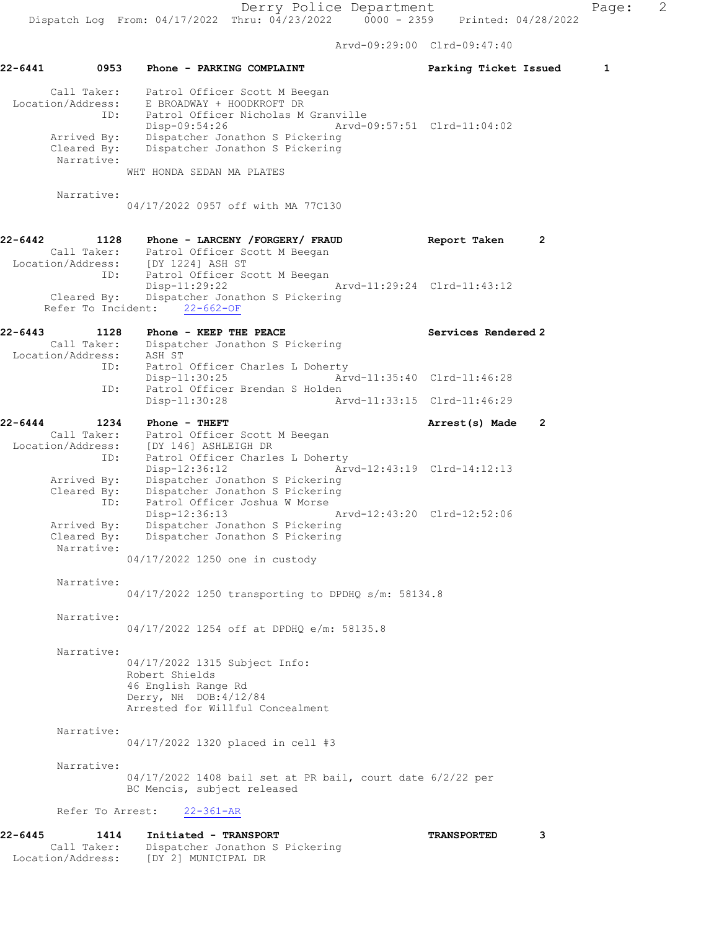Arvd-09:29:00 Clrd-09:47:40

| 22-6441     | 0953                                     | Phone - PARKING COMPLAINT                                                                                              | Parking Ticket Issued       | 1            |
|-------------|------------------------------------------|------------------------------------------------------------------------------------------------------------------------|-----------------------------|--------------|
|             | Call Taker:<br>Location/Address:<br>ID:  | Patrol Officer Scott M Beegan<br>E BROADWAY + HOODKROFT DR<br>Patrol Officer Nicholas M Granville<br>Disp-09:54:26     | Arvd-09:57:51 Clrd-11:04:02 |              |
|             | Arrived By:<br>Cleared By:               | Dispatcher Jonathon S Pickering<br>Dispatcher Jonathon S Pickering                                                     |                             |              |
|             | Narrative:                               | WHT HONDA SEDAN MA PLATES                                                                                              |                             |              |
|             | Narrative:                               | 04/17/2022 0957 off with MA 77C130                                                                                     |                             |              |
| 22-6442     | 1128                                     | Phone - LARCENY / FORGERY / FRAUD                                                                                      | Report Taken                | $\mathbf{2}$ |
|             |                                          | Call Taker: Patrol Officer Scott M Beegan<br>Location/Address: [DY 1224] ASH ST<br>ID: Patrol Officer Scott M Beegan   |                             |              |
|             | Cleared By:                              | $Disp-11:29:22$<br>Arvd-11:29:24 Clrd-11:43:12<br>Dispatcher Jonathon S Pickering<br>Refer To Incident: 22-662-OF      |                             |              |
|             |                                          |                                                                                                                        |                             |              |
| 22-6443     | 1128<br>Call Taker:<br>Location/Address: | Phone - KEEP THE PEACE<br>Dispatcher Jonathon S Pickering<br>ASH ST                                                    | Services Rendered 2         |              |
|             | ID:                                      | Patrol Officer Charles L Doherty<br>$Disp-11:30:25$                                                                    | Arvd-11:35:40 Clrd-11:46:28 |              |
|             | ID:                                      | Patrol Officer Brendan S Holden<br>$Disp-11:30:28$                                                                     | Arvd-11:33:15 Clrd-11:46:29 |              |
| 22-6444     | 1234                                     | Phone - THEFT                                                                                                          | Arrest(s) Made              | 2            |
|             | Location/Address:<br>ID:                 | Call Taker: Patrol Officer Scott M Beegan<br>[DY 146] ASHLEIGH DR<br>Patrol Officer Charles L Doherty                  |                             |              |
|             | Arrived By:<br>Cleared By:<br>ID:        | $Disp-12:36:12$<br>Dispatcher Jonathon S Pickering<br>Dispatcher Jonathon S Pickering<br>Patrol Officer Joshua W Morse | Arvd-12:43:19 Clrd-14:12:13 |              |
|             | Arrived By:<br>Cleared By:<br>Narrative: | Disp-12:36:13<br>Dispatcher Jonathon S Pickering<br>Dispatcher Jonathon S Pickering                                    | Arvd-12:43:20 Clrd-12:52:06 |              |
|             |                                          | 04/17/2022 1250 one in custody                                                                                         |                             |              |
|             | Narrative:                               | 04/17/2022 1250 transporting to DPDHQ s/m: 58134.8                                                                     |                             |              |
|             | Narrative:                               | 04/17/2022 1254 off at DPDHQ e/m: 58135.8                                                                              |                             |              |
|             | Narrative:                               |                                                                                                                        |                             |              |
|             |                                          | 04/17/2022 1315 Subject Info:<br>Robert Shields                                                                        |                             |              |
|             |                                          | 46 English Range Rd<br>Derry, NH DOB: 4/12/84<br>Arrested for Willful Concealment                                      |                             |              |
|             | Narrative:                               | 04/17/2022 1320 placed in cell #3                                                                                      |                             |              |
|             | Narrative:                               |                                                                                                                        |                             |              |
|             |                                          | $04/17/2022$ 1408 bail set at PR bail, court date $6/2/22$ per<br>BC Mencis, subject released                          |                             |              |
|             | Refer To Arrest:                         | $22 - 361 - AR$                                                                                                        |                             |              |
| $22 - 6445$ | 1414                                     | Initiated - TRANSPORT                                                                                                  | <b>TRANSPORTED</b>          | 3            |
|             | Call Taker:<br>Location/Address:         | Dispatcher Jonathon S Pickering<br>[DY 2] MUNICIPAL DR                                                                 |                             |              |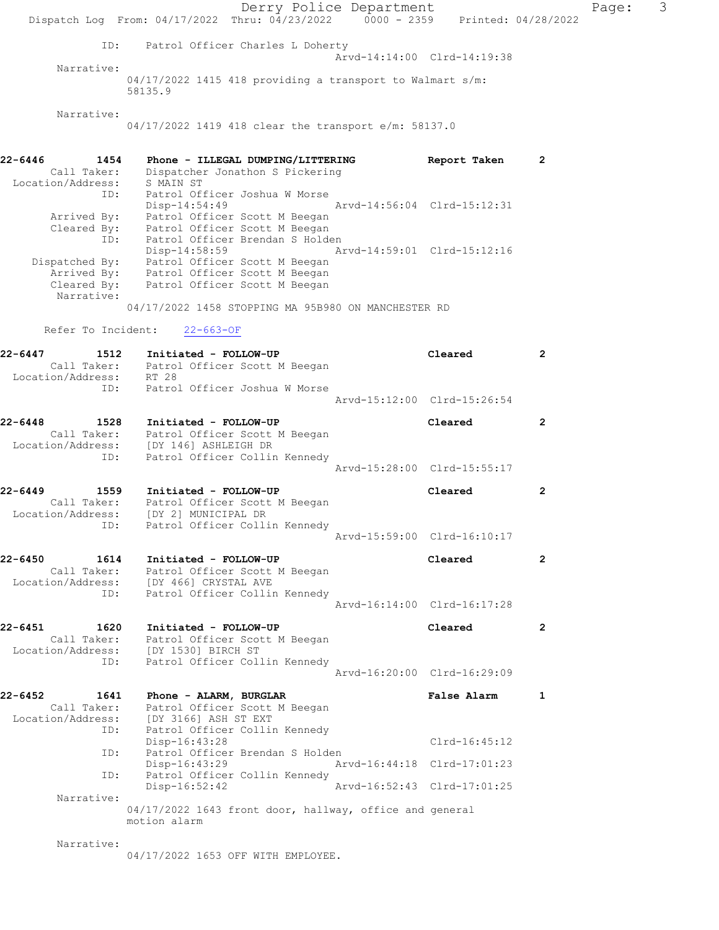Derry Police Department Fage: 3 Dispatch Log From: 04/17/2022 Thru: 04/23/2022 0000 - 2359 Printed: 04/28/2022 ID: Patrol Officer Charles L Doherty Arvd-14:14:00 Clrd-14:19:38 Narrative: 04/17/2022 1415 418 providing a transport to Walmart s/m: 58135.9 Narrative: 04/17/2022 1419 418 clear the transport e/m: 58137.0 22-6446 1454 Phone - ILLEGAL DUMPING/LITTERING Report Taken 2 Call Taker: Dispatcher Jonathon S Pickering Location/Address: S MAIN ST ID: Patrol Officer Joshua W Morse Disp-14:54:49 Arvd-14:56:04 Clrd-15:12:31 Arrived By: Patrol Officer Scott M Beegan Cleared By: Patrol Officer Scott M Beegan ID: Patrol Officer Brendan S Holden Disp-14:58:59 Arvd-14:59:01 Clrd-15:12:16 Dispatched By: Patrol Officer Scott M Beegan Arrived By: Patrol Officer Scott M Beegan Cleared By: Patrol Officer Scott M Beegan Narrative: 04/17/2022 1458 STOPPING MA 95B980 ON MANCHESTER RD Refer To Incident: 22-663-OF 22-6447 1512 Initiated - FOLLOW-UP Cleared 2 Call Taker: Patrol Officer Scott M Beegan Location/Address: RT 28 ID: Patrol Officer Joshua W Morse Arvd-15:12:00 Clrd-15:26:54 22-6448 1528 Initiated - FOLLOW-UP Cleared 2 Call Taker: Patrol Officer Scott M Beegan Location/Address: [DY 146] ASHLEIGH DR ID: Patrol Officer Collin Kennedy Arvd-15:28:00 Clrd-15:55:17 22-6449 1559 Initiated - FOLLOW-UP Cleared 2 Call Taker: Patrol Officer Scott M Beegan Location/Address: [DY 2] MUNICIPAL DR ID: Patrol Officer Collin Kennedy Arvd-15:59:00 Clrd-16:10:17 22-6450 1614 Initiated - FOLLOW-UP Cleared 2 Call Taker: Patrol Officer Scott M Beegan Location/Address: [DY 466] CRYSTAL AVE ID: Patrol Officer Collin Kennedy Arvd-16:14:00 Clrd-16:17:28 22-6451 1620 Initiated - FOLLOW-UP Cleared 2 Call Taker: Patrol Officer Scott M Beegan Location/Address: [DY 1530] BIRCH ST ID: Patrol Officer Collin Kennedy Arvd-16:20:00 Clrd-16:29:09 22-6452 1641 Phone - ALARM, BURGLAR False Alarm 1 Call Taker: Patrol Officer Scott M Beegan Location/Address: [DY 3166] ASH ST EXT ID: Patrol Officer Collin Kennedy Disp-16:43:28 Clrd-16:45:12 ID: Patrol Officer Brendan S Holden Disp-16:43:29 Arvd-16:44:18 Clrd-17:01:23 ID: Patrol Officer Collin Kennedy<br>Disp-16:52:42 Disp-16:52:42 Arvd-16:52:43 Clrd-17:01:25 Narrative: 04/17/2022 1643 front door, hallway, office and general motion alarm Narrative:

04/17/2022 1653 OFF WITH EMPLOYEE.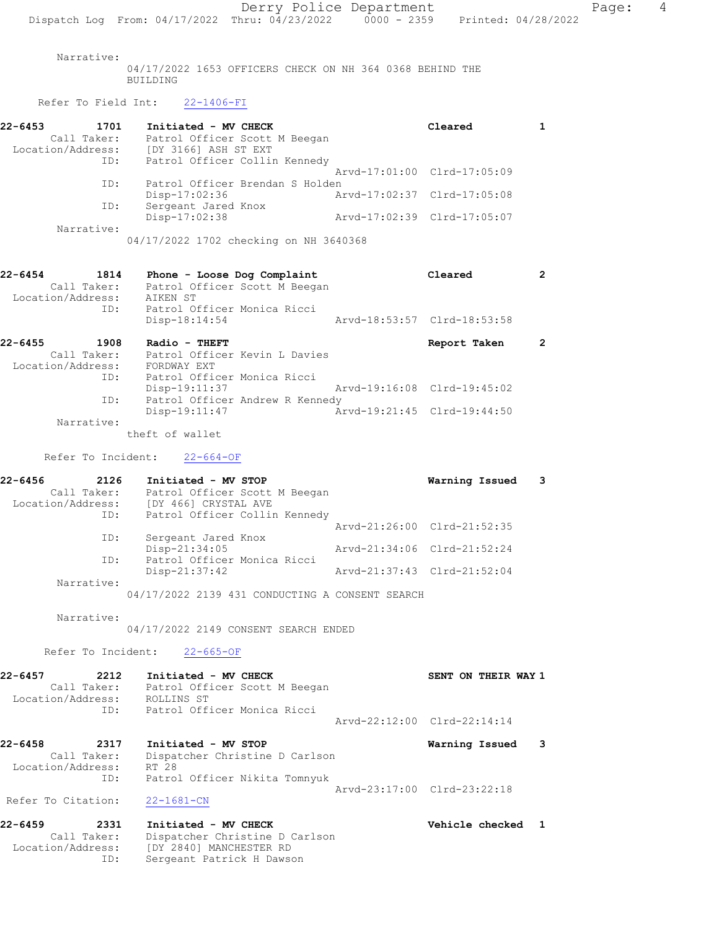Narrative:

04/17/2022 1653 OFFICERS CHECK ON NH 364 0368 BEHIND THE BUILDING

Refer To Field Int: 22-1406-FI

| 22-6453           | 1701        | Initiated - MV CHECK            |                             | Cleared |  |
|-------------------|-------------|---------------------------------|-----------------------------|---------|--|
|                   | Call Taker: | Patrol Officer Scott M Beegan   |                             |         |  |
| Location/Address: |             | [DY 3166] ASH ST EXT            |                             |         |  |
|                   | ID:         | Patrol Officer Collin Kennedy   |                             |         |  |
|                   |             |                                 | Arvd-17:01:00 Clrd-17:05:09 |         |  |
|                   | ID:         | Patrol Officer Brendan S Holden |                             |         |  |
|                   |             | Disp-17:02:36                   | Arvd-17:02:37 Clrd-17:05:08 |         |  |
|                   | ID:         | Sergeant Jared Knox             |                             |         |  |
|                   |             | $Disp-17:02:38$                 | Arvd-17:02:39 Clrd-17:05:07 |         |  |
|                   | Narrative:  |                                 |                             |         |  |

04/17/2022 1702 checking on NH 3640368

| 22-6454           | 1814                | Phone - Loose Dog Complaint                    | Cleared                     |  |
|-------------------|---------------------|------------------------------------------------|-----------------------------|--|
| Location/Address: | Call Taker:         | Patrol Officer Scott M Beegan<br>AIKEN ST      |                             |  |
|                   | ID:                 | Patrol Officer Monica Ricci<br>Disp-18:14:54   | Arvd-18:53:57 Clrd-18:53:58 |  |
| $22 - 6455$       | 1908<br>Call Taker: | Radio - THEFT<br>Patrol Officer Kevin L Davies | Report Taken                |  |

| VAII IANEI.       | LACIOI ATTICET VEATH P DAATES   |                             |                             |  |
|-------------------|---------------------------------|-----------------------------|-----------------------------|--|
| Location/Address: | FORDWAY EXT                     |                             |                             |  |
| TD:               | Patrol Officer Monica Ricci     |                             |                             |  |
|                   | Disp-19:11:37                   | Arvd-19:16:08 Clrd-19:45:02 |                             |  |
| ID:               | Patrol Officer Andrew R Kennedy |                             |                             |  |
|                   | Disp-19:11:47                   |                             | Arvd-19:21:45 Clrd-19:44:50 |  |
| Narrative:        |                                 |                             |                             |  |

theft of wallet

Refer To Incident: 22-664-OF

| 22-6456           | 2126       | Initiated - MV STOP           | Warning Issued              | $\overline{\phantom{a}}$ 3 |
|-------------------|------------|-------------------------------|-----------------------------|----------------------------|
| Call Taker:       |            | Patrol Officer Scott M Beegan |                             |                            |
| Location/Address: |            | [DY 466] CRYSTAL AVE          |                             |                            |
|                   | ID:        | Patrol Officer Collin Kennedy |                             |                            |
|                   |            |                               | Arvd-21:26:00 Clrd-21:52:35 |                            |
|                   | ID:        | Sergeant Jared Knox           |                             |                            |
|                   |            | Disp-21:34:05                 | Arvd-21:34:06 Clrd-21:52:24 |                            |
|                   | ID:        | Patrol Officer Monica Ricci   |                             |                            |
|                   |            | Disp-21:37:42                 | Arvd-21:37:43 Clrd-21:52:04 |                            |
|                   | Narrative: |                               |                             |                            |
|                   |            |                               |                             |                            |

04/17/2022 2139 431 CONDUCTING A CONSENT SEARCH

Narrative:

04/17/2022 2149 CONSENT SEARCH ENDED

Refer To Incident: 22-665-OF

| 22-6457<br>2212   | Initiated - MV CHECK          | SENT ON THEIR WAY 1         |
|-------------------|-------------------------------|-----------------------------|
| Call Taker:       | Patrol Officer Scott M Beegan |                             |
| Location/Address: | ROLLINS ST                    |                             |
| TD:               | Patrol Officer Monica Ricci   |                             |
|                   |                               | Arvd-22:12:00 Clrd-22:14:14 |

22-6458 2317 Initiated - MV STOP Warning Issued 3 Call Taker: Dispatcher Christine D Carlson Location/Address: RT 28 ID: Patrol Officer Nikita Tomnyuk Arvd-23:17:00 Clrd-23:22:18

Refer To Citation: 22-1681-CN

#### 22-6459 2331 Initiated - MV CHECK Vehicle checked 1 Call Taker: Dispatcher Christine D Carlson Location/Address: [DY 2840] MANCHESTER RD ID: Sergeant Patrick H Dawson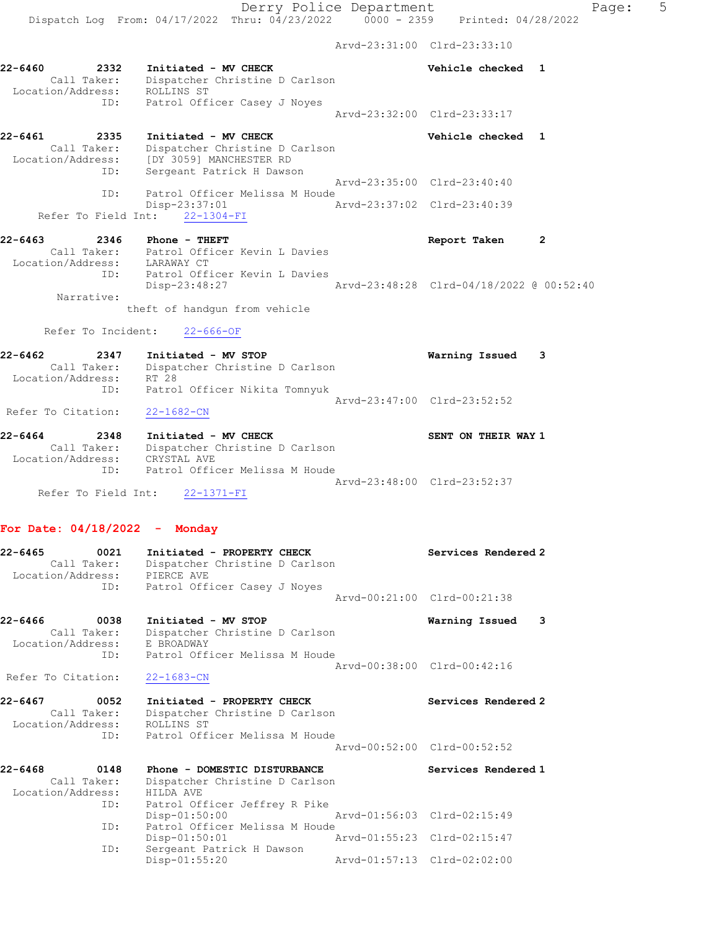Arvd-23:31:00 Clrd-23:33:10

| 22-6460 | 2332              | Initiated - MV CHECK           |  |                             | Vehicle checked |  |
|---------|-------------------|--------------------------------|--|-----------------------------|-----------------|--|
|         | Call Taker:       | Dispatcher Christine D Carlson |  |                             |                 |  |
|         | Location/Address: | ROLLINS ST                     |  |                             |                 |  |
|         | ID:               | Patrol Officer Casey J Noyes   |  |                             |                 |  |
|         |                   |                                |  | Arvd-23:32:00 Clrd-23:33:17 |                 |  |

22-6461 2335 Initiated - MV CHECK Vehicle checked 1 Call Taker: Dispatcher Christine D Carlson Location/Address: [DY 3059] MANCHESTER RD ID: Sergeant Patrick H Dawson Arvd-23:35:00 Clrd-23:40:40 ID: Patrol Officer Melissa M Houde Disp-23:37:01 Arvd-23:37:02 Clrd-23:40:39 Refer To Field Int: 22-1304-FI

#### 22-6463 2346 Phone - THEFT 2001 2002 22-6463 Report Taken 2 Call Taker: Patrol Officer Kevin L Davies Location/Address: LARAWAY CT ID: Patrol Officer Kevin L Davies Disp-23:48:27 Arvd-23:48:28 Clrd-04/18/2022 @ 00:52:40 Narrative: theft of handgun from vehicle

Refer To Incident: 22-666-OF

| 22-6462            | 2347        | Initiated - MV STOP            | Warning Issued              | $\overline{\phantom{a}}$ 3 |
|--------------------|-------------|--------------------------------|-----------------------------|----------------------------|
|                    | Call Taker: | Dispatcher Christine D Carlson |                             |                            |
| Location/Address:  |             | RT 28                          |                             |                            |
|                    | ID:         | Patrol Officer Nikita Tomnyuk  |                             |                            |
|                    |             |                                | Aryd-23:47:00 Clrd-23:52:52 |                            |
| Refer To Citation: |             | 22-1682-CN                     |                             |                            |

| 22-6464           | 2348        | Initiated - MV CHECK           |                             | SENT ON THEIR WAY 1 |  |
|-------------------|-------------|--------------------------------|-----------------------------|---------------------|--|
|                   | Call Taker: | Dispatcher Christine D Carlson |                             |                     |  |
| Location/Address: |             | CRYSTAL AVE                    |                             |                     |  |
|                   | TD:         | Patrol Officer Melissa M Houde |                             |                     |  |
|                   |             |                                | Aryd-23:48:00 Clrd-23:52:37 |                     |  |
|                   |             | Refer To Field Int: 22-1371-FI |                             |                     |  |

#### For Date: 04/18/2022 - Monday

| $22 - 6465$<br>0021<br>Call Taker:<br>Location/Address: PIERCE AVE<br>ID: | Initiated - PROPERTY CHECK<br>Dispatcher Christine D Carlson                                                     | Services Rendered 2                                |
|---------------------------------------------------------------------------|------------------------------------------------------------------------------------------------------------------|----------------------------------------------------|
|                                                                           | Patrol Officer Casey J Noyes                                                                                     | Aryd-00:21:00 Clrd-00:21:38                        |
| 22-6466<br>0038<br>Call Taker:<br>Location/Address:                       | Initiated - MV STOP<br>Dispatcher Christine D Carlson<br>E BROADWAY<br>ID: Patrol Officer Melissa M Houde        | 3<br>Warning Issued<br>Aryd-00:38:00 Clrd-00:42:16 |
| Refer To Citation:                                                        | $22 - 1683 - CN$                                                                                                 |                                                    |
| 22-6467<br>0052<br>Call Taker:<br>Location/Address:                       | Initiated - PROPERTY CHECK<br>Dispatcher Christine D Carlson<br>ROLLINS ST<br>ID: Patrol Officer Melissa M Houde | Services Rendered 2<br>Arvd-00:52:00 Clrd-00:52:52 |
| $22 - 6468$<br>0148<br>Call Taker:<br>Location/Address:<br>ID:            | Phone - DOMESTIC DISTURBANCE<br>Dispatcher Christine D Carlson<br>HILDA AVE<br>Patrol Officer Jeffrey R Pike     | Services Rendered 1                                |
| ID:<br>ID:                                                                | $Disp-01:50:00$<br>Patrol Officer Melissa M Houde<br>Disp-01:50:01<br>Sergeant Patrick H Dawson                  | Arvd-01:55:23 Clrd-02:15:47                        |
|                                                                           | $Disp-01:55:20$                                                                                                  | Aryd-01:57:13 Clrd-02:02:00                        |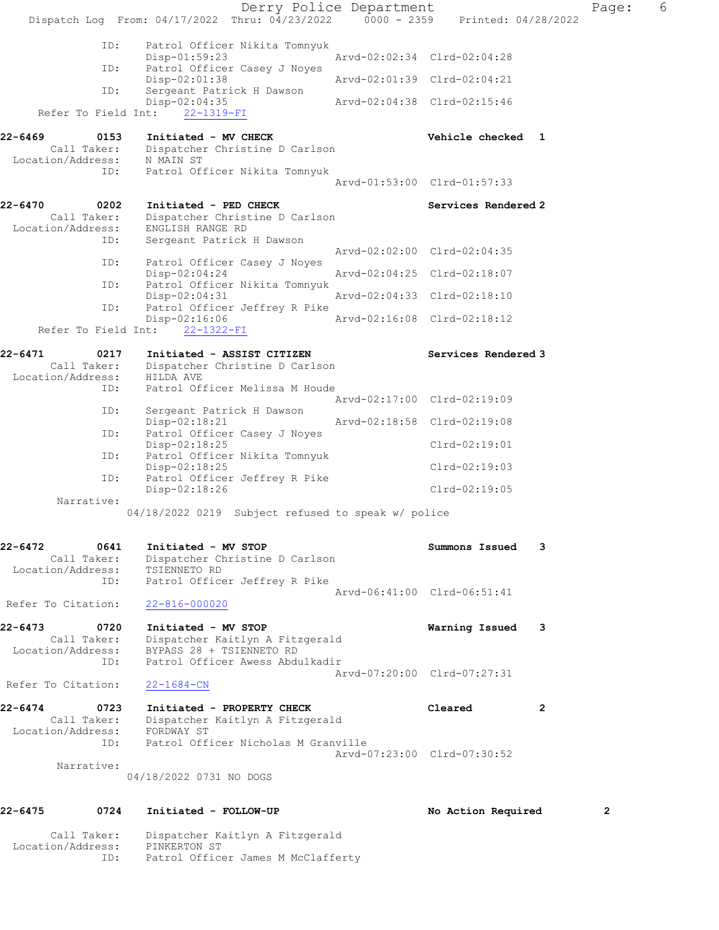| 0641<br>Call Taker:<br>Location/Address:<br>ID:<br>Refer To Citation:<br>0720<br>Call Taker:<br>Location/Address:<br>ID:<br>Refer To Citation:<br>0723<br>Call Taker:<br>Location/Address:<br>ID:<br>Narrative: | Initiated - MV STOP<br>Dispatcher Christine D Carlson<br>TSIENNETO RD<br>Patrol Officer Jeffrey R Pike<br>$22 - 816 - 000020$<br>Initiated - MV STOP<br>Dispatcher Kaitlyn A Fitzgerald<br>BYPASS 28 + TSIENNETO RD<br>Patrol Officer Awess Abdulkadir<br>$22 - 1684 - CN$<br>Initiated - PROPERTY CHECK<br>Dispatcher Kaitlyn A Fitzgerald<br>FORDWAY ST<br>Patrol Officer Nicholas M Granville |                                                                                                                                              | Summons Issued<br>Arvd-06:41:00 Clrd-06:51:41<br>Warning Issued<br>Arvd-07:20:00 Clrd-07:27:31<br>Cleared<br>Arvd-07:23:00 Clrd-07:30:52                                                                                                                                                                                                                                                                                                                                                                                                                                                                                                                                           | 3<br>3<br>2                                                                                                                                                                                                                                                                                                        |                                                                 |
|-----------------------------------------------------------------------------------------------------------------------------------------------------------------------------------------------------------------|--------------------------------------------------------------------------------------------------------------------------------------------------------------------------------------------------------------------------------------------------------------------------------------------------------------------------------------------------------------------------------------------------|----------------------------------------------------------------------------------------------------------------------------------------------|------------------------------------------------------------------------------------------------------------------------------------------------------------------------------------------------------------------------------------------------------------------------------------------------------------------------------------------------------------------------------------------------------------------------------------------------------------------------------------------------------------------------------------------------------------------------------------------------------------------------------------------------------------------------------------|--------------------------------------------------------------------------------------------------------------------------------------------------------------------------------------------------------------------------------------------------------------------------------------------------------------------|-----------------------------------------------------------------|
|                                                                                                                                                                                                                 |                                                                                                                                                                                                                                                                                                                                                                                                  |                                                                                                                                              |                                                                                                                                                                                                                                                                                                                                                                                                                                                                                                                                                                                                                                                                                    |                                                                                                                                                                                                                                                                                                                    |                                                                 |
|                                                                                                                                                                                                                 |                                                                                                                                                                                                                                                                                                                                                                                                  |                                                                                                                                              |                                                                                                                                                                                                                                                                                                                                                                                                                                                                                                                                                                                                                                                                                    |                                                                                                                                                                                                                                                                                                                    |                                                                 |
|                                                                                                                                                                                                                 |                                                                                                                                                                                                                                                                                                                                                                                                  |                                                                                                                                              |                                                                                                                                                                                                                                                                                                                                                                                                                                                                                                                                                                                                                                                                                    |                                                                                                                                                                                                                                                                                                                    |                                                                 |
|                                                                                                                                                                                                                 |                                                                                                                                                                                                                                                                                                                                                                                                  |                                                                                                                                              |                                                                                                                                                                                                                                                                                                                                                                                                                                                                                                                                                                                                                                                                                    |                                                                                                                                                                                                                                                                                                                    |                                                                 |
|                                                                                                                                                                                                                 |                                                                                                                                                                                                                                                                                                                                                                                                  |                                                                                                                                              |                                                                                                                                                                                                                                                                                                                                                                                                                                                                                                                                                                                                                                                                                    |                                                                                                                                                                                                                                                                                                                    |                                                                 |
|                                                                                                                                                                                                                 |                                                                                                                                                                                                                                                                                                                                                                                                  |                                                                                                                                              |                                                                                                                                                                                                                                                                                                                                                                                                                                                                                                                                                                                                                                                                                    |                                                                                                                                                                                                                                                                                                                    |                                                                 |
|                                                                                                                                                                                                                 |                                                                                                                                                                                                                                                                                                                                                                                                  |                                                                                                                                              |                                                                                                                                                                                                                                                                                                                                                                                                                                                                                                                                                                                                                                                                                    |                                                                                                                                                                                                                                                                                                                    |                                                                 |
|                                                                                                                                                                                                                 |                                                                                                                                                                                                                                                                                                                                                                                                  | 04/18/2022 0219 Subject refused to speak w/ police                                                                                           |                                                                                                                                                                                                                                                                                                                                                                                                                                                                                                                                                                                                                                                                                    |                                                                                                                                                                                                                                                                                                                    |                                                                 |
| Narrative:                                                                                                                                                                                                      | Disp-02:18:26                                                                                                                                                                                                                                                                                                                                                                                    |                                                                                                                                              | $Clrd-02:19:05$                                                                                                                                                                                                                                                                                                                                                                                                                                                                                                                                                                                                                                                                    |                                                                                                                                                                                                                                                                                                                    |                                                                 |
|                                                                                                                                                                                                                 | Disp-02:18:25                                                                                                                                                                                                                                                                                                                                                                                    |                                                                                                                                              | $Clrd-02:19:03$                                                                                                                                                                                                                                                                                                                                                                                                                                                                                                                                                                                                                                                                    |                                                                                                                                                                                                                                                                                                                    |                                                                 |
|                                                                                                                                                                                                                 | Disp-02:18:25                                                                                                                                                                                                                                                                                                                                                                                    |                                                                                                                                              | $Clrd-02:19:01$                                                                                                                                                                                                                                                                                                                                                                                                                                                                                                                                                                                                                                                                    |                                                                                                                                                                                                                                                                                                                    |                                                                 |
| ID:                                                                                                                                                                                                             | Disp-02:18:21                                                                                                                                                                                                                                                                                                                                                                                    |                                                                                                                                              |                                                                                                                                                                                                                                                                                                                                                                                                                                                                                                                                                                                                                                                                                    |                                                                                                                                                                                                                                                                                                                    |                                                                 |
| ID:                                                                                                                                                                                                             |                                                                                                                                                                                                                                                                                                                                                                                                  |                                                                                                                                              |                                                                                                                                                                                                                                                                                                                                                                                                                                                                                                                                                                                                                                                                                    |                                                                                                                                                                                                                                                                                                                    |                                                                 |
| 0217<br>Call Taker:<br>Location/Address:                                                                                                                                                                        | HILDA AVE                                                                                                                                                                                                                                                                                                                                                                                        |                                                                                                                                              |                                                                                                                                                                                                                                                                                                                                                                                                                                                                                                                                                                                                                                                                                    |                                                                                                                                                                                                                                                                                                                    |                                                                 |
|                                                                                                                                                                                                                 | Disp-02:16:06                                                                                                                                                                                                                                                                                                                                                                                    |                                                                                                                                              |                                                                                                                                                                                                                                                                                                                                                                                                                                                                                                                                                                                                                                                                                    |                                                                                                                                                                                                                                                                                                                    |                                                                 |
| ID:                                                                                                                                                                                                             | $Disp-02:04:31$                                                                                                                                                                                                                                                                                                                                                                                  |                                                                                                                                              |                                                                                                                                                                                                                                                                                                                                                                                                                                                                                                                                                                                                                                                                                    |                                                                                                                                                                                                                                                                                                                    |                                                                 |
| ID:                                                                                                                                                                                                             | Disp-02:04:24                                                                                                                                                                                                                                                                                                                                                                                    |                                                                                                                                              |                                                                                                                                                                                                                                                                                                                                                                                                                                                                                                                                                                                                                                                                                    |                                                                                                                                                                                                                                                                                                                    |                                                                 |
| ID:                                                                                                                                                                                                             |                                                                                                                                                                                                                                                                                                                                                                                                  |                                                                                                                                              |                                                                                                                                                                                                                                                                                                                                                                                                                                                                                                                                                                                                                                                                                    |                                                                                                                                                                                                                                                                                                                    |                                                                 |
| 0202<br>Call Taker:                                                                                                                                                                                             | ENGLISH RANGE RD                                                                                                                                                                                                                                                                                                                                                                                 |                                                                                                                                              |                                                                                                                                                                                                                                                                                                                                                                                                                                                                                                                                                                                                                                                                                    |                                                                                                                                                                                                                                                                                                                    |                                                                 |
| ID:                                                                                                                                                                                                             |                                                                                                                                                                                                                                                                                                                                                                                                  |                                                                                                                                              |                                                                                                                                                                                                                                                                                                                                                                                                                                                                                                                                                                                                                                                                                    |                                                                                                                                                                                                                                                                                                                    |                                                                 |
| 0153                                                                                                                                                                                                            |                                                                                                                                                                                                                                                                                                                                                                                                  |                                                                                                                                              |                                                                                                                                                                                                                                                                                                                                                                                                                                                                                                                                                                                                                                                                                    |                                                                                                                                                                                                                                                                                                                    |                                                                 |
|                                                                                                                                                                                                                 | $22 - 1319 - FI$                                                                                                                                                                                                                                                                                                                                                                                 |                                                                                                                                              |                                                                                                                                                                                                                                                                                                                                                                                                                                                                                                                                                                                                                                                                                    |                                                                                                                                                                                                                                                                                                                    |                                                                 |
| ID:                                                                                                                                                                                                             | Disp-02:01:38                                                                                                                                                                                                                                                                                                                                                                                    |                                                                                                                                              |                                                                                                                                                                                                                                                                                                                                                                                                                                                                                                                                                                                                                                                                                    |                                                                                                                                                                                                                                                                                                                    |                                                                 |
| ID:                                                                                                                                                                                                             | $Disp-01:59:23$                                                                                                                                                                                                                                                                                                                                                                                  |                                                                                                                                              |                                                                                                                                                                                                                                                                                                                                                                                                                                                                                                                                                                                                                                                                                    |                                                                                                                                                                                                                                                                                                                    |                                                                 |
|                                                                                                                                                                                                                 |                                                                                                                                                                                                                                                                                                                                                                                                  |                                                                                                                                              | Printed: 04/28/2022                                                                                                                                                                                                                                                                                                                                                                                                                                                                                                                                                                                                                                                                |                                                                                                                                                                                                                                                                                                                    |                                                                 |
|                                                                                                                                                                                                                 | ID:<br>ID:<br>ID:<br>ID:<br>ID:                                                                                                                                                                                                                                                                                                                                                                  | Disp-02:04:35<br>Refer To Field Int:<br>:Call Taker<br>:Location/Address<br>N MAIN ST<br>Location/Address:<br>Refer To Field Int: 22-1322-FI | Dispatch Log From: $04/17/2022$ Thru: $04/23/2022$ 0000 - 2359<br>Patrol Officer Nikita Tomnyuk<br>Patrol Officer Casey J Noyes<br>Sergeant Patrick H Dawson<br>Initiated - MV CHECK<br>Dispatcher Christine D Carlson<br>Patrol Officer Nikita Tomnyuk<br>Initiated - PED CHECK<br>Dispatcher Christine D Carlson<br>Sergeant Patrick H Dawson<br>Patrol Officer Casey J Noyes<br>Patrol Officer Nikita Tomnyuk<br>Patrol Officer Jeffrey R Pike<br>Initiated - ASSIST CITIZEN<br>Dispatcher Christine D Carlson<br>Patrol Officer Melissa M Houde<br>Sergeant Patrick H Dawson<br>Patrol Officer Casey J Noyes<br>Patrol Officer Nikita Tomnyuk<br>Patrol Officer Jeffrey R Pike | Arvd-02:02:34 Clrd-02:04:28<br>Arvd-02:01:39 Clrd-02:04:21<br>Arvd-02:04:38 Clrd-02:15:46<br>Arvd-01:53:00 Clrd-01:57:33<br>Arvd-02:02:00 Clrd-02:04:35<br>Arvd-02:04:25 Clrd-02:18:07<br>Arvd-02:04:33 Clrd-02:18:10<br>Arvd-02:16:08 Clrd-02:18:12<br>Arvd-02:17:00 Clrd-02:19:09<br>Arvd-02:18:58 Clrd-02:19:08 | Vehicle checked 1<br>Services Rendered 2<br>Services Rendered 3 |

ID: Patrol Officer James M McClafferty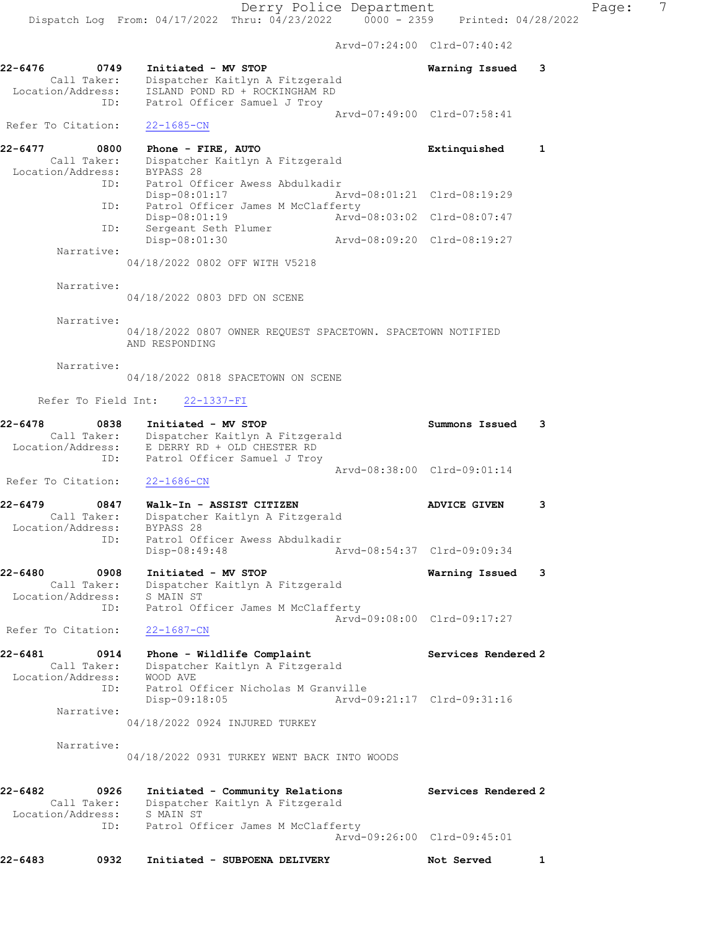Arvd-07:24:00 Clrd-07:40:42 22-6476 0749 Initiated - MV STOP Warning Issued 3 Call Taker: Dispatcher Kaitlyn A Fitzgerald Location/Address: ISLAND POND RD + ROCKINGHAM RD ID: Patrol Officer Samuel J Troy Arvd-07:49:00 Clrd-07:58:41 Refer To Citation: 22-1685-CN 22-6477 0800 Phone - FIRE, AUTO Extinquished 1 Call Taker: Dispatcher Kaitlyn A Fitzgerald Location/Address: BYPASS 28 ID: Patrol Officer Awess Abdulkadir<br>Disp-08:01:17 Am Disp-08:01:17 Arvd-08:01:21 Clrd-08:19:29 ID: Patrol Officer James M McClafferty Disp-08:01:19 Arvd-08:03:02 Clrd-08:07:47 ID: Sergeant Seth Plumer Disp-08:01:30 Arvd-08:09:20 Clrd-08:19:27 Narrative: 04/18/2022 0802 OFF WITH V5218 Narrative: 04/18/2022 0803 DFD ON SCENE Narrative: 04/18/2022 0807 OWNER REQUEST SPACETOWN. SPACETOWN NOTIFIED AND RESPONDING Narrative: 04/18/2022 0818 SPACETOWN ON SCENE Refer To Field Int: 22-1337-FI 22-6478 0838 Initiated - MV STOP Summons Issued 3 Call Taker: Dispatcher Kaitlyn A Fitzgerald Location/Address: E DERRY RD + OLD CHESTER RD ID: Patrol Officer Samuel J Troy Arvd-08:38:00 Clrd-09:01:14 Refer To Citation: 22-1686-CN 22-6479 0847 Walk-In - ASSIST CITIZEN ADVICE GIVEN 3 Call Taker: Dispatcher Kaitlyn A Fitzgerald Location/Address: BYPASS 28 ID: Patrol Officer Awess Abdulkadir Disp-08:49:48 Arvd-08:54:37 Clrd-09:09:34 22-6480 0908 Initiated - MV STOP Warning Issued 3 Call Taker: Dispatcher Kaitlyn A Fitzgerald Location/Address: S MAIN ST ID: Patrol Officer James M McClafferty Arvd-09:08:00 Clrd-09:17:27 Refer To Citation: 22-1687-CN 22-6481 0914 Phone - Wildlife Complaint Services Rendered 2 Call Taker: Dispatcher Kaitlyn A Fitzgerald Location/Address: WOOD AVE ID: Patrol Officer Nicholas M Granville Disp-09:18:05 Arvd-09:21:17 Clrd-09:31:16 Narrative: 04/18/2022 0924 INJURED TURKEY Narrative: 04/18/2022 0931 TURKEY WENT BACK INTO WOODS 22-6482 **0926** Initiated - Community Relations **Services Rendered 2**  Call Taker: Dispatcher Kaitlyn A Fitzgerald Location/Address: S MAIN ST ID: Patrol Officer James M McClafferty Arvd-09:26:00 Clrd-09:45:01 22-6483 0932 Initiated - SUBPOENA DELIVERY Not Served 1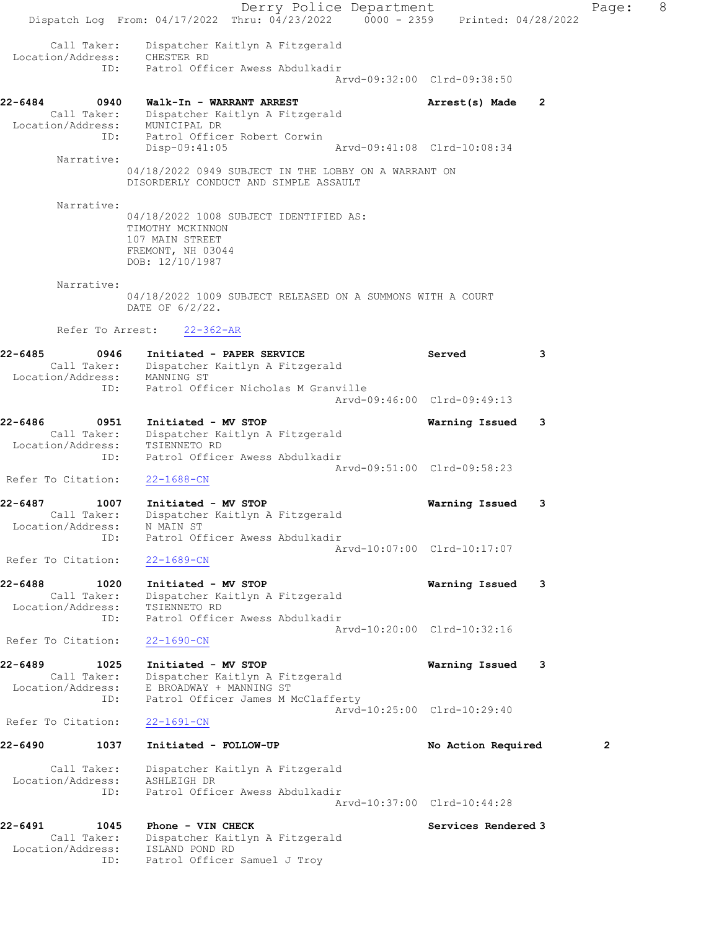Derry Police Department Controller Page: 8 Dispatch Log From: 04/17/2022 Thru: 04/23/2022 0000 - 2359 Printed: 04/28/2022 Call Taker: Dispatcher Kaitlyn A Fitzgerald Location/Address: CHESTER RD ID: Patrol Officer Awess Abdulkadir Arvd-09:32:00 Clrd-09:38:50 22-6484 0940 Walk-In - WARRANT ARREST Arrest(s) Made 2 Call Taker: Dispatcher Kaitlyn A Fitzgerald Location/Address: MUNICIPAL DR ID: Patrol Officer Robert Corwin Disp-09:41:05 Arvd-09:41:08 Clrd-10:08:34 Narrative: 04/18/2022 0949 SUBJECT IN THE LOBBY ON A WARRANT ON DISORDERLY CONDUCT AND SIMPLE ASSAULT Narrative: 04/18/2022 1008 SUBJECT IDENTIFIED AS: TIMOTHY MCKINNON 107 MAIN STREET FREMONT, NH 03044 DOB: 12/10/1987 Narrative: 04/18/2022 1009 SUBJECT RELEASED ON A SUMMONS WITH A COURT DATE OF 6/2/22. Refer To Arrest: 22-362-AR 22-6485 0946 Initiated - PAPER SERVICE Served 3 Call Taker: Dispatcher Kaitlyn A Fitzgerald Location/Address: MANNING ST ID: Patrol Officer Nicholas M Granville Arvd-09:46:00 Clrd-09:49:13 22-6486 0951 Initiated - MV STOP Warning Issued 3 Call Taker: Dispatcher Kaitlyn A Fitzgerald Location/Address: TSIENNETO RD ID: Patrol Officer Awess Abdulkadir Arvd-09:51:00 Clrd-09:58:23 Refer To Citation: 22-1688-CN 22-6487 1007 Initiated - MV STOP Warning Issued 3 Call Taker: Dispatcher Kaitlyn A Fitzgerald Location/Address: N MAIN ST ID: Patrol Officer Awess Abdulkadir Arvd-10:07:00 Clrd-10:17:07 Refer To Citation: 22-1689-CN 22-6488 1020 Initiated - MV STOP Warning Issued 3 Call Taker: Dispatcher Kaitlyn A Fitzgerald Location/Address: TSIENNETO RD ID: Patrol Officer Awess Abdulkadir Arvd-10:20:00 Clrd-10:32:16 Refer To Citation: 22-1690-CN 22-6489 1025 Initiated - MV STOP Warning Issued 3 Call Taker: Dispatcher Kaitlyn A Fitzgerald Location/Address: E BROADWAY + MANNING ST ID: Patrol Officer James M McClafferty Arvd-10:25:00 Clrd-10:29:40 Refer To Citation: 22-1691-CN 22-6490 1037 Initiated - FOLLOW-UP No Action Required 2 Call Taker: Dispatcher Kaitlyn A Fitzgerald Location/Address: ASHLEIGH DR ID: Patrol Officer Awess Abdulkadir Arvd-10:37:00 Clrd-10:44:28 22-6491 1045 Phone - VIN CHECK Services Rendered 3 Call Taker: Dispatcher Kaitlyn A Fitzgerald Location/Address: ISLAND POND RD ID: Patrol Officer Samuel J Troy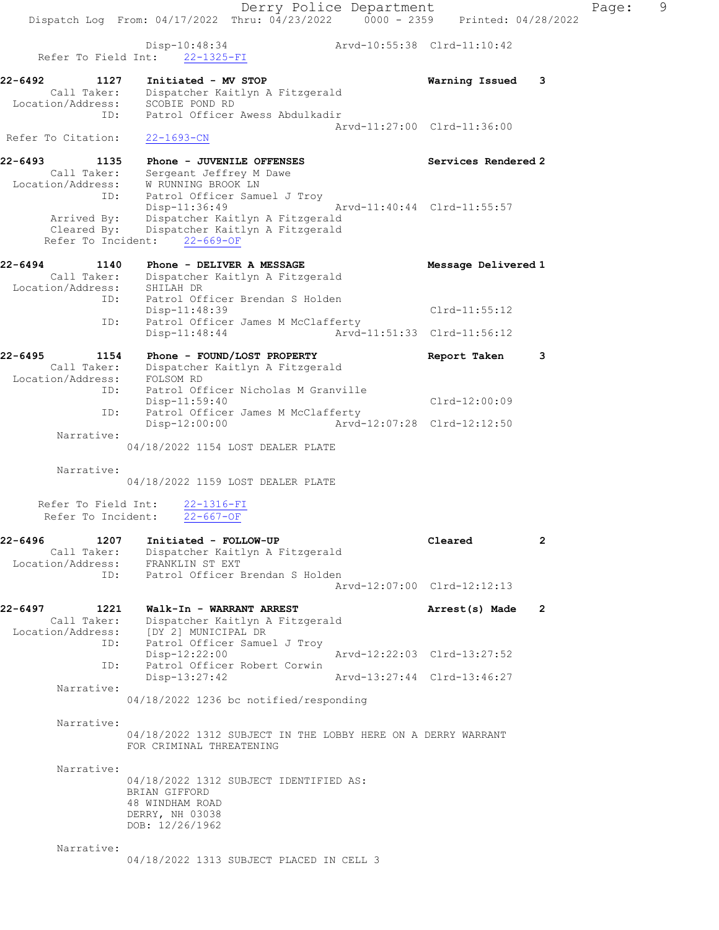22-6492 1127 Initiated - MV STOP Warning Issued 3 Call Taker: Dispatcher Kaitlyn A Fitzgerald Location/Address: SCOBIE POND RD ID: Patrol Officer Awess Abdulkadir Arvd-11:27:00 Clrd-11:36:00 Refer To Citation: 22-1693-CN

22-6493 1135 Phone - JUVENILE OFFENSES Services Rendered 2 Call Taker: Sergeant Jeffrey M Dawe Location/Address: W RUNNING BROOK LN ID: Patrol Officer Samuel J Troy Disp-11:36:49 Arvd-11:40:44 Clrd-11:55:57 Arrived By: Dispatcher Kaitlyn A Fitzgerald Cleared By: Dispatcher Kaitlyn A Fitzgerald Refer To Incident: 22-669-OF

## 22-6494 1140 Phone - DELIVER A MESSAGE NE Message Delivered 1 Call Taker: Dispatcher Kaitlyn A Fitzgerald Location/Address: SHILAH DR ID: Patrol Officer Brendan S Holden Disp-11:48:39 Clrd-11:55:12 ID: Patrol Officer James M McClafferty Disp-11:48:44 Arvd-11:51:33 Clrd-11:56:12

#### 22-6495 1154 Phone - FOUND/LOST PROPERTY The Report Taken 3 Call Taker: Dispatcher Kaitlyn A Fitzgerald Location/Address: FOLSOM RD Patrol Officer Nicholas M Granville Disp-11:59:40<br>Disp-11:59:40 Clrd-12:00:09 ID: Patrol Officer James M McClafferty<br>Disp-12:00:00 Arvd- Disp-12:00:00 Arvd-12:07:28 Clrd-12:12:50 Narrative:

04/18/2022 1154 LOST DEALER PLATE

#### Narrative:

04/18/2022 1159 LOST DEALER PLATE

 Refer To Field Int: 22-1316-FI Refer To Incident: 22-667-OF

Refer To Field Int:  $22-1325-FI$ 

#### 22-6496 1207 Initiated - FOLLOW-UP Cleared 2 Call Taker: Dispatcher Kaitlyn A Fitzgerald Location/Address: FRANKLIN ST EXT ID: Patrol Officer Brendan S Holden Arvd-12:07:00 Clrd-12:12:13

#### 22-6497 1221 Walk-In - WARRANT ARREST Arrest(s) Made 2 Call Taker: Dispatcher Kaitlyn A Fitzgerald Location/Address: [DY 2] MUNICIPAL DR ID: Patrol Officer Samuel J Troy

 Disp-12:22:00 Arvd-12:22:03 Clrd-13:27:52 ID: Patrol Officer Robert Corwin<br>Disp-13:27:42 Disp-13:27:42 Arvd-13:27:44 Clrd-13:46:27 Narrative:

04/18/2022 1236 bc notified/responding

Narrative:

04/18/2022 1312 SUBJECT IN THE LOBBY HERE ON A DERRY WARRANT FOR CRIMINAL THREATENING

Narrative:

04/18/2022 1312 SUBJECT IDENTIFIED AS: BRIAN GIFFORD 48 WINDHAM ROAD DERRY, NH 03038 DOB: 12/26/1962

Narrative:

04/18/2022 1313 SUBJECT PLACED IN CELL 3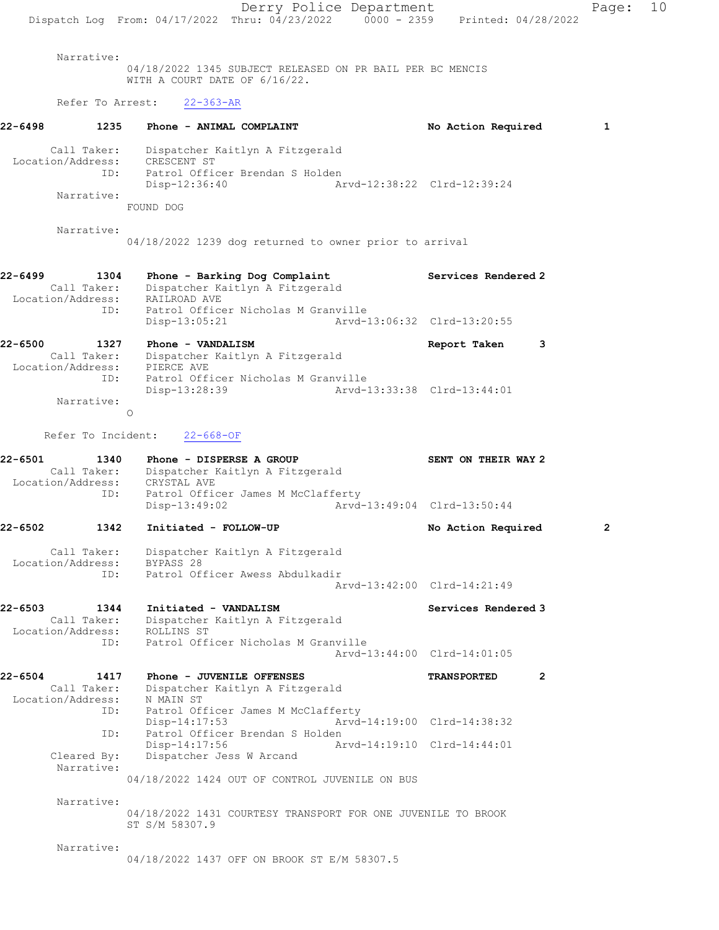Derry Police Department Page: 10 Dispatch Log From: 04/17/2022 Thru: 04/23/2022 0000 - 2359 Printed: 04/28/2022 Narrative: 04/18/2022 1345 SUBJECT RELEASED ON PR BAIL PER BC MENCIS WITH A COURT DATE OF 6/16/22. Refer To Arrest: 22-363-AR 22-6498 1235 Phone - ANIMAL COMPLAINT No Action Required 1 Call Taker: Dispatcher Kaitlyn A Fitzgerald Location/Address: CRESCENT ST ID: Patrol Officer Brendan S Holden Disp-12:36:40 Arvd-12:38:22 Clrd-12:39:24 Narrative: FOUND DOG Narrative: 04/18/2022 1239 dog returned to owner prior to arrival 22-6499 1304 Phone - Barking Dog Complaint Services Rendered 2 Call Taker: Dispatcher Kaitlyn A Fitzgerald Location/Address: RAILROAD AVE<br>ID: Patrol Office Patrol Officer Nicholas M Granville<br>Disp-13:05:21 Arvd-1 Disp-13:05:21 Arvd-13:06:32 Clrd-13:20:55 22-6500 1327 Phone - VANDALISM Report Taken 3 Call Taker: Dispatcher Kaitlyn A Fitzgerald Location/Address: PIERCE AVE ID: Patrol Officer Nicholas M Granville<br>Disp-13:28:39 Arvd-1 Disp-13:28:39 Arvd-13:33:38 Clrd-13:44:01 Narrative: O Refer To Incident: 22-668-OF 22-6501 1340 Phone - DISPERSE A GROUP SENT ON THEIR WAY 2 Call Taker: Dispatcher Kaitlyn A Fitzgerald Location/Address: CRYSTAL AVE ID: Patrol Officer James M McClafferty<br>Disp-13:49:02 Arvd- Disp-13:49:02 Arvd-13:49:04 Clrd-13:50:44 22-6502 1342 Initiated - FOLLOW-UP No Action Required 2 Call Taker: Dispatcher Kaitlyn A Fitzgerald Location/Address: BYPASS 28 ID: Patrol Officer Awess Abdulkadir Arvd-13:42:00 Clrd-14:21:49 22-6503 1344 Initiated - VANDALISM Services Rendered 3 Call Taker: Dispatcher Kaitlyn A Fitzgerald Location/Address: ROLLINS ST ID: Patrol Officer Nicholas M Granville Arvd-13:44:00 Clrd-14:01:05 22-6504 1417 Phone - JUVENILE OFFENSES TRANSPORTED 2 Call Taker: Dispatcher Kaitlyn A Fitzgerald Location/Address: N MAIN ST ID: Patrol Officer James M McClafferty<br>Disp-14:17:53 Arvd-Arvd-14:19:00 Clrd-14:38:32 ID: Patrol Officer Brendan S Holden<br>Disp-14:17:56 Ar Disp-14:17:56 Arvd-14:19:10 Cleared By: Dispatcher Jess W Arcand Dispatcher Jess W Arcand Narrative: 04/18/2022 1424 OUT OF CONTROL JUVENILE ON BUS Narrative: 04/18/2022 1431 COURTESY TRANSPORT FOR ONE JUVENILE TO BROOK ST S/M 58307.9 Narrative: 04/18/2022 1437 OFF ON BROOK ST E/M 58307.5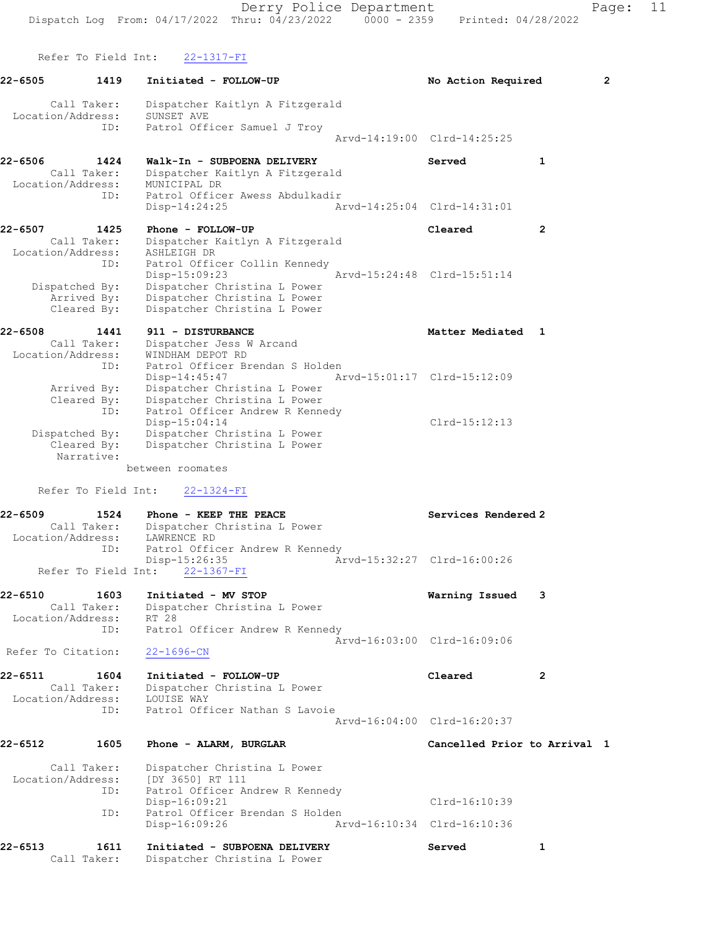Derry Police Department Fage: 11 Dispatch Log From:  $04/17/2022$  Thru:  $04/23/2022$  0000 - 2359 Printed: 04/28/2022 Refer To Field Int: 22-1317-FI 22-6505 1419 Initiated - FOLLOW-UP No Action Required 2 Call Taker: Dispatcher Kaitlyn A Fitzgerald Location/Address: SUNSET AVE ID: Patrol Officer Samuel J Troy Arvd-14:19:00 Clrd-14:25:25 22-6506 1424 Walk-In - SUBPOENA DELIVERY Served 1 Call Taker: Dispatcher Kaitlyn A Fitzgerald Location/Address: MUNICIPAL DR ID: Patrol Officer Awess Abdulkadir Disp-14:24:25 Arvd-14:25:04 Clrd-14:31:01 22-6507 1425 Phone - FOLLOW-UP Cleared 2 Call Taker: Dispatcher Kaitlyn A Fitzgerald Location/Address: ASHLEIGH DR ID: Patrol Officer Collin Kennedy Disp-15:09:23 Arvd-15:24:48 Clrd-15:51:14 Dispatched By: Dispatcher Christina L Power Arrived By: Dispatcher Christina L Power Cleared By: Dispatcher Christina L Power 22-6508 1441 911 - DISTURBANCE Nediated 1 Call Taker: Dispatcher Jess W Arcand Location/Address: WINDHAM DEPOT RD ID: Patrol Officer Brendan S Holden Disp-14:45:47 Arvd-15:01:17 Clrd-15:12:09 Arrived By: Dispatcher Christina L Power Cleared By: Dispatcher Christina L Power ID: Patrol Officer Andrew R Kennedy Disp-15:04:14 Clrd-15:12:13 Dispatched By: Dispatcher Christina L Power Cleared By: Dispatcher Christina L Power

between roomates

Refer To Field Int: 22-1324-FI

Narrative:

#### 22-6509 1524 Phone - KEEP THE PEACE Network Services Rendered 2 Call Taker: Dispatcher Christina L Power Location/Address: LAWRENCE RD ID: Patrol Officer Andrew R Kennedy<br>Disp-15:26:35 Az Disp-15:26:35 Arvd-15:32:27 Clrd-16:00:26 Refer To Field Int: 22-1367-FI

- 22-6510 1603 Initiated MV STOP Warning Issued 3 Call Taker: Dispatcher Christina L Power Location/Address: RT 28 ID: Patrol Officer Andrew R Kennedy Arvd-16:03:00 Clrd-16:09:06 Refer To Citation: 22-1696-CN
- 22-6511 1604 Initiated FOLLOW-UP Cleared 2 Call Taker: Dispatcher Christina L Power Location/Address: LOUISE WAY ID: Patrol Officer Nathan S Lavoie Arvd-16:04:00 Clrd-16:20:37
- 22-6512 1605 Phone ALARM, BURGLAR Cancelled Prior to Arrival 1

 Call Taker: Dispatcher Christina L Power Location/Address: [DY 3650] RT 111 ID: Patrol Officer Andrew R Kennedy<br>Disp-16:09:21 Clrd-16:10:39 ID: Patrol Officer Brendan S Holden<br>Disp-16:09:26 Ar Disp-16:09:26 Arvd-16:10:34 Clrd-16:10:36

### 22-6513 1611 Initiated - SUBPOENA DELIVERY Served 1 Call Taker: Dispatcher Christina L Power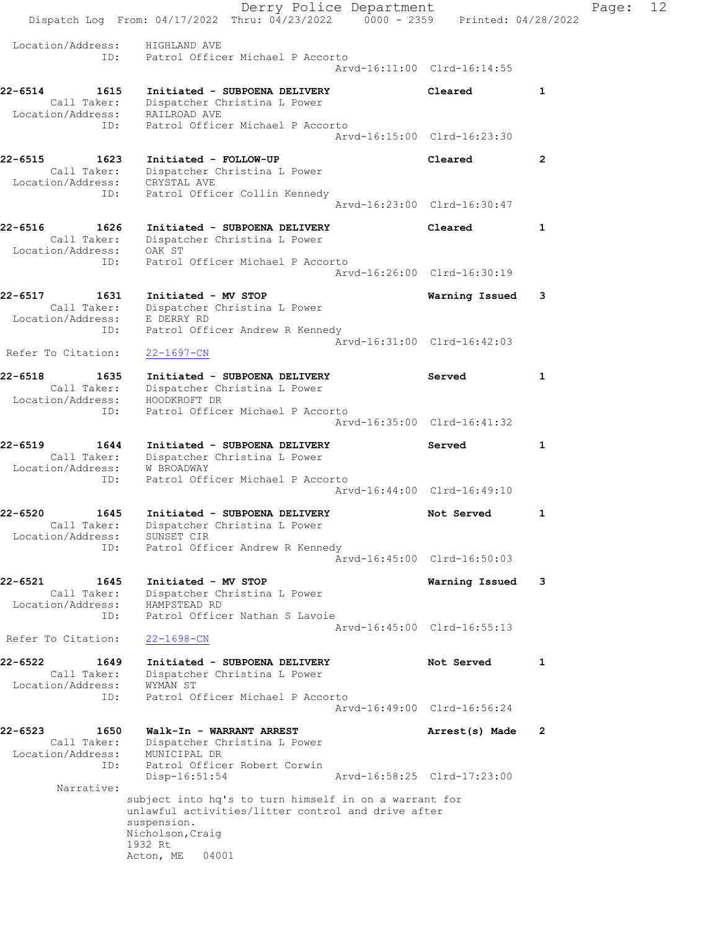Derry Police Department The Page: 12 Dispatch Log From: 04/17/2022 Thru: 04/23/2022 0000 - 2359 Printed: 04/28/2022 Location/Address: HIGHLAND AVE ID: Patrol Officer Michael P Accorto Arvd-16:11:00 Clrd-16:14:55 22-6514 1615 Initiated - SUBPOENA DELIVERY Cleared 1 Call Taker: Dispatcher Christina L Power Location/Address: RAILROAD AVE ID: Patrol Officer Michael P Accorto Arvd-16:15:00 Clrd-16:23:30 22-6515 1623 Initiated - FOLLOW-UP Cleared 2 Call Taker: Dispatcher Christina L Power Location/Address: CRYSTAL AVE ID: Patrol Officer Collin Kennedy Arvd-16:23:00 Clrd-16:30:47 22-6516 1626 Initiated - SUBPOENA DELIVERY Cleared 1 Call Taker: Dispatcher Christina L Power Location/Address: OAK ST ID: Patrol Officer Michael P Accorto Arvd-16:26:00 Clrd-16:30:19 22-6517 1631 Initiated - MV STOP Warning Issued 3 Call Taker: Dispatcher Christina L Power Location/Address: E DERRY RD ID: Patrol Officer Andrew R Kennedy Arvd-16:31:00 Clrd-16:42:03 Refer To Citation: 22-1697-CN 22-6518 1635 Initiated - SUBPOENA DELIVERY Served 1 Call Taker: Dispatcher Christina L Power Location/Address: HOODKROFT DR ID: Patrol Officer Michael P Accorto Arvd-16:35:00 Clrd-16:41:32 22-6519 1644 Initiated - SUBPOENA DELIVERY Served 1 Call Taker: Dispatcher Christina L Power Location/Address: W BROADWAY ID: Patrol Officer Michael P Accorto Arvd-16:44:00 Clrd-16:49:10 22-6520 1645 Initiated - SUBPOENA DELIVERY Not Served 1 Call Taker: Dispatcher Christina L Power Location/Address: SUNSET CIR ID: Patrol Officer Andrew R Kennedy Arvd-16:45:00 Clrd-16:50:03 22-6521 1645 Initiated - MV STOP Warning Issued 3 Call Taker: Dispatcher Christina L Power Location/Address: HAMPSTEAD RD ID: Patrol Officer Nathan S Lavoie Arvd-16:45:00 Clrd-16:55:13 Refer To Citation: 22-1698-CN 22-6522 1649 Initiated - SUBPOENA DELIVERY Not Served 1 Call Taker: Dispatcher Christina L Power Location/Address: WYMAN ST ID: Patrol Officer Michael P Accorto Arvd-16:49:00 Clrd-16:56:24 22-6523 1650 Walk-In - WARRANT ARREST Arrest(s) Made 2 Call Taker: Dispatcher Christina L Power Location/Address: MUNICIPAL DR ID: Patrol Officer Robert Corwin Disp-16:51:54 Arvd-16:58:25 Clrd-17:23:00 Narrative: subject into hq's to turn himself in on a warrant for unlawful activities/litter control and drive after suspension. Nicholson,Craig 1932 Rt Acton, ME 04001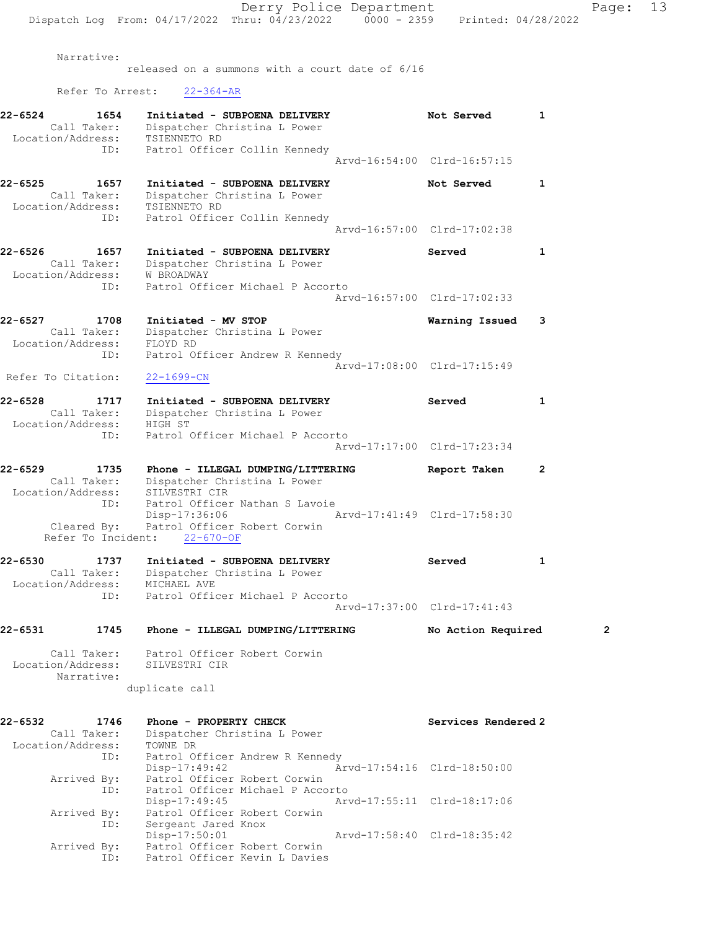Narrative:

released on a summons with a court date of 6/16 Refer To Arrest: 22-364-AR 22-6524 1654 Initiated - SUBPOENA DELIVERY Not Served 1 Call Taker: Dispatcher Christina L Power Location/Address: TSIENNETO RD ID: Patrol Officer Collin Kennedy Arvd-16:54:00 Clrd-16:57:15 22-6525 1657 Initiated - SUBPOENA DELIVERY Not Served 1 Call Taker: Dispatcher Christina L Power Location/Address: TSIENNETO RD ID: Patrol Officer Collin Kennedy Arvd-16:57:00 Clrd-17:02:38 22-6526 1657 Initiated - SUBPOENA DELIVERY Served 1 Call Taker: Dispatcher Christina L Power Location/Address: W BROADWAY ID: Patrol Officer Michael P Accorto Arvd-16:57:00 Clrd-17:02:33 22-6527 1708 Initiated - MV STOP Warning Issued 3 Call Taker: Dispatcher Christina L Power Location/Address: FLOYD RD ID: Patrol Officer Andrew R Kennedy Arvd-17:08:00 Clrd-17:15:49 Refer To Citation: 22-1699-CN 22-6528 1717 Initiated - SUBPOENA DELIVERY Served 1 Call Taker: Dispatcher Christina L Power Location/Address: HIGH ST ID: Patrol Officer Michael P Accorto Arvd-17:17:00 Clrd-17:23:34 22-6529 1735 Phone - ILLEGAL DUMPING/LITTERING Report Taken 2 Call Taker: Dispatcher Christina L Power Location/Address: SILVESTRI CIR ID: Patrol Officer Nathan S Lavoie<br>Disp-17:36:06 Mrvd-17:41:49 Clrd-17:58:30 Disp-17:36:06 Arvd-17:41:49 Clrd-17:58:30 Cleared By: Patrol Officer Robert Corwin Refer To Incident: 22-670-OF 22-6530 1737 Initiated - SUBPOENA DELIVERY Served 1 Call Taker: Dispatcher Christina L Power Location/Address: MICHAEL AVE ID: Patrol Officer Michael P Accorto Arvd-17:37:00 Clrd-17:41:43 22-6531 1745 Phone - ILLEGAL DUMPING/LITTERING No Action Required 2 Call Taker: Patrol Officer Robert Corwin Location/Address: SILVESTRI CIR Narrative: duplicate call 22-6532 1746 Phone - PROPERTY CHECK Services Rendered 2 Call Taker: Dispatcher Christina L Power Location/Address: TOWNE DR ID: Patrol Officer Andrew R Kennedy Disp-17:49:42 Arvd-17:54:16 Clrd-18:50:00 Arrived By: Patrol Officer Robert Corwin Arrived By: Patrol Officer Robert Corwin<br>ID: Patrol Officer Michael P Accorto<br>Disp-17:49:45 Arve Arvd-17:55:11 Clrd-18:17:06 Arrived By: Patrol Officer Robert Corwin ID: Sergeant Jared Knox Disp-17:50:01 Arvd-17:58:40 Clrd-18:35:42 Arrived By: Patrol Officer Robert Corwin ID: Patrol Officer Kevin L Davies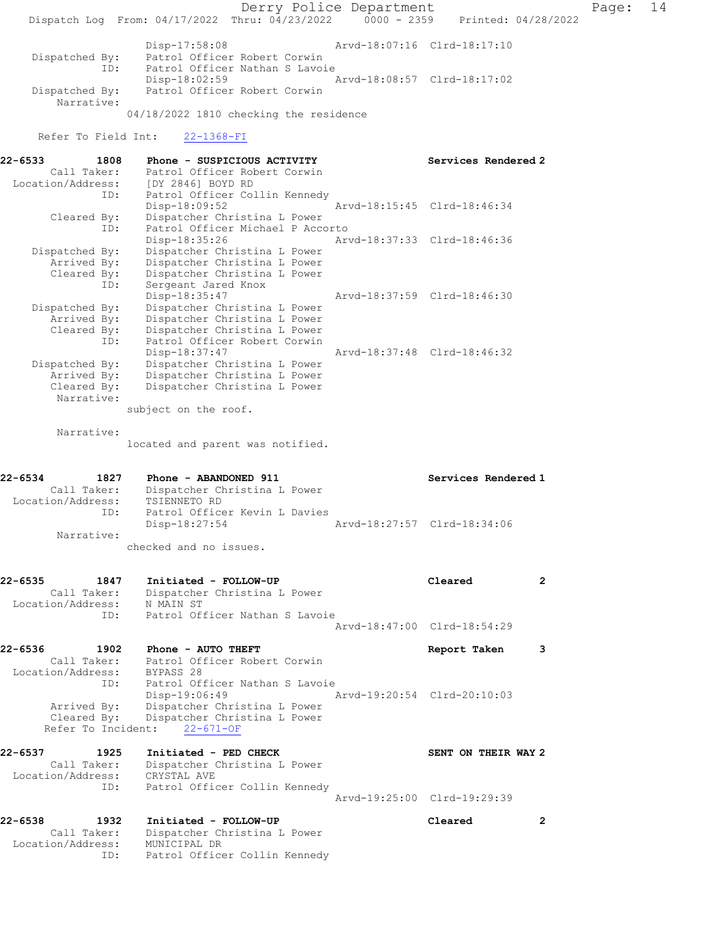Derry Police Department Fage: 14 Dispatch Log From: 04/17/2022 Thru: 04/23/2022 0000 - 2359 Printed: 04/28/2022 Disp-17:58:08 Arvd-18:07:16 Clrd-18:17:10 Dispatched By: Patrol Officer Robert Corwin ID: Patrol Officer Nathan S Lavoie Disp-18:02:59 Arvd-18:08:57 Clrd-18:17:02 Dispatched By: Patrol Officer Robert Corwin Narrative: 04/18/2022 1810 checking the residence Refer To Field Int: 22-1368-FI 22-6533 1808 Phone - SUSPICIOUS ACTIVITY Services Rendered 2 Call Taker: Patrol Officer Robert Corwin Location/Address: [DY 2846] BOYD RD ID: Patrol Officer Collin Kennedy Disp-18:09:52 Arvd-18:15:45 Clrd-18:46:34 Cleared By: Dispatcher Christina L Power ID: Patrol Officer Michael P Accorto Disp-18:35:26 Arvd-18:37:33 Clrd-18:46:36 Dispatched By: Dispatcher Christina L Power Arrived By: Dispatcher Christina L Power Cleared By: Dispatcher Christina L Power ID: Sergeant Jared Knox Disp-18:35:47 Arvd-18:37:59 Clrd-18:46:30 Dispatched By: Dispatcher Christina L Power Arrived By: Dispatcher Christina L Power Cleared By: Dispatcher Christina L Power ID: Patrol Officer Robert Corwin Disp-18:37:47 Arvd-18:37:48 Clrd-18:46:32 Dispatched By: Dispatcher Christina L Power Arrived By: Dispatcher Christina L Power Cleared By: Dispatcher Christina L Power Narrative: subject on the roof. Narrative: located and parent was notified. 22-6534 1827 Phone - ABANDONED 911 Services Rendered 1 Call Taker: Dispatcher Christina L Power Location/Address: TSIENNETO RD ID: Patrol Officer Kevin L Davies Disp-18:27:54 Arvd-18:27:57 Clrd-18:34:06 Narrative: checked and no issues. 22-6535 1847 Initiated - FOLLOW-UP Cleared 2 Call Taker: Dispatcher Christina L Power Location/Address: N MAIN ST ID: Patrol Officer Nathan S Lavoie Arvd-18:47:00 Clrd-18:54:29 22-6536 1902 Phone - AUTO THEFT Report Taken 3 Call Taker: Patrol Officer Robert Corwin Location/Address: BYPASS 28 ID: Patrol Officer Nathan S Lavoie<br>Disp-19:06:49 Disp-19:06:49 Arvd-19:20:54 Clrd-20:10:03 Arrived By: Dispatcher Christina L Power Cleared By: Dispatcher Christina L Power Refer To Incident: 22-671-OF 22-6537 1925 Initiated - PED CHECK SENT ON THEIR WAY 2 Call Taker: Dispatcher Christina L Power Location/Address: CRYSTAL AVE ID: Patrol Officer Collin Kennedy Arvd-19:25:00 Clrd-19:29:39 22-6538 1932 Initiated - FOLLOW-UP Cleared 2 Call Taker: Dispatcher Christina L Power Location/Address: MUNICIPAL DR ID: Patrol Officer Collin Kennedy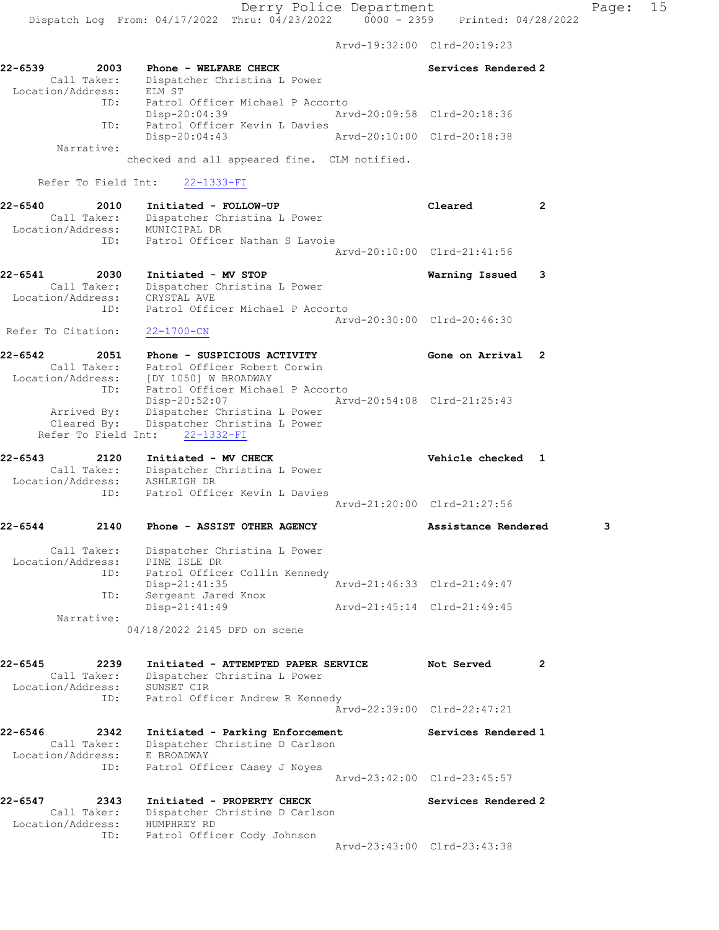Dispatch Log From: 04/17/2022 Thru: 04/23/2022 0000 - 2359 Printed: 04/28/2022 Arvd-19:32:00 Clrd-20:19:23 22-6539 2003 Phone - WELFARE CHECK Services Rendered 2 Call Taker: Dispatcher Christina L Power Location/Address: ELM ST ID: Patrol Officer Michael P Accorto Disp-20:04:39 Arvd-20:09:58 Clrd-20:18:36 ID: Patrol Officer Kevin L Davies<br>Disp-20:04:43 Arvd-20:10:00 Clrd-20:18:38 Disp-20:04:43 Narrative: checked and all appeared fine. CLM notified. Refer To Field Int: 22-1333-FI 22-6540 2010 Initiated - FOLLOW-UP Cleared 2 Call Taker: Dispatcher Christina L Power Location/Address: MUNICIPAL DR ID: Patrol Officer Nathan S Lavoie Arvd-20:10:00 Clrd-21:41:56 22-6541 2030 Initiated - MV STOP Warning Issued 3 Call Taker: Dispatcher Christina L Power Location/Address: CRYSTAL AVE ID: Patrol Officer Michael P Accorto Arvd-20:30:00 Clrd-20:46:30 Refer To Citation: 22-1700-CN 22-6542 2051 Phone - SUSPICIOUS ACTIVITY Gone on Arrival 2 Call Taker: Patrol Officer Robert Corwin Location/Address: [DY 1050] W BROADWAY ID: Patrol Officer Michael P Accorto Disp-20:52:07 Arvd-20:54:08 Clrd-21:25:43 Arrived By: Dispatcher Christina L Power Cleared By: Dispatcher Christina L Power Refer To Field Int: 22-1332-FI 22-6543 2120 Initiated - MV CHECK Vehicle checked 1 Call Taker: Dispatcher Christina L Power Location/Address: ASHLEIGH DR ID: Patrol Officer Kevin L Davies Arvd-21:20:00 Clrd-21:27:56 22-6544 2140 Phone - ASSIST OTHER AGENCY Assistance Rendered 3 Call Taker: Dispatcher Christina L Power Location/Address: PINE ISLE DR ID: Patrol Officer Collin Kennedy Disp-21:41:35 Arvd-21:46:33 Clrd-21:49:47 ID: Sergeant Jared Knox Disp-21:41:49 Arvd-21:45:14 Clrd-21:49:45

 Narrative: 04/18/2022 2145 DFD on scene

| $22 - 6545$<br>2239 | Initiated - ATTEMPTED PAPER SERVICE | Not Served                  |  |
|---------------------|-------------------------------------|-----------------------------|--|
| Call Taker:         | Dispatcher Christina L Power        |                             |  |
| Location/Address:   | SUNSET CIR                          |                             |  |
| ID:                 | Patrol Officer Andrew R Kennedy     |                             |  |
|                     |                                     | Aryd-22:39:00 Clrd-22:47:21 |  |

22-6546 2342 Initiated - Parking Enforcement Services Rendered 1 Call Taker: Dispatcher Christine D Carlson Location/Address: E BROADWAY ID: Patrol Officer Casey J Noyes Arvd-23:42:00 Clrd-23:45:57

22-6547 2343 Initiated - PROPERTY CHECK Services Rendered 2 Call Taker: Dispatcher Christine D Carlson Location/Address: HUMPHREY RD ID: Patrol Officer Cody Johnson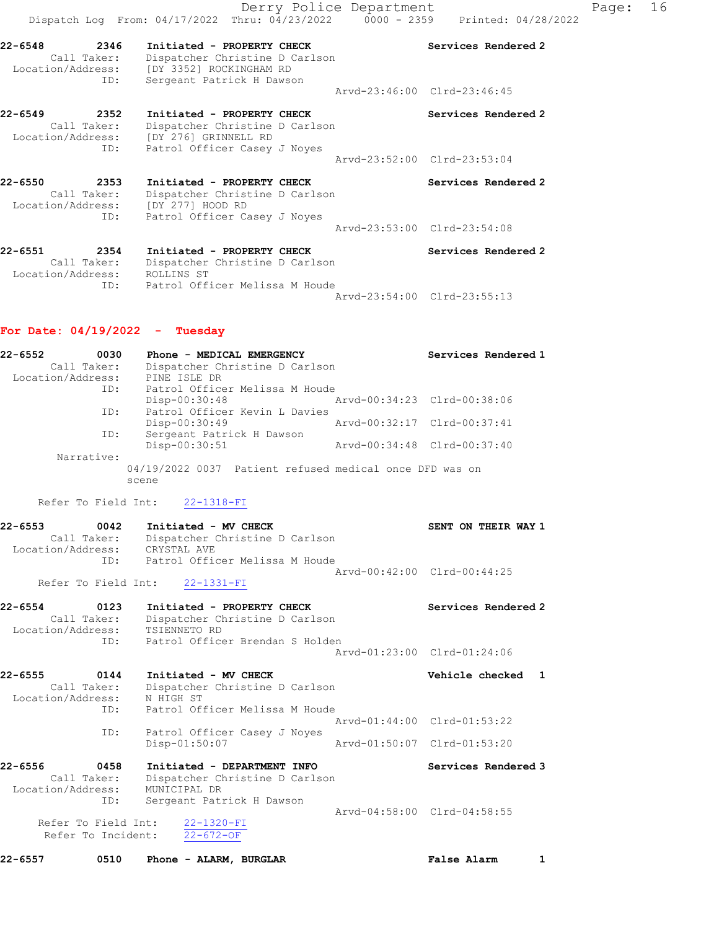Derry Police Department Fage: 16 Dispatch Log From: 04/17/2022 Thru: 04/23/2022 0000 - 2359 Printed: 04/28/2022 22-6548 2346 Initiated - PROPERTY CHECK Services Rendered 2 Call Taker: Dispatcher Christine D Carlson Location/Address: [DY 3352] ROCKINGHAM RD ID: Sergeant Patrick H Dawson Arvd-23:46:00 Clrd-23:46:45 22-6549 2352 Initiated - PROPERTY CHECK Services Rendered 2 Call Taker: Dispatcher Christine D Carlson Location/Address: [DY 276] GRINNELL RD ID: Patrol Officer Casey J Noyes Arvd-23:52:00 Clrd-23:53:04 22-6550 2353 Initiated - PROPERTY CHECK Services Rendered 2 Call Taker: Dispatcher Christine D Carlson Location/Address: [DY 277] HOOD RD ID: Patrol Officer Casey J Noyes Arvd-23:53:00 Clrd-23:54:08 22-6551 2354 Initiated - PROPERTY CHECK Services Rendered 2 Call Taker: Dispatcher Christine D Carlson Location/Address: ROLLINS ST ID: Patrol Officer Melissa M Houde Arvd-23:54:00 Clrd-23:55:13

#### For Date: 04/19/2022 - Tuesday

| $22 - 6552$<br>Call Taker:<br>Location/Address: | 0030                     | Phone - MEDICAL EMERGENCY<br>Dispatcher Christine D Carlson<br>PINE ISLE DR                                     |  | Services Rendered 1                                |   |
|-------------------------------------------------|--------------------------|-----------------------------------------------------------------------------------------------------------------|--|----------------------------------------------------|---|
|                                                 | ID:<br>ID:               | Patrol Officer Melissa M Houde<br>Disp-00:30:48<br>Patrol Officer Kevin L Davies                                |  | Arvd-00:34:23 Clrd-00:38:06                        |   |
|                                                 | ID:                      | Disp-00:30:49<br>Sergeant Patrick H Dawson                                                                      |  | Arvd-00:32:17 Clrd-00:37:41                        |   |
| Narrative:                                      |                          | Disp-00:30:51                                                                                                   |  | Arvd-00:34:48 Clrd-00:37:40                        |   |
|                                                 | scene                    | 04/19/2022 0037 Patient refused medical once DFD was on                                                         |  |                                                    |   |
| Refer To Field Int:                             |                          | 22-1318-FI                                                                                                      |  |                                                    |   |
| $22 - 6553$<br>Call Taker:<br>Location/Address: | 0042<br>ID:              | Initiated - MV CHECK<br>Dispatcher Christine D Carlson<br>CRYSTAL AVE<br>Patrol Officer Melissa M Houde         |  | SENT ON THEIR WAY 1                                |   |
| Refer To Field Int:                             |                          | $22 - 1331 - FI$                                                                                                |  | Arvd-00:42:00 Clrd-00:44:25                        |   |
| $22 - 6554$<br>Call Taker:<br>Location/Address: | 0123<br>ID:              | Initiated - PROPERTY CHECK<br>Dispatcher Christine D Carlson<br>TSIENNETO RD<br>Patrol Officer Brendan S Holden |  | Services Rendered 2                                |   |
|                                                 |                          |                                                                                                                 |  | Arvd-01:23:00 Clrd-01:24:06                        |   |
| $22 - 6555$<br>Call Taker:<br>Location/Address: | 0144<br>N HIGH ST<br>ID: | Initiated - MV CHECK<br>Dispatcher Christine D Carlson<br>Patrol Officer Melissa M Houde                        |  | Vehicle checked                                    | 1 |
|                                                 | ID:                      | Patrol Officer Casey J Noyes                                                                                    |  | Arvd-01:44:00 Clrd-01:53:22                        |   |
|                                                 |                          | Disp-01:50:07                                                                                                   |  | Arvd-01:50:07 Clrd-01:53:20                        |   |
| $22 - 6556$<br>Call Taker:<br>Location/Address: | 0458<br>ID:              | Initiated - DEPARTMENT INFO<br>Dispatcher Christine D Carlson<br>MUNICIPAL DR<br>Sergeant Patrick H Dawson      |  | Services Rendered 3<br>Arvd-04:58:00 Clrd-04:58:55 |   |
| Refer To Field Int:<br>Refer To Incident:       |                          | $22 - 1320 - FI$<br>$22 - 672 - OF$                                                                             |  |                                                    |   |
| $22 - 6557$                                     | 0510                     | Phone - ALARM, BURGLAR                                                                                          |  | <b>False Alarm</b>                                 | 1 |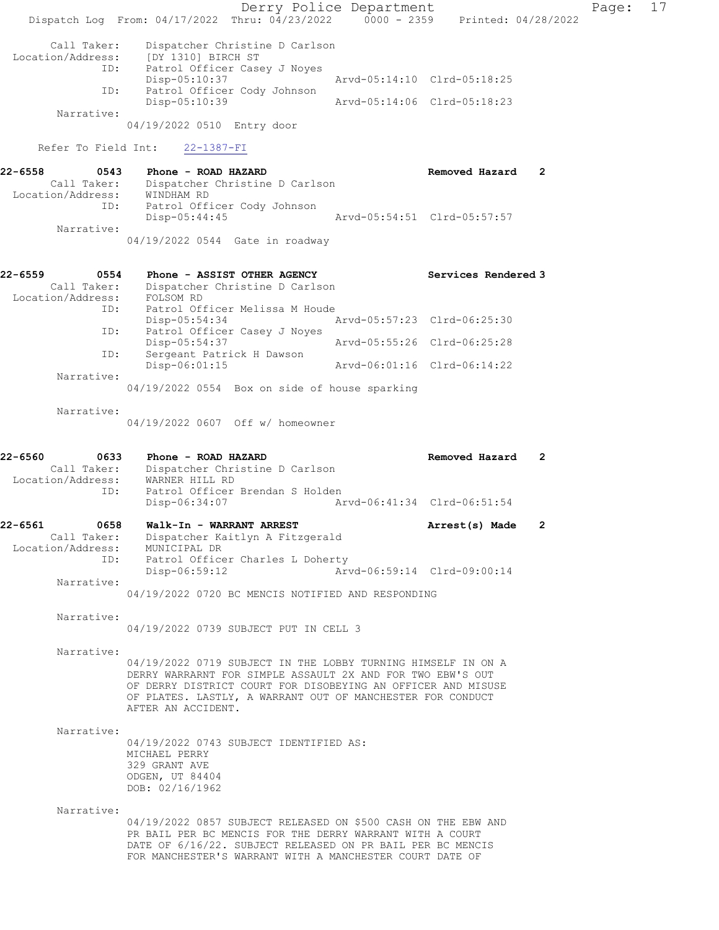Derry Police Department Fage: 17 Dispatch Log From: 04/17/2022 Thru: 04/23/2022 0000 - 2359 Printed: 04/28/2022 Call Taker: Dispatcher Christine D Carlson Location/Address: [DY 1310] BIRCH ST<br>ID: Patrol Officer Case Patrol Officer Casey J Noyes<br>Disp-05:10:37 Disp-05:10:37 Arvd-05:14:10 Clrd-05:18:25 ID: Patrol Officer Cody Johnson Disp-05:10:39 Arvd-05:14:06 Clrd-05:18:23 Narrative: 04/19/2022 0510 Entry door Refer To Field Int: 22-1387-FI 22-6558 0543 Phone - ROAD HAZARD Removed Hazard 2 Call Taker: Dispatcher Christine D Carlson Location/Address: WINDHAM RD ID: Patrol Officer Cody Johnson Arvd-05:54:51 Clrd-05:57:57 Narrative: 04/19/2022 0544 Gate in roadway 22-6559 0554 Phone - ASSIST OTHER AGENCY Services Rendered 3 Call Taker: Dispatcher Christine D Carlson Location/Address: FOLSOM RD ID: Patrol Officer Melissa M Houde Disp-05:54:34 Arvd-05:57:23 Clrd-06:25:30 ID: Patrol Officer Casey J Noyes Arvd-05:55:26 Clrd-06:25:28 ID: Sergeant Patrick H Dawson Disp-06:01:15 Arvd-06:01:16 Clrd-06:14:22 Narrative: 04/19/2022 0554 Box on side of house sparking Narrative: 04/19/2022 0607 Off w/ homeowner 22-6560 0633 Phone - ROAD HAZARD Removed Hazard 2 Call Taker: Dispatcher Christine D Carlson Location/Address: WARNER HILL RD ID: Patrol Officer Brendan S Holden<br>Disp-06:34:07 Ar Disp-06:34:07 Arvd-06:41:34 Clrd-06:51:54 22-6561 0658 Walk-In - WARRANT ARREST **Arrest(s) Made** 2 Call Taker: Dispatcher Kaitlyn A Fitzgerald Location/Address: MUNICIPAL DR ID: Patrol Officer Charles L Doherty<br>Disp-06:59:12 Arvd-06:59:14 Clrd-09:00:14  $Disp-06:59:12$  Narrative: 04/19/2022 0720 BC MENCIS NOTIFIED AND RESPONDING Narrative: 04/19/2022 0739 SUBJECT PUT IN CELL 3 Narrative: 04/19/2022 0719 SUBJECT IN THE LOBBY TURNING HIMSELF IN ON A DERRY WARRARNT FOR SIMPLE ASSAULT 2X AND FOR TWO EBW'S OUT OF DERRY DISTRICT COURT FOR DISOBEYING AN OFFICER AND MISUSE OF PLATES. LASTLY, A WARRANT OUT OF MANCHESTER FOR CONDUCT AFTER AN ACCIDENT. Narrative: 04/19/2022 0743 SUBJECT IDENTIFIED AS: MICHAEL PERRY 329 GRANT AVE ODGEN, UT 84404 DOB: 02/16/1962 Narrative: 04/19/2022 0857 SUBJECT RELEASED ON \$500 CASH ON THE EBW AND PR BAIL PER BC MENCIS FOR THE DERRY WARRANT WITH A COURT DATE OF 6/16/22. SUBJECT RELEASED ON PR BAIL PER BC MENCIS FOR MANCHESTER'S WARRANT WITH A MANCHESTER COURT DATE OF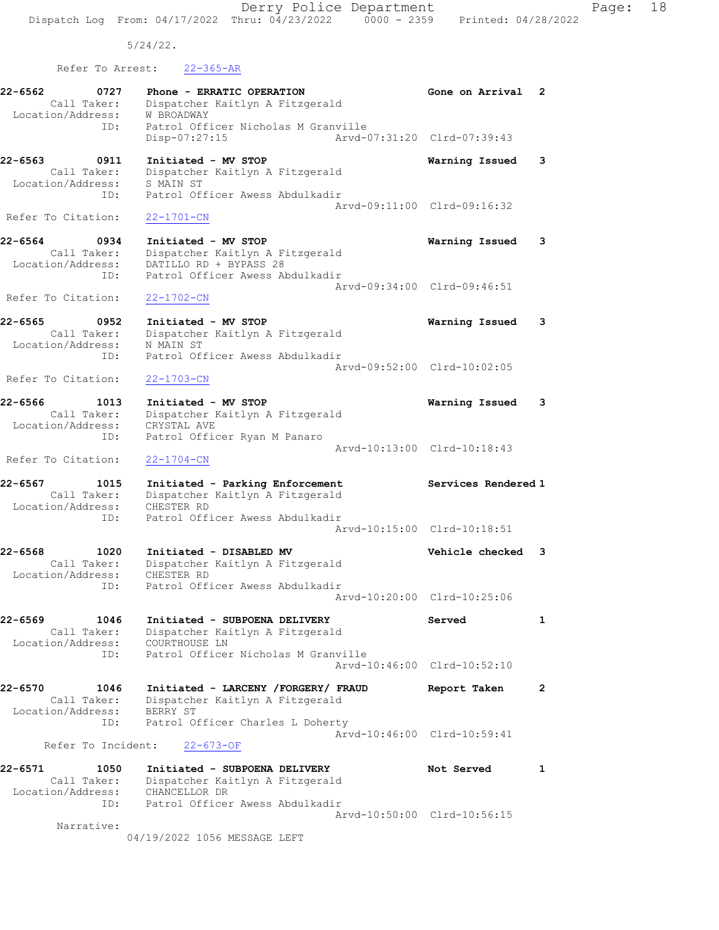Derry Police Department Fage: 18 Dispatch Log From: 04/17/2022 Thru: 04/23/2022 0000 - 2359 Printed: 04/28/2022

5/24/22.

Refer To Arrest: 22-365-AR

| 22-6562<br>Location/Address: | 0727<br>Call Taker:        | Phone - ERRATIC OPERATION<br>Dispatcher Kaitlyn A Fitzgerald<br><b>W BROADWAY</b>                                   | Gone on Arrival             | 2              |
|------------------------------|----------------------------|---------------------------------------------------------------------------------------------------------------------|-----------------------------|----------------|
|                              | ID:                        | Patrol Officer Nicholas M Granville<br>Disp-07:27:15                                                                | Arvd-07:31:20 Clrd-07:39:43 |                |
| 22-6563<br>Location/Address: | 0911<br>Call Taker:        | Initiated - MV STOP<br>Dispatcher Kaitlyn A Fitzgerald<br>S MAIN ST                                                 | Warning Issued              | 3              |
| Refer To Citation:           | ID:                        | Patrol Officer Awess Abdulkadir<br>$22 - 1701 - CN$                                                                 | Arvd-09:11:00 Clrd-09:16:32 |                |
|                              |                            |                                                                                                                     |                             |                |
| 22-6564<br>Location/Address: | 0934<br>Call Taker:<br>ID: | Initiated - MV STOP<br>Dispatcher Kaitlyn A Fitzgerald<br>DATILLO RD + BYPASS 28<br>Patrol Officer Awess Abdulkadir | Warning Issued              | 3              |
| Refer To Citation:           |                            | $22 - 1702 - CN$                                                                                                    | Arvd-09:34:00 Clrd-09:46:51 |                |
| 22-6565<br>Location/Address: | 0952<br>Call Taker:        | Initiated - MV STOP<br>Dispatcher Kaitlyn A Fitzgerald<br>N MAIN ST                                                 | Warning Issued              | 3              |
|                              | ID:                        | Patrol Officer Awess Abdulkadir                                                                                     |                             |                |
| Refer To Citation:           |                            | $22 - 1703 - CN$                                                                                                    | Arvd-09:52:00 Clrd-10:02:05 |                |
| 22-6566<br>Location/Address: | 1013<br>Call Taker:        | Initiated - MV STOP<br>Dispatcher Kaitlyn A Fitzgerald<br>CRYSTAL AVE                                               | Warning Issued              | 3              |
| Refer To Citation:           | ID:                        | Patrol Officer Ryan M Panaro<br>$22 - 1704 - CN$                                                                    | Arvd-10:13:00 Clrd-10:18:43 |                |
| 22-6567<br>Location/Address: | 1015<br>Call Taker:        | Initiated - Parking Enforcement<br>Dispatcher Kaitlyn A Fitzgerald<br>CHESTER RD                                    | Services Rendered 1         |                |
|                              | ID:                        | Patrol Officer Awess Abdulkadir                                                                                     | Arvd-10:15:00 Clrd-10:18:51 |                |
| 22-6568<br>Location/Address: | 1020<br>Call Taker:        | Initiated - DISABLED MV<br>Dispatcher Kaitlyn A Fitzgerald<br>CHESTER RD                                            | Vehicle checked             | 3              |
|                              | ID:                        | Patrol Officer Awess Abdulkadir                                                                                     | Arvd-10:20:00 Clrd-10:25:06 |                |
| 22-6569<br>Location/Address: | 1046<br>Call Taker:        | Initiated - SUBPOENA DELIVERY<br>Dispatcher Kaitlyn A Fitzgerald<br>COURTHOUSE LN                                   | Served                      | 1              |
|                              | ID:                        | Patrol Officer Nicholas M Granville                                                                                 | Arvd-10:46:00 Clrd-10:52:10 |                |
| 22-6570                      | 1046<br>Call Taker:        | Initiated - LARCENY / FORGERY / FRAUD<br>Dispatcher Kaitlyn A Fitzgerald                                            | Report Taken                | $\overline{2}$ |
| Location/Address:            | ID:                        | BERRY ST<br>Patrol Officer Charles L Doherty                                                                        |                             |                |
|                              | Refer To Incident:         | $22 - 673 - OF$                                                                                                     | Arvd-10:46:00 Clrd-10:59:41 |                |
| 22-6571                      | 1050<br>Call Taker:        | Initiated - SUBPOENA DELIVERY<br>Dispatcher Kaitlyn A Fitzgerald                                                    | Not Served                  | 1              |
| Location/Address:            | ID:                        | CHANCELLOR DR<br>Patrol Officer Awess Abdulkadir                                                                    |                             |                |
|                              | Narrative:                 | 04/19/2022 1056 MESSAGE LEFT                                                                                        | Arvd-10:50:00 Clrd-10:56:15 |                |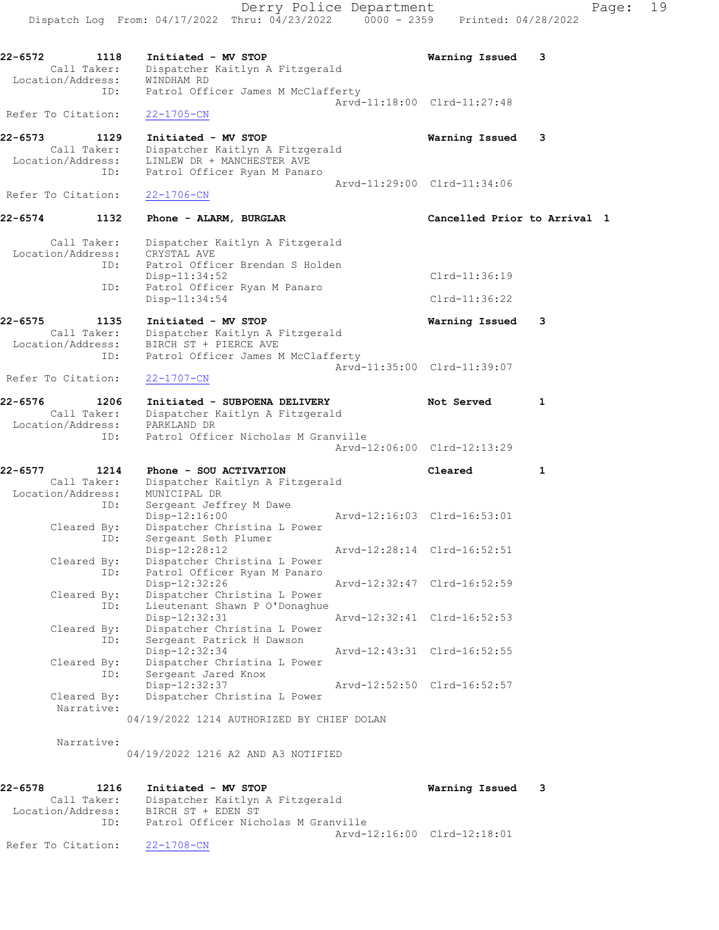Derry Police Department Page: 19 Dispatch Log From: 04/17/2022 Thru: 04/23/2022 0000 - 2359 Printed: 04/28/2022 22-6572 1118 Initiated - MV STOP Warning Issued 3 Call Taker: Dispatcher Kaitlyn A Fitzgerald Location/Address: WINDHAM RD ID: Patrol Officer James M McClafferty Arvd-11:18:00 Clrd-11:27:48 Refer To Citation: 22-1705-CN 22-6573 1129 Initiated - MV STOP Warning Issued 3 Call Taker: Dispatcher Kaitlyn A Fitzgerald Location/Address: LINLEW DR + MANCHESTER AVE ID: Patrol Officer Ryan M Panaro Arvd-11:29:00 Clrd-11:34:06 Refer To Citation: 22-1706-CN 22-6574 1132 Phone - ALARM, BURGLAR 1 22-6574 Cancelled Prior to Arrival 1 Call Taker: Dispatcher Kaitlyn A Fitzgerald Location/Address: CRYSTAL AVE ID: Patrol Officer Brendan S Holden Disp-11:34:52 Clrd-11:36:19 ID: Patrol Officer Ryan M Panaro Disp-11:34:54 Clrd-11:36:22 22-6575 1135 Initiated - MV STOP Warning Issued 3 Call Taker: Dispatcher Kaitlyn A Fitzgerald Location/Address: BIRCH ST + PIERCE AVE ID: Patrol Officer James M McClafferty Arvd-11:35:00 Clrd-11:39:07 Refer To Citation: 22-1707-CN 22-6576 1206 Initiated - SUBPOENA DELIVERY Not Served 1 Call Taker: Dispatcher Kaitlyn A Fitzgerald Location/Address: PARKLAND DR ID: Patrol Officer Nicholas M Granville Arvd-12:06:00 Clrd-12:13:29 22-6577 1214 Phone - SOU ACTIVATION Cleared 1 Call Taker: Dispatcher Kaitlyn A Fitzgerald Location/Address: MUNICIPAL DR ID: Sergeant Jeffrey M Dawe<br>Disp-12:16:00 Disp-12:16:00 Arvd-12:16:03 Clrd-16:53:01<br>Cleared By: Dispatcher Christina L Power Dispatcher Christina L Power ID: Sergeant Seth Plumer<br>Disp-12:28:12 Disp-12:28:12 Arvd-12:28:14 Clrd-16:52:51 Cleared By: Dispatcher Christina L Power ID: Patrol Officer Ryan M Panaro Disp-12:32:26 Arvd-12:32:47 Clrd-16:52:59<br>Cleared By: Dispatcher Christina L Power Cleared By: Dispatcher Christina L Power ID: Lieutenant Shawn P O'Donaghue Disp-12:32:31 Arvd-12:32:41 Clrd-16:52:53 Cleared By: Dispatcher Christina L Power ID: Sergeant Patrick H Dawson<br>Disp-12:32:34 Disp-12:32:34 Arvd-12:43:31 Clrd-16:52:55 Cleared By: Dispatcher Christina L Power ID: Sergeant Jared Knox<br>Disp-12:32:37 Disp-12:32:37 Arvd-12:52:50 Clrd-16:52:57<br>Cleared By: Dispatcher Christina L Power Dispatcher Christina L Power Narrative: 04/19/2022 1214 AUTHORIZED BY CHIEF DOLAN Narrative:

04/19/2022 1216 A2 AND A3 NOTIFIED

| 22-6578            | 1216        | Initiated - MV STOP                 | Warning Issued              | $\overline{\phantom{a}}$ 3 |
|--------------------|-------------|-------------------------------------|-----------------------------|----------------------------|
|                    | Call Taker: | Dispatcher Kaitlyn A Fitzgerald     |                             |                            |
| Location/Address:  |             | BIRCH ST + EDEN ST                  |                             |                            |
|                    | TD:         | Patrol Officer Nicholas M Granville |                             |                            |
|                    |             |                                     | Aryd-12:16:00 Clrd-12:18:01 |                            |
| Refer To Citation: |             | 22-1708-CN                          |                             |                            |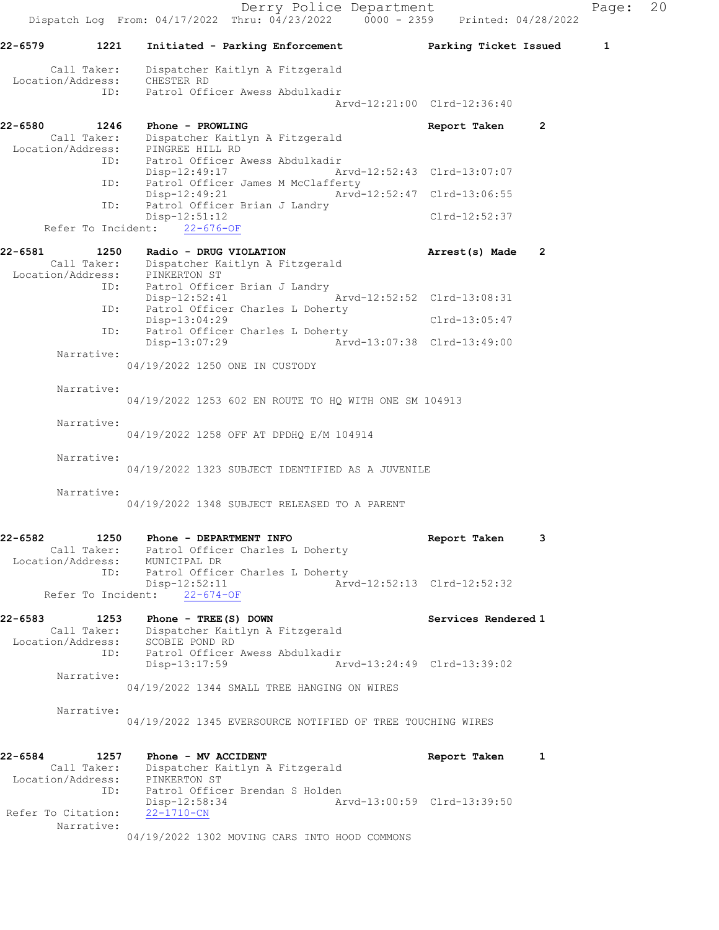Derry Police Department Fage: 20 Dispatch Log From: 04/17/2022 Thru: 04/23/2022 0000 - 2359 Printed: 04/28/2022 22-6579 1221 Initiated - Parking Enforcement Parking Ticket Issued 1 Call Taker: Dispatcher Kaitlyn A Fitzgerald Location/Address: CHESTER RD ID: Patrol Officer Awess Abdulkadir Arvd-12:21:00 Clrd-12:36:40 22-6580 1246 Phone - PROWLING **Report Taken** 2 Call Taker: Dispatcher Kaitlyn A Fitzgerald Location/Address: PINGREE HILL RD ID: Patrol Officer Awess Abdulkadir Disp-12:49:17 Arvd-12:52:43 Clrd-13:07:07 ID: Patrol Officer James M McClafferty Disp-12:49:21 Arvd-12:52:47 Clrd-13:06:55<br>TD: Patrol Officer Brian J Landry Patrol Officer Brian J Landry<br>Disp-12:51:12 Clrd-12:52:37 Refer To Incident: 22-676-OF 22-6581 1250 Radio - DRUG VIOLATION 1250 Research Arrest(s) Made 2 Call Taker: Dispatcher Kaitlyn A Fitzgerald Location/Address: PINKERTON ST ID: Patrol Officer Brian J Landry<br>Disp-12:52:41 Disp-12:52:41 Arvd-12:52:52 Clrd-13:08:31<br>TD: Patrol Officer Charles L Doberty Patrol Officer Charles L Doherty Disp-13:04:29 Clrd-13:05:47 ID: Patrol Officer Charles L Doherty<br>Disp-13:07:29 Arve Disp-13:07:29 Arvd-13:07:38 Clrd-13:49:00 Narrative: 04/19/2022 1250 ONE IN CUSTODY Narrative: 04/19/2022 1253 602 EN ROUTE TO HQ WITH ONE SM 104913 Narrative: 04/19/2022 1258 OFF AT DPDHQ E/M 104914 Narrative: 04/19/2022 1323 SUBJECT IDENTIFIED AS A JUVENILE Narrative: 04/19/2022 1348 SUBJECT RELEASED TO A PARENT 22-6582 1250 Phone - DEPARTMENT INFO Report Taken 3 Call Taker: Patrol Officer Charles L Doherty Location/Address: MUNICIPAL DR ID: Patrol Officer Charles L Doherty<br>Disp-12:52:11 Arv Disp-12:52:11 Arvd-12:52:13 Clrd-12:52:32 Refer To Incident: 22-674-OF 22-6583 1253 Phone - TREE(S) DOWN Services Rendered 1 Call Taker: Dispatcher Kaitlyn A Fitzgerald Location/Address: SCOBIE POND RD ID: Patrol Officer Awess Abdulkadir<br>Disp-13:17:59 A Disp-13:17:59 Arvd-13:24:49 Clrd-13:39:02 Narrative: 04/19/2022 1344 SMALL TREE HANGING ON WIRES Narrative: 04/19/2022 1345 EVERSOURCE NOTIFIED OF TREE TOUCHING WIRES 22-6584 1257 Phone - MV ACCIDENT Report Taken 1 Call Taker: Dispatcher Kaitlyn A Fitzgerald Location/Address: PINKERTON ST ID: Patrol Officer Brendan S Holden<br>Disp-12:58:34 Ar Arvd-13:00:59 Clrd-13:39:50 Refer To Citation: 22-1710-CN Narrative: 04/19/2022 1302 MOVING CARS INTO HOOD COMMONS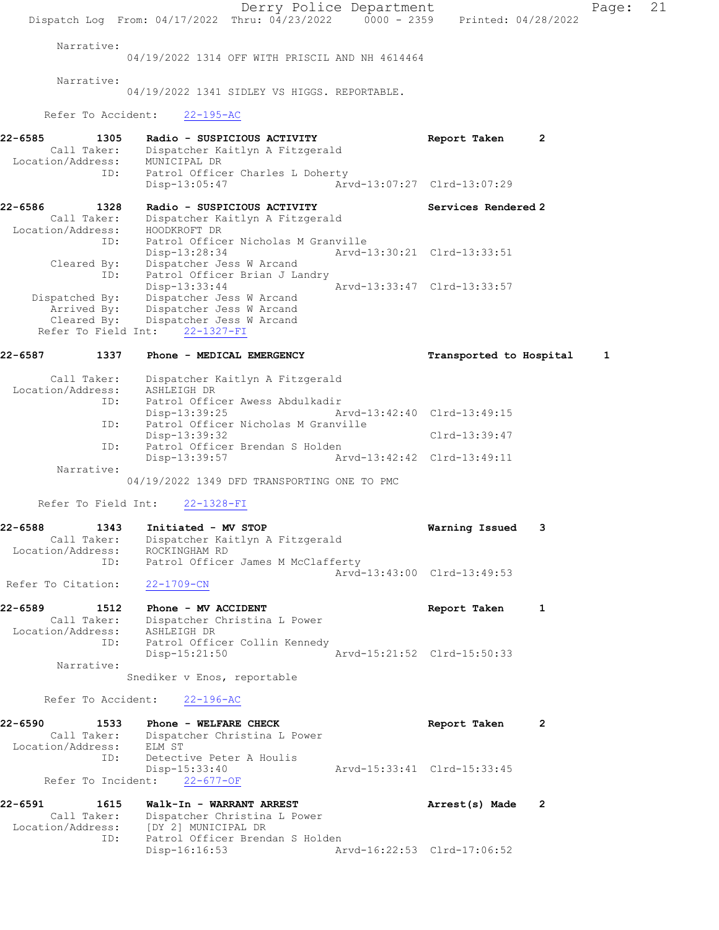Derry Police Department Page: 21 Dispatch Log From: 04/17/2022 Thru: 04/23/2022 0000 - 2359 Printed: 04/28/2022 Narrative: 04/19/2022 1314 OFF WITH PRISCIL AND NH 4614464 Narrative: 04/19/2022 1341 SIDLEY VS HIGGS. REPORTABLE. Refer To Accident: 22-195-AC 22-6585 1305 Radio - SUSPICIOUS ACTIVITY CHAREL Report Taken 2 Call Taker: Dispatcher Kaitlyn A Fitzgerald Location/Address: MUNICIPAL DR ID: Patrol Officer Charles L Doherty Disp-13:05:47 Arvd-13:07:27 Clrd-13:07:29 22-6586 1328 Radio - SUSPICIOUS ACTIVITY Services Rendered 2 Call Taker: Dispatcher Kaitlyn A Fitzgerald Location/Address: HOODKROFT DR ID: Patrol Officer Nicholas M Granville Disp-13:28:34 Arvd-13:30:21 Clrd-13:33:51 Cleared By: Dispatcher Jess W Arcand ID: Patrol Officer Brian J Landry Disp-13:33:44 Arvd-13:33:47 Clrd-13:33:57 Dispatched By: Dispatcher Jess W Arcand Arrived By: Dispatcher Jess W Arcand Cleared By: Dispatcher Jess W Arcand Refer To Field Int: 22-1327-FI 22-6587 1337 Phone - MEDICAL EMERGENCY 1 Transported to Hospital 1 Call Taker: Dispatcher Kaitlyn A Fitzgerald Location/Address: ASHLEIGH DR ID: Patrol Officer Awess Abdulkadir Disp-13:39:25 Arvd-13:42:40 Clrd-13:49:15 ID: Patrol Officer Nicholas M Granville Disp-13:39:32 Clrd-13:39:47<br>ID: Patrol Officer Brendan S Holden Patrol Officer Brendan S Holden<br>Disp-13:39:57 Ar Arvd-13:42:42 Clrd-13:49:11 Narrative: 04/19/2022 1349 DFD TRANSPORTING ONE TO PMC Refer To Field Int: 22-1328-FI 22-6588 1343 Initiated - MV STOP Warning Issued 3 Call Taker: Dispatcher Kaitlyn A Fitzgerald Location/Address: ROCKINGHAM RD ID: Patrol Officer James M McClafferty Arvd-13:43:00 Clrd-13:49:53 Refer To Citation: 22-1709-CN 22-6589 1512 Phone - MV ACCIDENT Report Taken 1 Call Taker: Dispatcher Christina L Power Location/Address: ASHLEIGH DR ID: Patrol Officer Collin Kennedy Disp-15:21:50 Arvd-15:21:52 Clrd-15:50:33 Narrative: Snediker v Enos, reportable Refer To Accident: 22-196-AC 22-6590 1533 Phone - WELFARE CHECK 1988 Phone 2 Call Taker: Dispatcher Christina L Power Location/Address: ELM ST ID: Detective Peter A Houlis<br>Disp-15:33:40 Disp-15:33:40 Arvd-15:33:41 Clrd-15:33:45 Refer To Incident: 22-677-OF 22-6591 1615 Walk-In - WARRANT ARREST Arrest(s) Made 2 Call Taker: Dispatcher Christina L Power Location/Address: [DY 2] MUNICIPAL DR ID: Patrol Officer Brendan S Holden<br>Disp-16:16:53 Ar Arvd-16:22:53 Clrd-17:06:52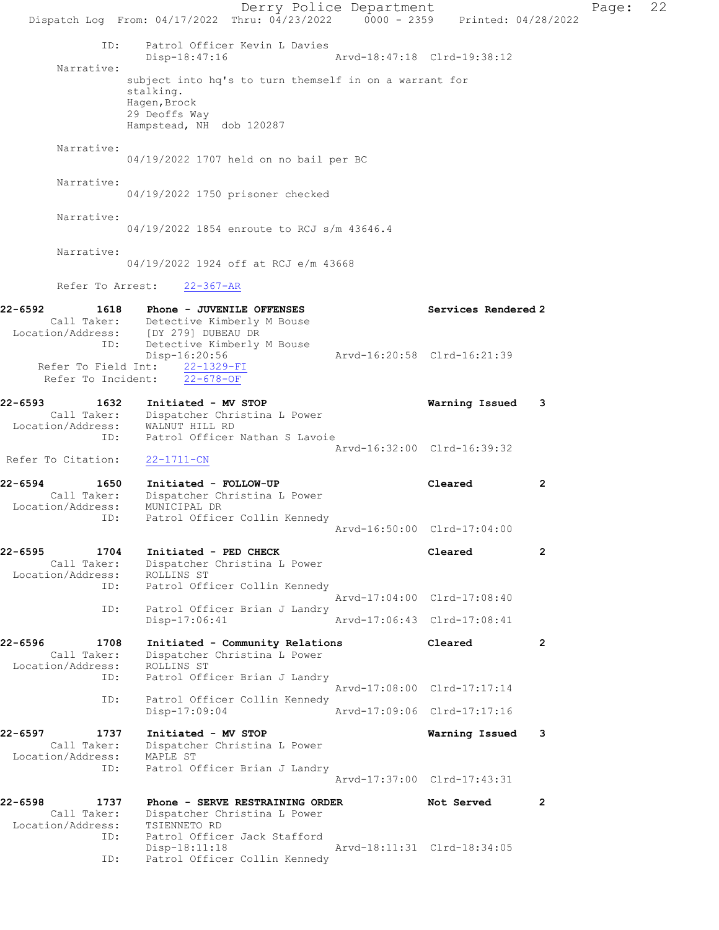Derry Police Department Fage: 22 Dispatch Log From: 04/17/2022 Thru: 04/23/2022 0000 - 2359 Printed: 04/28/2022 ID: Patrol Officer Kevin L Davies Disp-18:47:16 Arvd-18:47:18 Clrd-19:38:12 Narrative: subject into hq's to turn themself in on a warrant for stalking. Hagen,Brock 29 Deoffs Way Hampstead, NH dob 120287 Narrative: 04/19/2022 1707 held on no bail per BC Narrative: 04/19/2022 1750 prisoner checked Narrative: 04/19/2022 1854 enroute to RCJ s/m 43646.4 Narrative: 04/19/2022 1924 off at RCJ e/m 43668 Refer To Arrest: 22-367-AR 22-6592 1618 Phone - JUVENILE OFFENSES Services Rendered 2 Call Taker: Detective Kimberly M Bouse Location/Address: [DY 279] DUBEAU DR ID: Detective Kimberly M Bouse<br>Disp-16:20:56 Disp-16:20:56 Arvd-16:20:58 Clrd-16:21:39 Refer To Field Int: 22-1329-FI Refer To Incident: 22-678-OF 22-6593 1632 Initiated - MV STOP Warning Issued 3 Call Taker: Dispatcher Christina L Power Location/Address: WALNUT HILL RD ID: Patrol Officer Nathan S Lavoie Arvd-16:32:00 Clrd-16:39:32 Refer To Citation: 22-1711-CN 22-6594 1650 Initiated - FOLLOW-UP Cleared 2 Call Taker: Dispatcher Christina L Power Location/Address: MUNICIPAL DR ID: Patrol Officer Collin Kennedy Arvd-16:50:00 Clrd-17:04:00 22-6595 1704 Initiated - PED CHECK Cleared 2 Call Taker: Dispatcher Christina L Power Location/Address: ROLLINS ST ID: Patrol Officer Collin Kennedy Arvd-17:04:00 Clrd-17:08:40 ID: Patrol Officer Brian J Landry<br>Disp-17:06:41 Arvd-17:06:43 Clrd-17:08:41 Disp-17:06:41 22-6596 1708 Initiated - Community Relations Cleared 2 Call Taker: Dispatcher Christina L Power Location/Address: ROLLINS ST ID: Patrol Officer Brian J Landry Arvd-17:08:00 Clrd-17:17:14 ID: Patrol Officer Collin Kennedy<br>Disp-17:09:04 Disp-17:09:04 Arvd-17:09:06 Clrd-17:17:16 22-6597 1737 Initiated - MV STOP Warning Issued 3 Call Taker: Dispatcher Christina L Power Location/Address: MAPLE ST ID: Patrol Officer Brian J Landry Arvd-17:37:00 Clrd-17:43:31 22-6598 1737 Phone - SERVE RESTRAINING ORDER Not Served 2 Call Taker: Dispatcher Christina L Power Location/Address: TSIENNETO RD ID: Patrol Officer Jack Stafford Disp-18:11:18 Arvd-18:11:31 Clrd-18:34:05 ID: Patrol Officer Collin Kennedy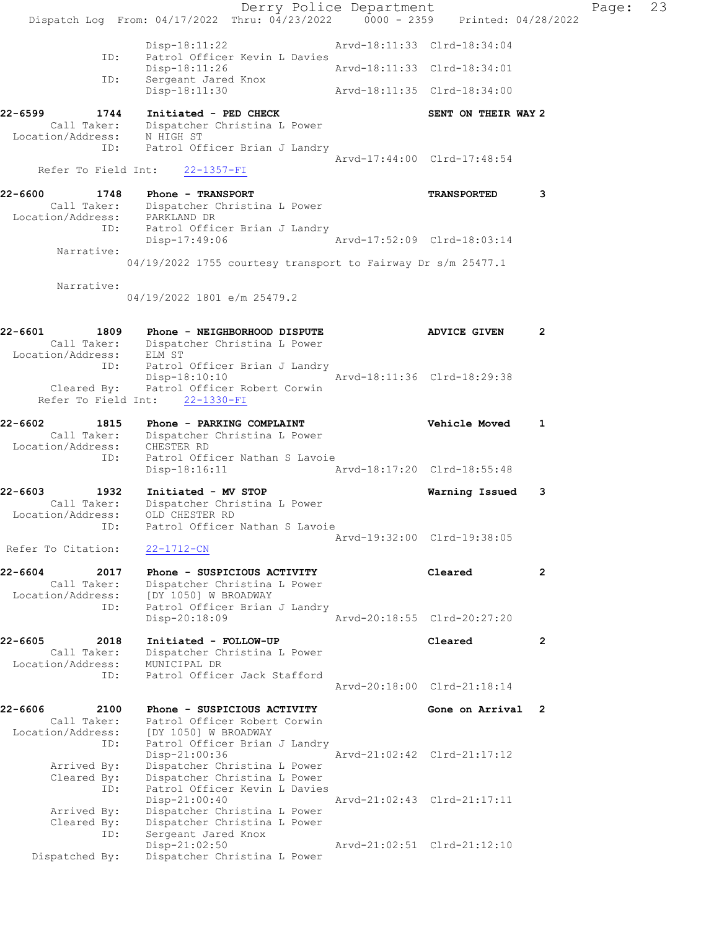|                                     |                                                                                | Derry Police Department     |                     |                | Page: | 23 |
|-------------------------------------|--------------------------------------------------------------------------------|-----------------------------|---------------------|----------------|-------|----|
|                                     | Dispatch Log From: 04/17/2022 Thru: 04/23/2022 0000 - 2359 Printed: 04/28/2022 |                             |                     |                |       |    |
| ID:                                 | Disp-18:11:22<br>Patrol Officer Kevin L Davies                                 | Arvd-18:11:33 Clrd-18:34:04 |                     |                |       |    |
| ID:                                 | Disp-18:11:26<br>Sergeant Jared Knox                                           | Arvd-18:11:33 Clrd-18:34:01 |                     |                |       |    |
|                                     | Disp-18:11:30                                                                  | Arvd-18:11:35 Clrd-18:34:00 |                     |                |       |    |
| 22-6599<br>1744                     | Initiated - PED CHECK<br>Call Taker: Dispatcher Christina L Power              |                             | SENT ON THEIR WAY 2 |                |       |    |
| Location/Address: N HIGH ST         | ID: Patrol Officer Brian J Landry                                              |                             |                     |                |       |    |
| Refer To Field Int:                 | $22 - 1357 - FI$                                                               | Arvd-17:44:00 Clrd-17:48:54 |                     |                |       |    |
| 22-6600<br>1748                     | Phone - TRANSPORT                                                              |                             | <b>TRANSPORTED</b>  | 3              |       |    |
|                                     | Call Taker: Dispatcher Christina L Power<br>Location/Address: PARKLAND DR      |                             |                     |                |       |    |
|                                     | ID: Patrol Officer Brian J Landry<br>Disp-17:49:06                             | Arvd-17:52:09 Clrd-18:03:14 |                     |                |       |    |
| Narrative:                          | 04/19/2022 1755 courtesy transport to Fairway Dr s/m 25477.1                   |                             |                     |                |       |    |
| Narrative:                          | 04/19/2022 1801 e/m 25479.2                                                    |                             |                     |                |       |    |
| 22-6601<br>1809                     | Phone - NEIGHBORHOOD DISPUTE                                                   |                             | <b>ADVICE GIVEN</b> | $\overline{2}$ |       |    |
| Location/Address: ELM ST            | Call Taker: Dispatcher Christina L Power                                       |                             |                     |                |       |    |
|                                     | ID: Patrol Officer Brian J Landry<br>Disp-18:10:10                             | Arvd-18:11:36 Clrd-18:29:38 |                     |                |       |    |
| Cleared By:<br>Refer To Field Int:  | Patrol Officer Robert Corwin<br>$22 - 1330 - FI$                               |                             |                     |                |       |    |
| 22-6602<br>1815                     | Phone - PARKING COMPLAINT<br>Call Taker: Dispatcher Christina L Power          |                             | Vehicle Moved       | 1              |       |    |
| Location/Address: CHESTER RD<br>ID: | Patrol Officer Nathan S Lavoie                                                 |                             |                     |                |       |    |
|                                     | Disp-18:16:11                                                                  | Arvd-18:17:20 Clrd-18:55:48 |                     |                |       |    |
| 22-6603<br>1932<br>Call Taker:      | Initiated - MV STOP<br>Dispatcher Christina L Power                            |                             | Warning Issued      | -3             |       |    |
| Location/Address:<br>TD:            | OLD CHESTER RD<br>Patrol Officer Nathan S Lavoie                               |                             |                     |                |       |    |
|                                     |                                                                                | Arvd-19:32:00 Clrd-19:38:05 |                     |                |       |    |
| Refer To Citation:                  | 22-1712-CN                                                                     |                             |                     |                |       |    |
| 22-6604<br>2017<br>Call Taker:      | Phone - SUSPICIOUS ACTIVITY<br>Dispatcher Christina L Power                    |                             | Cleared             | $\mathbf{2}$   |       |    |
| Location/Address:<br>ID:            | [DY 1050] W BROADWAY<br>Patrol Officer Brian J Landry                          |                             |                     |                |       |    |
|                                     | Disp-20:18:09                                                                  | Arvd-20:18:55 Clrd-20:27:20 |                     |                |       |    |
| 22-6605<br>2018<br>Call Taker:      | Initiated - FOLLOW-UP<br>Dispatcher Christina L Power                          |                             | Cleared             | $\mathbf{2}$   |       |    |
| Location/Address:<br>ID:            | MUNICIPAL DR<br>Patrol Officer Jack Stafford                                   |                             |                     |                |       |    |
|                                     |                                                                                | Arvd-20:18:00 Clrd-21:18:14 |                     |                |       |    |
| 22-6606<br>2100<br>Call Taker:      | Phone - SUSPICIOUS ACTIVITY<br>Patrol Officer Robert Corwin                    |                             | Gone on Arrival 2   |                |       |    |
| Location/Address:<br>ID:            | [DY 1050] W BROADWAY<br>Patrol Officer Brian J Landry                          |                             |                     |                |       |    |
| Arrived By:                         | Disp-21:00:36<br>Dispatcher Christina L Power                                  | Arvd-21:02:42 Clrd-21:17:12 |                     |                |       |    |
| Cleared By:<br>ID:                  | Dispatcher Christina L Power<br>Patrol Officer Kevin L Davies                  |                             |                     |                |       |    |
| Arrived By:                         | Disp-21:00:40<br>Dispatcher Christina L Power                                  | Arvd-21:02:43 Clrd-21:17:11 |                     |                |       |    |
| Cleared By:<br>ID:                  | Dispatcher Christina L Power<br>Sergeant Jared Knox                            |                             |                     |                |       |    |
| Dispatched By:                      | Disp-21:02:50<br>Dispatcher Christina L Power                                  | Arvd-21:02:51 Clrd-21:12:10 |                     |                |       |    |
|                                     |                                                                                |                             |                     |                |       |    |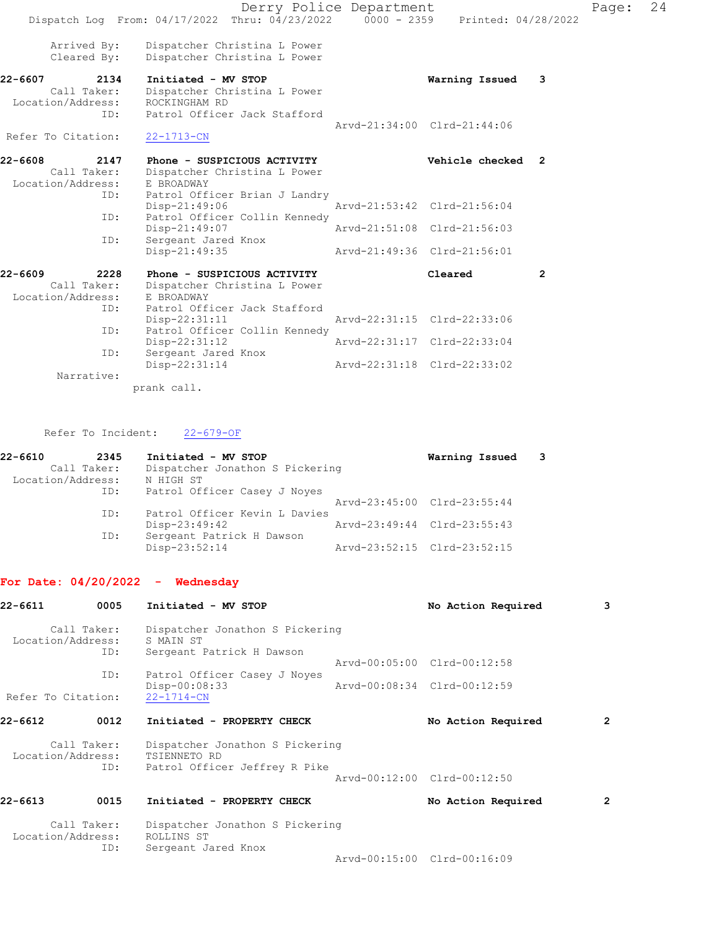|                            | Dispatch Log From: 04/17/2022 Thru: 04/23/2022 0000 - 2359 Printed: 04/28/2022 | Derry Police Department |                             |                         | Page: | 24 |
|----------------------------|--------------------------------------------------------------------------------|-------------------------|-----------------------------|-------------------------|-------|----|
| Arrived By:<br>Cleared By: | Dispatcher Christina L Power<br>Dispatcher Christina L Power                   |                         |                             |                         |       |    |
| 22-6607<br>2134            | Initiated - MV STOP                                                            |                         | Warning Issued              | $\overline{\mathbf{3}}$ |       |    |
| Call Taker:                | Dispatcher Christina L Power                                                   |                         |                             |                         |       |    |
| Location/Address:          | ROCKINGHAM RD                                                                  |                         |                             |                         |       |    |
| ID:                        | Patrol Officer Jack Stafford                                                   |                         |                             |                         |       |    |
|                            |                                                                                |                         | Arvd-21:34:00 Clrd-21:44:06 |                         |       |    |
| Refer To Citation:         | $22 - 1713 - CN$                                                               |                         |                             |                         |       |    |
| 22-6608<br>2147            | Phone - SUSPICIOUS ACTIVITY                                                    |                         | Vehicle checked 2           |                         |       |    |
| Call Taker:                | Dispatcher Christina L Power                                                   |                         |                             |                         |       |    |
| Location/Address:          | E BROADWAY                                                                     |                         |                             |                         |       |    |
| ID:                        | Patrol Officer Brian J Landry                                                  |                         |                             |                         |       |    |
|                            | Disp-21:49:06                                                                  |                         | Aryd-21:53:42 Clrd-21:56:04 |                         |       |    |
| ID:                        | Patrol Officer Collin Kennedy                                                  |                         |                             |                         |       |    |
|                            | Disp-21:49:07                                                                  |                         | Arvd-21:51:08 Clrd-21:56:03 |                         |       |    |
| ID:                        | Sergeant Jared Knox                                                            |                         | Aryd-21:49:36 Clrd-21:56:01 |                         |       |    |
|                            | Disp-21:49:35                                                                  |                         |                             |                         |       |    |
| $22 - 6609$<br>2228        | Phone - SUSPICIOUS ACTIVITY                                                    |                         | Cleared                     | $\overline{2}$          |       |    |
| Call Taker:                | Dispatcher Christina L Power                                                   |                         |                             |                         |       |    |
| Location/Address:          | E BROADWAY                                                                     |                         |                             |                         |       |    |
| ID:                        | Patrol Officer Jack Stafford                                                   |                         |                             |                         |       |    |
|                            | Disp-22:31:11                                                                  |                         | Arvd-22:31:15 Clrd-22:33:06 |                         |       |    |
| ID:                        | Patrol Officer Collin Kennedy                                                  |                         |                             |                         |       |    |
| ID:                        | Disp-22:31:12                                                                  |                         | Arvd-22:31:17 Clrd-22:33:04 |                         |       |    |
|                            | Sergeant Jared Knox<br>Disp-22:31:14                                           |                         | Arvd-22:31:18 Clrd-22:33:02 |                         |       |    |
| Narrative:                 |                                                                                |                         |                             |                         |       |    |
|                            | prank call.                                                                    |                         |                             |                         |       |    |
|                            |                                                                                |                         |                             |                         |       |    |

# Refer To Incident: 22-679-OF

| 22-6610           | 2345        | Initiated - MV STOP             | Warning Issued 3            |  |
|-------------------|-------------|---------------------------------|-----------------------------|--|
|                   | Call Taker: | Dispatcher Jonathon S Pickering |                             |  |
| Location/Address: |             | N HIGH ST                       |                             |  |
|                   | ID:         | Patrol Officer Casey J Noyes    |                             |  |
|                   |             |                                 | Arvd-23:45:00 Clrd-23:55:44 |  |
|                   | ID:         | Patrol Officer Kevin L Davies   |                             |  |
|                   |             | Disp-23:49:42                   | Arvd-23:49:44 Clrd-23:55:43 |  |
|                   | ID:         | Sergeant Patrick H Dawson       |                             |  |
|                   |             | Disp-23:52:14                   | Arvd-23:52:15 Clrd-23:52:15 |  |

## For Date: 04/20/2022 - Wednesday

| 22-6611            | 0005               | Initiated - MV STOP                                                              | No Action Required          | 3 |
|--------------------|--------------------|----------------------------------------------------------------------------------|-----------------------------|---|
| Location/Address:  | Call Taker:<br>ID: | Dispatcher Jonathon S Pickering<br>S MAIN ST<br>Sergeant Patrick H Dawson        |                             |   |
|                    |                    |                                                                                  | Arvd-00:05:00 Clrd-00:12:58 |   |
| Refer To Citation: | ID:                | Patrol Officer Casey J Noyes<br>Disp-00:08:33<br>$22 - 1714 - CN$                | Arvd-00:08:34 Clrd-00:12:59 |   |
| 22-6612            | 0012               | Initiated - PROPERTY CHECK                                                       | No Action Required          | 2 |
| Location/Address:  | Call Taker:<br>ID: | Dispatcher Jonathon S Pickering<br>TSIENNETO RD<br>Patrol Officer Jeffrey R Pike |                             |   |
|                    |                    |                                                                                  | Aryd-00:12:00 Clrd-00:12:50 |   |
| 22-6613            | 0015               | Initiated - PROPERTY CHECK                                                       | No Action Required          | 2 |
| Location/Address:  | Call Taker:<br>ID: | Dispatcher Jonathon S Pickering<br>ROLLINS ST<br>Sergeant Jared Knox             |                             |   |
|                    |                    |                                                                                  | Arvd-00:15:00 Clrd-00:16:09 |   |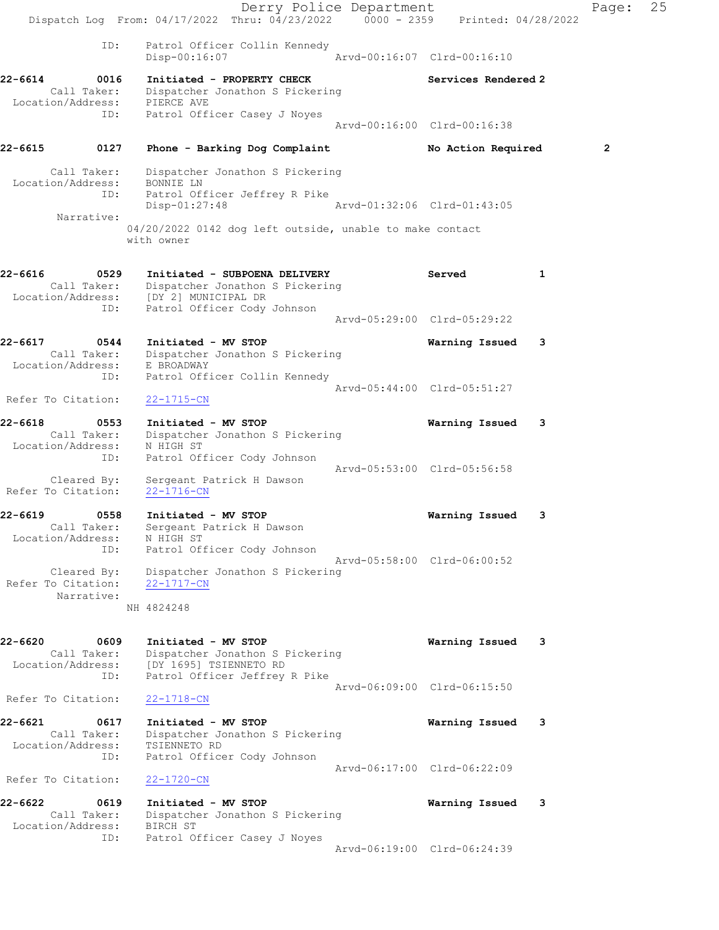Derry Police Department Fage: 25 Dispatch Log From: 04/17/2022 Thru: 04/23/2022 0000 - 2359 Printed: 04/28/2022 ID: Patrol Officer Collin Kennedy Disp-00:16:07 Arvd-00:16:07 Clrd-00:16:10 22-6614 0016 Initiated - PROPERTY CHECK Services Rendered 2 Call Taker: Dispatcher Jonathon S Pickering Location/Address: PIERCE AVE ID: Patrol Officer Casey J Noyes Arvd-00:16:00 Clrd-00:16:38 22-6615 0127 Phone - Barking Dog Complaint No Action Required 2 Call Taker: Dispatcher Jonathon S Pickering Location/Address: BONNIE LN ID: Patrol Officer Jeffrey R Pike Disp-01:27:48 Arvd-01:32:06 Clrd-01:43:05 Narrative: 04/20/2022 0142 dog left outside, unable to make contact with owner 22-6616 0529 Initiated - SUBPOENA DELIVERY Served 1 Call Taker: Dispatcher Jonathon S Pickering Location/Address: [DY 2] MUNICIPAL DR ID: Patrol Officer Cody Johnson Arvd-05:29:00 Clrd-05:29:22 22-6617 0544 Initiated - MV STOP Warning Issued 3 Call Taker: Dispatcher Jonathon S Pickering Location/Address: E BROADWAY ID: Patrol Officer Collin Kennedy Arvd-05:44:00 Clrd-05:51:27 Refer To Citation: 22-1715-CN 22-6618 0553 Initiated - MV STOP Warning Issued 3 Call Taker: Dispatcher Jonathon S Pickering Location/Address: N HIGH ST ID: Patrol Officer Cody Johnson Arvd-05:53:00 Clrd-05:56:58 Cleared By: Sergeant Patrick H Dawson Refer To Citation: 22-1716-CN 22-6619 0558 Initiated - MV STOP Warning Issued 3 Call Taker: Sergeant Patrick H Dawson Location/Address: N HIGH ST ID: Patrol Officer Cody Johnson Arvd-05:58:00 Clrd-06:00:52 Cleared By: Dispatcher Jonathon S Pickering Refer To Citation: 22-1717-CN Narrative: NH 4824248 22-6620 0609 Initiated - MV STOP Warning Issued 3 Call Taker: Dispatcher Jonathon S Pickering<br>Isostian (2013) Location/Address: [DY 1695] TSIENNETO RD ID: Patrol Officer Jeffrey R Pike Arvd-06:09:00 Clrd-06:15:50 Refer To Citation: 22-1718-CN 22-6621 0617 Initiated - MV STOP Warning Issued 3 Call Taker: Dispatcher Jonathon S Pickering Location/Address: TSIENNETO RD ID: Patrol Officer Cody Johnson Arvd-06:17:00 Clrd-06:22:09 Refer To Citation: 22-1720-CN 22-6622 0619 Initiated - MV STOP Warning Issued 3 Call Taker: Dispatcher Jonathon S Pickering Location/Address: BIRCH ST ID: Patrol Officer Casey J Noyes Arvd-06:19:00 Clrd-06:24:39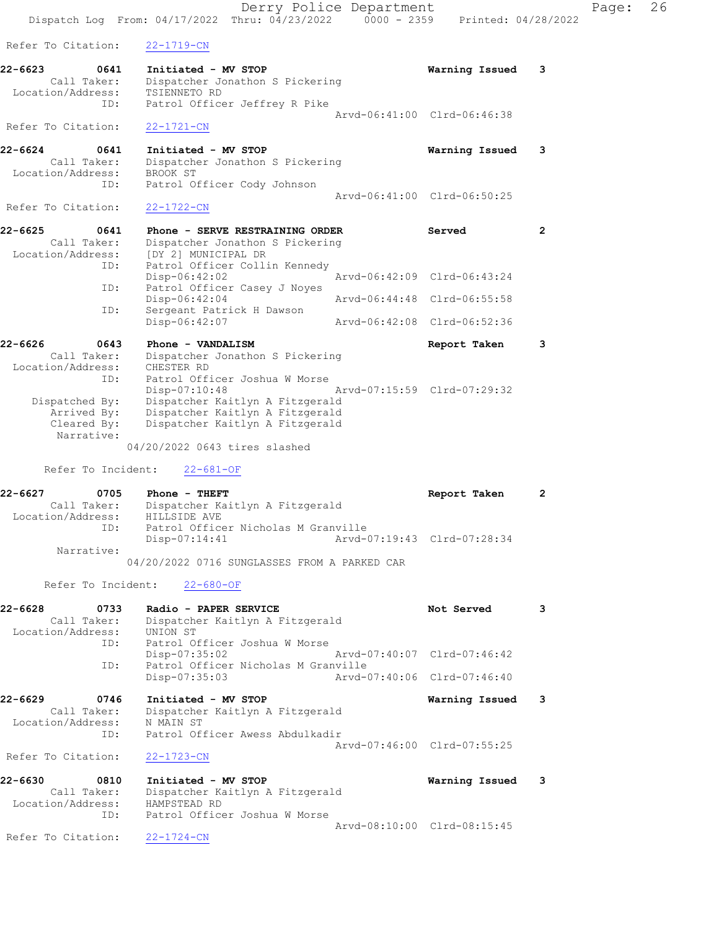|                                                                   | Dispatch Log From: 04/17/2022 Thru: 04/23/2022 0000 - 2359 Printed: 04/28/2022                                                                                                           | Derry Police Department |                             |                | Page: | 26 |
|-------------------------------------------------------------------|------------------------------------------------------------------------------------------------------------------------------------------------------------------------------------------|-------------------------|-----------------------------|----------------|-------|----|
| Refer To Citation:                                                | $22 - 1719 - CN$                                                                                                                                                                         |                         |                             |                |       |    |
| 22-6623<br>0641<br>Call Taker:<br>Location/Address:               | Initiated - MV STOP<br>Dispatcher Jonathon S Pickering<br>TSIENNETO RD                                                                                                                   |                         | Warning Issued              | 3              |       |    |
| ID:                                                               | Patrol Officer Jeffrey R Pike                                                                                                                                                            |                         | Arvd-06:41:00 Clrd-06:46:38 |                |       |    |
| Refer To Citation:                                                | $22 - 1721 - CN$                                                                                                                                                                         |                         |                             |                |       |    |
| 22-6624<br>0641<br>Call Taker:<br>Location/Address:<br>ID:        | Initiated - MV STOP<br>Dispatcher Jonathon S Pickering<br>BROOK ST<br>Patrol Officer Cody Johnson                                                                                        |                         | Warning Issued              | 3              |       |    |
| Refer To Citation:                                                | $22 - 1722 - CN$                                                                                                                                                                         |                         | Arvd-06:41:00 Clrd-06:50:25 |                |       |    |
| 22-6625<br>0641<br>Call Taker:<br>Location/Address:               | Phone - SERVE RESTRAINING ORDER<br>Dispatcher Jonathon S Pickering<br>[DY 2] MUNICIPAL DR                                                                                                |                         | Served                      | $\overline{2}$ |       |    |
| ID:<br>ID:                                                        | Patrol Officer Collin Kennedy<br>$Disp-06:42:02$<br>Patrol Officer Casey J Noyes                                                                                                         |                         | Arvd-06:42:09 Clrd-06:43:24 |                |       |    |
| ID:                                                               | Disp-06:42:04<br>Sergeant Patrick H Dawson                                                                                                                                               |                         | Arvd-06:44:48 Clrd-06:55:58 |                |       |    |
|                                                                   | Disp-06:42:07                                                                                                                                                                            |                         | Arvd-06:42:08 Clrd-06:52:36 |                |       |    |
| 22-6626<br>0643<br>Call Taker:<br>Location/Address:               | Phone - VANDALISM<br>Dispatcher Jonathon S Pickering<br>CHESTER RD                                                                                                                       |                         | Report Taken                | 3              |       |    |
| ID:<br>Dispatched By:<br>Arrived By:<br>Cleared By:<br>Narrative: | Patrol Officer Joshua W Morse<br>Disp-07:10:48<br>Dispatcher Kaitlyn A Fitzgerald<br>Dispatcher Kaitlyn A Fitzgerald<br>Dispatcher Kaitlyn A Fitzgerald<br>04/20/2022 0643 tires slashed |                         | Arvd-07:15:59 Clrd-07:29:32 |                |       |    |
| Refer To Incident:                                                | $22 - 681 - OF$                                                                                                                                                                          |                         |                             |                |       |    |
| 22-6627<br>0705<br>Call Taker:<br>Location/Address:               | Phone - THEFT<br>Dispatcher Kaitlyn A Fitzgerald<br>HILLSIDE AVE<br>ID: Patrol Officer Nicholas M Granville                                                                              |                         | Report Taken                | 2              |       |    |
| Narrative:                                                        | $Disp-07:14:41$<br>04/20/2022 0716 SUNGLASSES FROM A PARKED CAR                                                                                                                          |                         | Arvd-07:19:43 Clrd-07:28:34 |                |       |    |
|                                                                   | Refer To Incident: 22-680-OF                                                                                                                                                             |                         |                             |                |       |    |
| 22-6628<br>0733<br>Call Taker:<br>Location/Address:<br>ID:        | Radio - PAPER SERVICE<br>Dispatcher Kaitlyn A Fitzgerald<br>UNION ST<br>Patrol Officer Joshua W Morse                                                                                    |                         | Not Served                  | 3              |       |    |
| ID:                                                               | Disp-07:35:02<br>Patrol Officer Nicholas M Granville                                                                                                                                     |                         | Arvd-07:40:07 Clrd-07:46:42 |                |       |    |
|                                                                   | $Disp-07:35:03$                                                                                                                                                                          |                         | Arvd-07:40:06 Clrd-07:46:40 |                |       |    |
| 22-6629<br>0746<br>Call Taker:<br>Location/Address:<br>ID:        | Initiated - MV STOP<br>Dispatcher Kaitlyn A Fitzgerald<br>N MAIN ST<br>Patrol Officer Awess Abdulkadir                                                                                   |                         | Warning Issued              | 3              |       |    |
| Refer To Citation:                                                | $22 - 1723 - CN$                                                                                                                                                                         |                         | Arvd-07:46:00 Clrd-07:55:25 |                |       |    |
| 22-6630<br>0810<br>Call Taker:<br>Location/Address:               | Initiated - MV STOP<br>Dispatcher Kaitlyn A Fitzgerald<br>HAMPSTEAD RD                                                                                                                   |                         | Warning Issued 3            |                |       |    |
| ID:<br>Refer To Citation:                                         | Patrol Officer Joshua W Morse<br>$22 - 1724 - CN$                                                                                                                                        |                         | Arvd-08:10:00 Clrd-08:15:45 |                |       |    |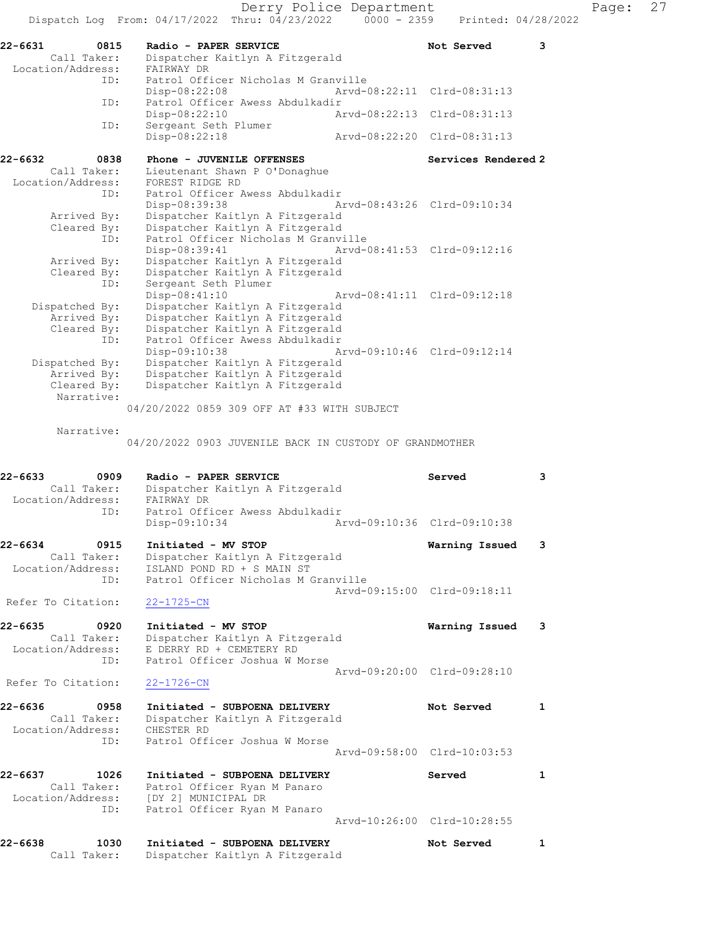Derry Police Department Fage: 27 Dispatch Log From:  $04/17/2022$  Thru:  $04/23/2022$  0000 - 2359 Printed: 04/28/2022 22-6631 0815 Radio - PAPER SERVICE Not Served 3 Call Taker: Dispatcher Kaitlyn A Fitzgerald Location/Address: FAIRWAY DR ID: Patrol Officer Nicholas M Granville Disp-08:22:08 Arvd-08:22:11 Clrd-08:31:13 ID: Patrol Officer Awess Abdulkadir Disp-08:22:10 Arvd-08:22:13 Clrd-08:31:13 ID: Sergeant Seth Plumer Disp-08:22:18 Arvd-08:22:20 Clrd-08:31:13 22-6632 0838 Phone - JUVENILE OFFENSES Services Rendered 2 Call Taker: Lieutenant Shawn P O'Donaghue Location/Address: FOREST RIDGE RD ID: Patrol Officer Awess Abdulkadir Disp-08:39:38 Arvd-08:43:26 Clrd-09:10:34 Arrived By: Dispatcher Kaitlyn A Fitzgerald Cleared By: Dispatcher Kaitlyn A Fitzgerald ID: Patrol Officer Nicholas M Granville Disp-08:39:41 Arvd-08:41:53 Clrd-09:12:16 Arrived By: Dispatcher Kaitlyn A Fitzgerald Cleared By: Dispatcher Kaitlyn A Fitzgerald ID: Sergeant Seth Plumer Disp-08:41:10 Arvd-08:41:11 Clrd-09:12:18 Dispatched By: Dispatcher Kaitlyn A Fitzgerald Arrived By: Dispatcher Kaitlyn A Fitzgerald Cleared By: Dispatcher Kaitlyn A Fitzgerald ID: Patrol Officer Awess Abdulkadir Disp-09:10:38 Arvd-09:10:46 Clrd-09:12:14 Dispatched By: Dispatcher Kaitlyn A Fitzgerald Arrived By: Dispatcher Kaitlyn A Fitzgerald Cleared By: Dispatcher Kaitlyn A Fitzgerald Narrative: 04/20/2022 0859 309 OFF AT #33 WITH SUBJECT Narrative: 04/20/2022 0903 JUVENILE BACK IN CUSTODY OF GRANDMOTHER 22-6633 0909 Radio - PAPER SERVICE Served 3 Call Taker: Dispatcher Kaitlyn A Fitzgerald Location/Address: FAIRWAY DR ID: Patrol Officer Awess Abdulkadir Disp-09:10:34 Arvd-09:10:36 Clrd-09:10:38 22-6634 0915 Initiated - MV STOP Warning Issued 3 Call Taker: Dispatcher Kaitlyn A Fitzgerald Location/Address: ISLAND POND RD + S MAIN ST ID: Patrol Officer Nicholas M Granville Arvd-09:15:00 Clrd-09:18:11 Refer To Citation: 22-1725-CN 22-6635 0920 Initiated - MV STOP Warning Issued 3 Call Taker: Dispatcher Kaitlyn A Fitzgerald Location/Address: E DERRY RD + CEMETERY RD ID: Patrol Officer Joshua W Morse Arvd-09:20:00 Clrd-09:28:10 Refer To Citation: 22-1726-CN 22-6636 0958 Initiated - SUBPOENA DELIVERY Not Served 1 Call Taker: Dispatcher Kaitlyn A Fitzgerald Location/Address: CHESTER RD ID: Patrol Officer Joshua W Morse Arvd-09:58:00 Clrd-10:03:53 22-6637 1026 Initiated - SUBPOENA DELIVERY Served 51 1 Call Taker: Patrol Officer Ryan M Panaro Location/Address: [DY 2] MUNICIPAL DR ID: Patrol Officer Ryan M Panaro Arvd-10:26:00 Clrd-10:28:55 22-6638 1030 Initiated - SUBPOENA DELIVERY Not Served 1

Call Taker: Dispatcher Kaitlyn A Fitzgerald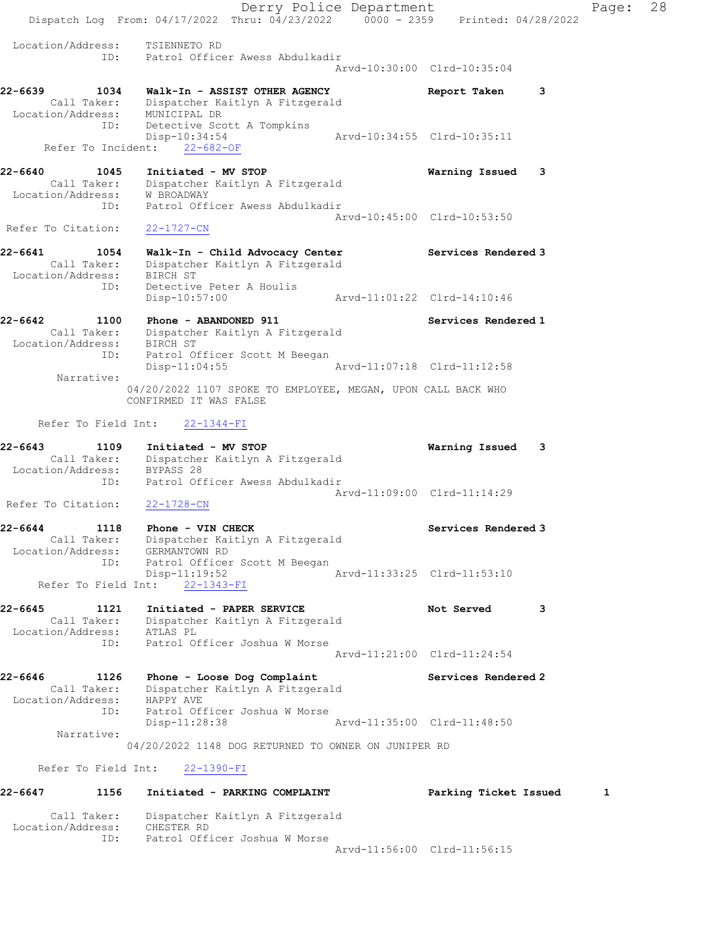Derry Police Department Fage: 28 Dispatch Log From: 04/17/2022 Thru: 04/23/2022 0000 - 2359 Printed: 04/28/2022 Location/Address: TSIENNETO RD ID: Patrol Officer Awess Abdulkadir Arvd-10:30:00 Clrd-10:35:04 22-6639 1034 Walk-In - ASSIST OTHER AGENCY Report Taken 3 Call Taker: Dispatcher Kaitlyn A Fitzgerald Location/Address: MUNICIPAL DR ID: Detective Scott A Tompkins Disp-10:34:54 Arvd-10:34:55 Clrd-10:35:11 Refer To Incident: 22-682-OF 22-6640 1045 Initiated - MV STOP Warning Issued 3 Call Taker: Dispatcher Kaitlyn A Fitzgerald Location/Address: W BROADWAY ID: Patrol Officer Awess Abdulkadir Arvd-10:45:00 Clrd-10:53:50 Refer To Citation: 22-1727-CN 22-6641 1054 Walk-In - Child Advocacy Center Services Rendered 3 Call Taker: Dispatcher Kaitlyn A Fitzgerald Location/Address: BIRCH ST ID: Detective Peter A Houlis Disp-10:57:00 Arvd-11:01:22 Clrd-14:10:46 22-6642 1100 Phone - ABANDONED 911 Services Rendered 1 Call Taker: Dispatcher Kaitlyn A Fitzgerald Location/Address: BIRCH ST ID: Patrol Officer Scott M Beegan Disp-11:04:55 Arvd-11:07:18 Clrd-11:12:58 Narrative: 04/20/2022 1107 SPOKE TO EMPLOYEE, MEGAN, UPON CALL BACK WHO CONFIRMED IT WAS FALSE Refer To Field Int: 22-1344-FI 22-6643 1109 Initiated - MV STOP Warning Issued 3 Call Taker: Dispatcher Kaitlyn A Fitzgerald Location/Address: BYPASS 28 ID: Patrol Officer Awess Abdulkadir Arvd-11:09:00 Clrd-11:14:29 Refer To Citation: 22-1728-CN 22-6644 1118 Phone - VIN CHECK Services Rendered 3 Call Taker: Dispatcher Kaitlyn A Fitzgerald Location/Address: GERMANTOWN RD ID: Patrol Officer Scott M Beegan Disp-11:19:52 Arvd-11:33:25 Clrd-11:53:10 Refer To Field Int: 22-1343-FI 22-6645 1121 Initiated - PAPER SERVICE Not Served 3 Call Taker: Dispatcher Kaitlyn A Fitzgerald Location/Address: ATLAS PL ID: Patrol Officer Joshua W Morse Arvd-11:21:00 Clrd-11:24:54 22-6646 1126 Phone - Loose Dog Complaint Services Rendered 2 Call Taker: Dispatcher Kaitlyn A Fitzgerald Location/Address: HAPPY AVE ID: Patrol Officer Joshua W Morse Disp-11:28:38 Arvd-11:35:00 Clrd-11:48:50 Narrative: 04/20/2022 1148 DOG RETURNED TO OWNER ON JUNIPER RD Refer To Field Int: 22-1390-FI 22-6647 1156 Initiated - PARKING COMPLAINT Parking Ticket Issued 1 Call Taker: Dispatcher Kaitlyn A Fitzgerald Location/Address: CHESTER RD

ID: Patrol Officer Joshua W Morse

Arvd-11:56:00 Clrd-11:56:15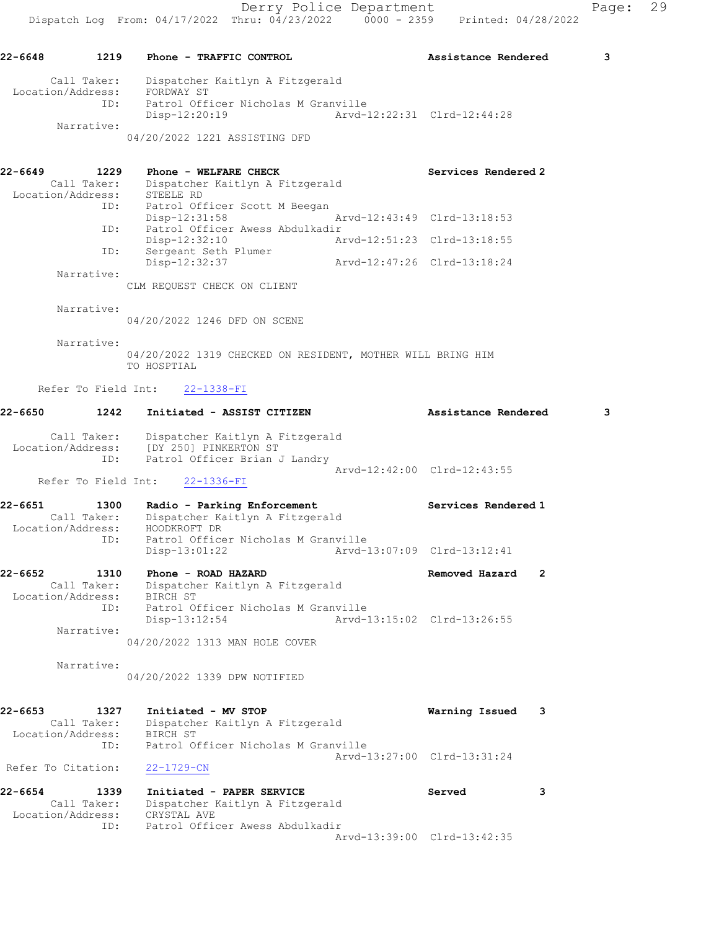04/20/2022 1221 ASSISTING DFD

| $22 - 6649$       | 1229        | Phone - WELFARE CHECK           |                             | Services Rendered 2 |
|-------------------|-------------|---------------------------------|-----------------------------|---------------------|
|                   | Call Taker: | Dispatcher Kaitlyn A Fitzgerald |                             |                     |
| Location/Address: |             | STEELE RD                       |                             |                     |
|                   | ID:         | Patrol Officer Scott M Beegan   |                             |                     |
|                   |             | Disp-12:31:58                   | Arvd-12:43:49 Clrd-13:18:53 |                     |
|                   | ID:         | Patrol Officer Awess Abdulkadir |                             |                     |
|                   |             | Disp-12:32:10                   | Arvd-12:51:23 Clrd-13:18:55 |                     |
|                   | ID:         | Sergeant Seth Plumer            |                             |                     |
|                   |             | Disp-12:32:37                   | Arvd-12:47:26 Clrd-13:18:24 |                     |
|                   | Narrative:  |                                 |                             |                     |

CLM REQUEST CHECK ON CLIENT

Narrative:

04/20/2022 1246 DFD ON SCENE

 Narrative: 04/20/2022 1319 CHECKED ON RESIDENT, MOTHER WILL BRING HIM TO HOSPTIAL

Refer To Field Int: 22-1338-FI

| 22-6650                          | 1242                       | Initiated - ASSIST CITIZEN                                                                                                  |                             | Assistance Rendered         |              | 3 |
|----------------------------------|----------------------------|-----------------------------------------------------------------------------------------------------------------------------|-----------------------------|-----------------------------|--------------|---|
|                                  | Call Taker:<br>ID:         | Dispatcher Kaitlyn A Fitzgerald<br>Location/Address: [DY 250] PINKERTON ST<br>Patrol Officer Brian J Landry                 |                             | Arvd-12:42:00 Clrd-12:43:55 |              |   |
|                                  | Refer To Field Int:        | $22 - 1336 - FI$                                                                                                            |                             |                             |              |   |
| $22 - 6651$<br>Location/Address: | 1300<br>Call Taker:<br>ID: | Radio - Parking Enforcement<br>Dispatcher Kaitlyn A Fitzgerald<br>HOODKROFT DR<br>Patrol Officer Nicholas M Granville       |                             | Services Rendered 1         |              |   |
|                                  |                            | $Disp-13:01:22$                                                                                                             | Arvd-13:07:09 Clrd-13:12:41 |                             |              |   |
| $22 - 6652$                      | 1310<br>Call Taker:<br>ID: | Phone - ROAD HAZARD<br>Dispatcher Kaitlyn A Fitzgerald<br>Location/Address: BIRCH ST<br>Patrol Officer Nicholas M Granville |                             | Removed Hazard              | $\mathbf{2}$ |   |
|                                  | Narrative:                 | Disp-13:12:54<br>04/20/2022 1313 MAN HOLE COVER                                                                             |                             | Arvd-13:15:02 Clrd-13:26:55 |              |   |
|                                  | Narrative:                 | 04/20/2022 1339 DPW NOTIFIED                                                                                                |                             |                             |              |   |
| $22 - 6653$                      | 1327<br>Call Taker:<br>ID: | Initiated - MV STOP<br>Dispatcher Kaitlyn A Fitzgerald<br>Location/Address: BIRCH ST<br>Patrol Officer Nicholas M Granville |                             | Warning Issued              | 3            |   |
| Refer To Citation:               |                            | $22 - 1729 - CN$                                                                                                            |                             | Arvd-13:27:00 Clrd-13:31:24 |              |   |
| $22 - 6654$<br>Location/Address: | 1339<br>Call Taker:<br>ID: | Initiated - PAPER SERVICE<br>Dispatcher Kaitlyn A Fitzgerald<br>CRYSTAL AVE<br>Patrol Officer Awess Abdulkadir              |                             | Served                      | 3            |   |
|                                  |                            |                                                                                                                             |                             | Arvd-13:39:00 Clrd-13:42:35 |              |   |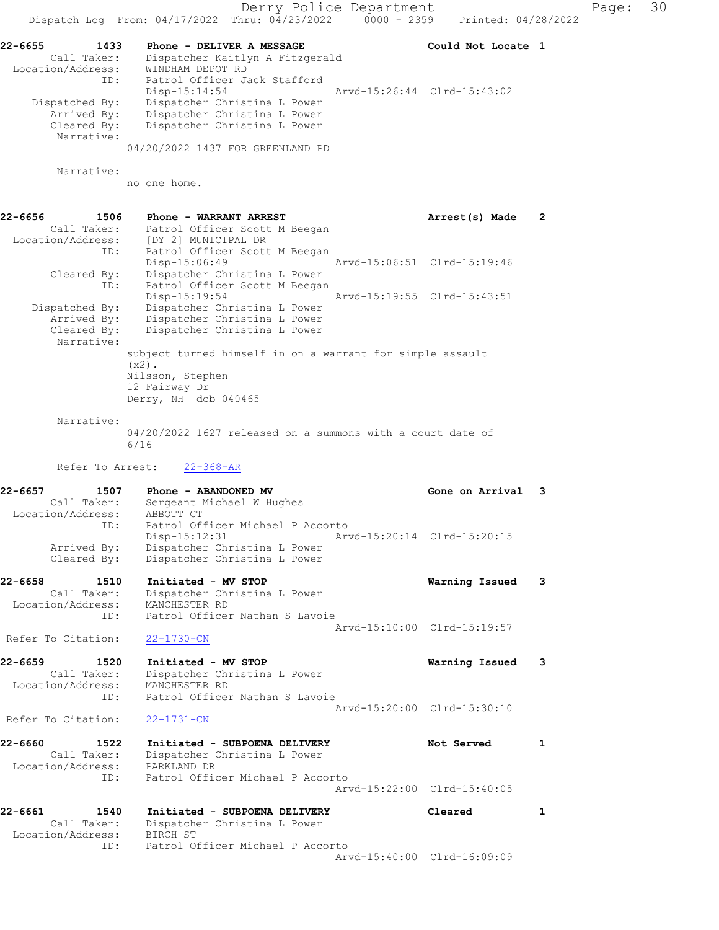Derry Police Department Fage: 30 Dispatch Log From: 04/17/2022 Thru: 04/23/2022 0000 - 2359 Printed: 04/28/2022 22-6655 1433 Phone - DELIVER A MESSAGE NEED Could Not Locate 1 Call Taker: Dispatcher Kaitlyn A Fitzgerald Location/Address: WINDHAM DEPOT RD ID: Patrol Officer Jack Stafford Disp-15:14:54 Arvd-15:26:44 Clrd-15:43:02 Dispatched By: Dispatcher Christina L Power Arrived By: Dispatcher Christina L Power Cleared By: Dispatcher Christina L Power Narrative: 04/20/2022 1437 FOR GREENLAND PD Narrative: no one home. 22-6656 1506 Phone - WARRANT ARREST 2 Call Taker: Patrol Officer Scott M Beegan Location/Address: [DY 2] MUNICIPAL DR ID: Patrol Officer Scott M Beegan Disp-15:06:49 Arvd-15:06:51 Clrd-15:19:46 Cleared By: Dispatcher Christina L Power ID: Patrol Officer Scott M Beegan Disp-15:19:54 Arvd-15:19:55 Clrd-15:43:51 Dispatched By: Dispatcher Christina L Power Arrived By: Dispatcher Christina L Power Cleared By: Dispatcher Christina L Power Narrative: subject turned himself in on a warrant for simple assault  $(x2)$ . Nilsson, Stephen 12 Fairway Dr Derry, NH dob 040465 Narrative: 04/20/2022 1627 released on a summons with a court date of 6/16 Refer To Arrest: 22-368-AR 22-6657 1507 Phone - ABANDONED MV Gone on Arrival 3 Call Taker: Sergeant Michael W Hughes Location/Address: ABBOTT CT ID: Patrol Officer Michael P Accorto Disp-15:12:31 Arvd-15:20:14 Clrd-15:20:15 Arrived By: Dispatcher Christina L Power Cleared By: Dispatcher Christina L Power 22-6658 1510 Initiated - MV STOP Warning Issued 3 Call Taker: Dispatcher Christina L Power Location/Address: MANCHESTER RD ID: Patrol Officer Nathan S Lavoie Arvd-15:10:00 Clrd-15:19:57 Refer To Citation: 22-1730-CN 22-6659 1520 Initiated - MV STOP Warning Issued 3 Call Taker: Dispatcher Christina L Power Location/Address: MANCHESTER RD ID: Patrol Officer Nathan S Lavoie Arvd-15:20:00 Clrd-15:30:10<br>22-1731-CN Refer To Citation: 22-6660 1522 Initiated - SUBPOENA DELIVERY Not Served 1 Call Taker: Dispatcher Christina L Power Location/Address: PARKLAND DR ID: Patrol Officer Michael P Accorto Arvd-15:22:00 Clrd-15:40:05 22-6661 1540 Initiated - SUBPOENA DELIVERY Cleared 1 Call Taker: Dispatcher Christina L Power Location/Address: BIRCH ST ID: Patrol Officer Michael P Accorto Arvd-15:40:00 Clrd-16:09:09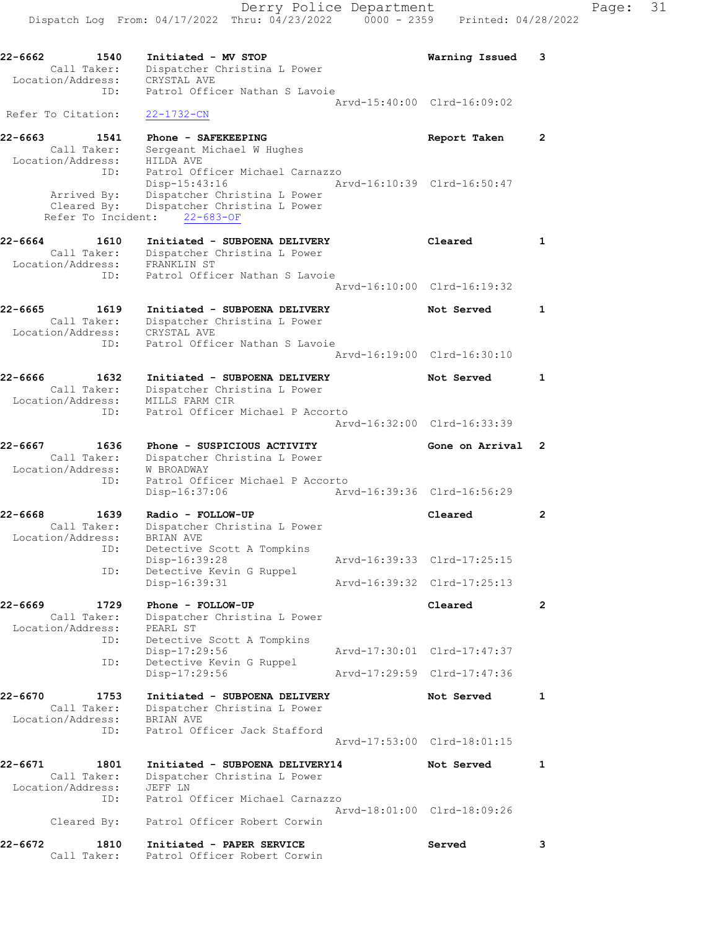22-6662 1540 Initiated - MV STOP Warning Issued 3 Call Taker: Dispatcher Christina L Power Location/Address: CRYSTAL AVE ID: Patrol Officer Nathan S Lavoie Arvd-15:40:00 Clrd-16:09:02 Refer To Citation: 22-1732-CN 22-6663 1541 Phone - SAFEKEEPING Report Taken 2 Call Taker: Sergeant Michael W Hughes Location/Address: HILDA AVE ID: Patrol Officer Michael Carnazzo Disp-15:43:16 Arvd-16:10:39 Clrd-16:50:47 Arrived By: Dispatcher Christina L Power Cleared By: Dispatcher Christina L Power Refer To Incident: 22-683-OF 22-6664 1610 Initiated - SUBPOENA DELIVERY Cleared 1 Call Taker: Dispatcher Christina L Power Location/Address: FRANKLIN ST ID: Patrol Officer Nathan S Lavoie Arvd-16:10:00 Clrd-16:19:32 22-6665 1619 Initiated - SUBPOENA DELIVERY Not Served 1 Call Taker: Dispatcher Christina L Power Location/Address: CRYSTAL AVE ID: Patrol Officer Nathan S Lavoie Arvd-16:19:00 Clrd-16:30:10 22-6666 1632 Initiated - SUBPOENA DELIVERY Not Served 1 Call Taker: Dispatcher Christina L Power Location/Address: MILLS FARM CIR ID: Patrol Officer Michael P Accorto Arvd-16:32:00 Clrd-16:33:39 22-6667 1636 Phone - SUSPICIOUS ACTIVITY Gone on Arrival 2 Call Taker: Dispatcher Christina L Power Location/Address: W BROADWAY ID: Patrol Officer Michael P Accorto Disp-16:37:06 Arvd-16:39:36 Clrd-16:56:29 22-6668 1639 Radio - FOLLOW-UP Cleared 2 Call Taker: Dispatcher Christina L Power Location/Address: BRIAN AVE ID: Detective Scott A Tompkins Disp-16:39:28 Arvd-16:39:33 Clrd-17:25:15 ID: Detective Kevin G Ruppel Disp-16:39:31 Arvd-16:39:32 Clrd-17:25:13 22-6669 1729 Phone - FOLLOW-UP Cleared 2 Call Taker: Dispatcher Christina L Power Call Taker.<br>Location/Address: PEARL ST ID: Detective Scott A Tompkins Disp-17:29:56 Arvd-17:30:01 Clrd-17:47:37 ID: Detective Kevin G Ruppel Disp-17:29:56 Arvd-17:29:59 Clrd-17:47:36 22-6670 1753 Initiated - SUBPOENA DELIVERY Not Served 1 Call Taker: Dispatcher Christina L Power Location/Address: BRIAN AVE ID: Patrol Officer Jack Stafford Arvd-17:53:00 Clrd-18:01:15 22-6671 1801 Initiated - SUBPOENA DELIVERY14 Not Served 1 Call Taker: Dispatcher Christina L Power Location/Address: JEFF LN ID: Patrol Officer Michael Carnazzo Arvd-18:01:00 Clrd-18:09:26 Cleared By: Patrol Officer Robert Corwin 22-6672 1810 Initiated - PAPER SERVICE Served 3 Call Taker: Patrol Officer Robert Corwin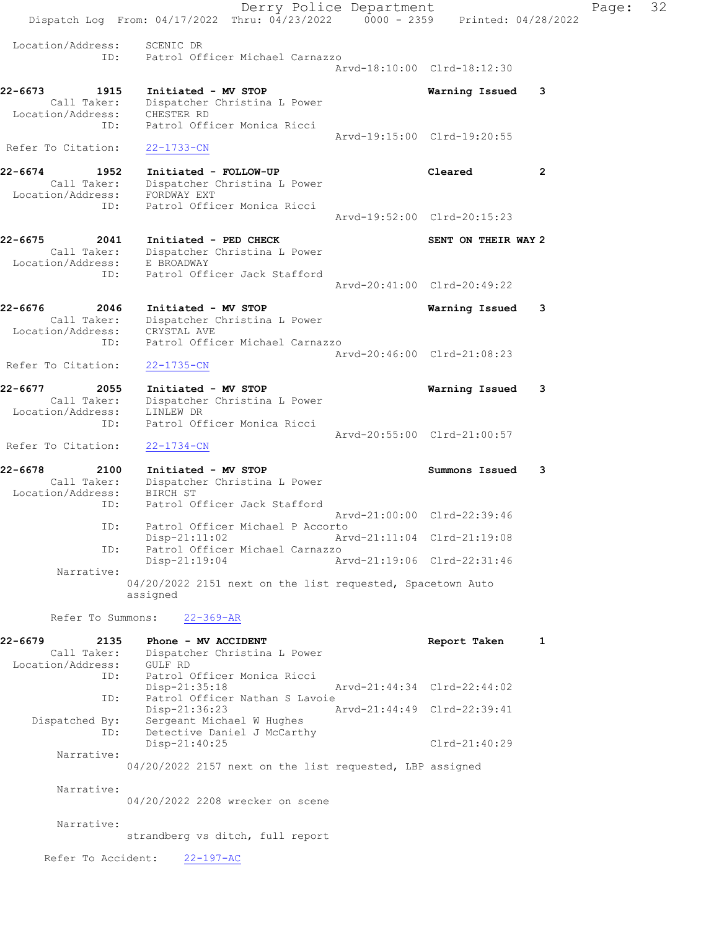Derry Police Department Fage: 32 Dispatch Log From: 04/17/2022 Thru: 04/23/2022 0000 - 2359 Printed: 04/28/2022 Location/Address: SCENIC DR ID: Patrol Officer Michael Carnazzo Arvd-18:10:00 Clrd-18:12:30 22-6673 1915 Initiated - MV STOP Warning Issued 3 Call Taker: Dispatcher Christina L Power Location/Address: CHESTER RD ID: Patrol Officer Monica Ricci Arvd-19:15:00 Clrd-19:20:55 Refer To Citation: 22-1733-CN 22-6674 1952 Initiated - FOLLOW-UP Cleared 2 Call Taker: Dispatcher Christina L Power Location/Address: FORDWAY EXT ID: Patrol Officer Monica Ricci Arvd-19:52:00 Clrd-20:15:23 22-6675 2041 Initiated - PED CHECK SENT ON THEIR WAY 2 Call Taker: Dispatcher Christina L Power Location/Address: E BROADWAY ID: Patrol Officer Jack Stafford Arvd-20:41:00 Clrd-20:49:22 22-6676 2046 Initiated - MV STOP Warning Issued 3 Call Taker: Dispatcher Christina L Power Location/Address: CRYSTAL AVE ID: Patrol Officer Michael Carnazzo Arvd-20:46:00 Clrd-21:08:23 Refer To Citation: 22-1735-CN 22-6677 2055 Initiated - MV STOP Warning Issued 3 Call Taker: Dispatcher Christina L Power Location/Address: LINLEW DR ID: Patrol Officer Monica Ricci Arvd-20:55:00 Clrd-21:00:57 Refer To Citation: 22-1734-CN 22-6678 2100 Initiated - MV STOP Summons Issued 3 Call Taker: Dispatcher Christina L Power Location/Address: BIRCH ST ID: Patrol Officer Jack Stafford Arvd-21:00:00 Clrd-22:39:46 ID: Patrol Officer Michael P Accorto Disp-21:11:02 Arvd-21:11:04 Clrd-21:19:08<br>TD: Patrol Officer Michael Carnazzo Patrol Officer Michael Carnazzo<br>Disp-21:19:04 Ar Disp-21:19:04 Arvd-21:19:06 Clrd-22:31:46 Narrative: 04/20/2022 2151 next on the list requested, Spacetown Auto assigned Refer To Summons: 22-369-AR 22-6679 2135 Phone - MV ACCIDENT Report Taken 1 Call Taker: Dispatcher Christina L Power Location/Address: GULF RD ID: Patrol Officer Monica Ricci Disp-21:35:18 Arvd-21:44:34 Clrd-22:44:02 ID: Patrol Officer Nathan S Lavoie<br>Disp-21:36:23 Ar Disp-21:36:23 Arvd-21:44:49 Clrd-22:39:41 Dispatched By: Sergeant Michael W Hughes ID: Detective Daniel J McCarthy Disp-21:40:25 Clrd-21:40:29 Narrative: 04/20/2022 2157 next on the list requested, LBP assigned Narrative: 04/20/2022 2208 wrecker on scene Narrative: strandberg vs ditch, full report Refer To Accident: 22-197-AC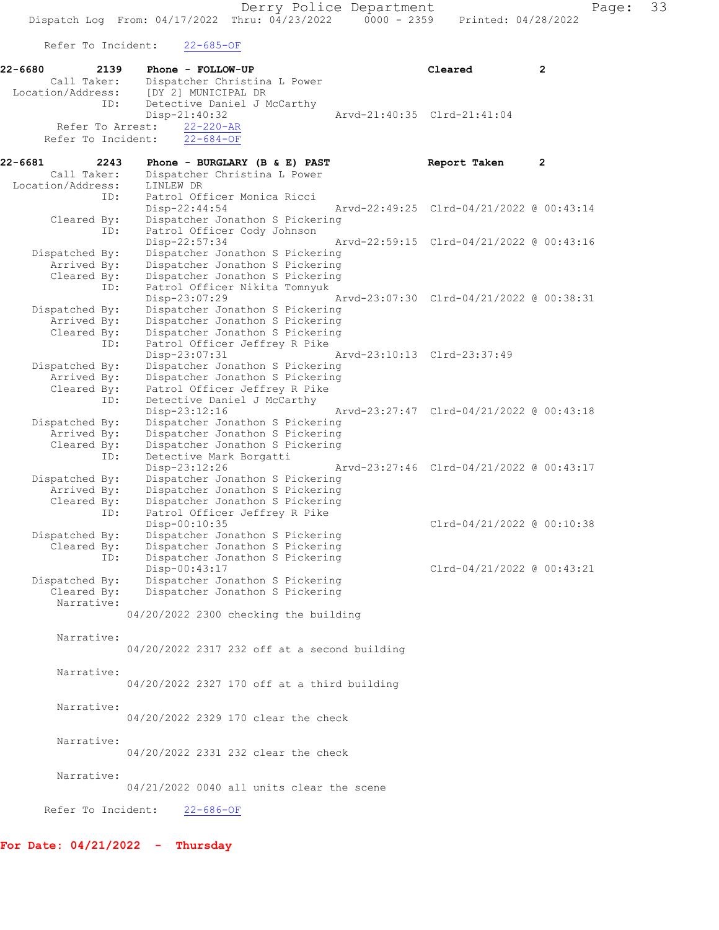Derry Police Department Page: 33 Dispatch Log From: 04/17/2022 Thru: 04/23/2022 0000 - 2359 Printed: 04/28/2022 Refer To Incident: 22-685-OF 22-6680 2139 Phone - FOLLOW-UP Cleared 2 Call Taker: Dispatcher Christina L Power<br>Location/Address: [DY 2] MUNICIPAL DR Location/Address: [DY 2] MUNICIPAL DR ID: Detective Daniel J McCarthy<br>Disp-21:40:32 Disp-21:40:32 Arvd-21:40:35 Clrd-21:41:04 Refer To Arrest:  $\frac{22-220-AR}{22-684-OF}$ Refer To Incident: 22-6681 2243 Phone - BURGLARY (B & E) PAST **Report Taken** 2 Call Taker: Dispatcher Christina L Power<br>ion/Address: LINLEW DR Location/Address:<br>ID: ID: Patrol Officer Monica Ricci Disp-22:44:54 Arvd-22:49:25 Clrd-04/21/2022 @ 00:43:14 Cleared By: Dispatcher Jonathon S Pickering ID: Patrol Officer Cody Johnson Disp-22:57:34 Arvd-22:59:15 Clrd-04/21/2022 @ 00:43:16 Dispatched By: Dispatcher Jonathon S Pickering Arrived By: Dispatcher Jonathon S Pickering Cleared By: Dispatcher Jonathon S Pickering ID: Patrol Officer Nikita Tomnyuk Disp-23:07:29 Arvd-23:07:30 Clrd-04/21/2022 @ 00:38:31 Dispatched By: Dispatcher Jonathon S Pickering Arrived By: Dispatcher Jonathon S Pickering Cleared By: Dispatcher Jonathon S Pickering ID: Patrol Officer Jeffrey R Pike Disp-23:07:31 Arvd-23:10:13 Clrd-23:37:49<br>Dispatched By: Dispatcher Jonathon S Pickering Dispatched By: Dispatcher Jonathon S Pickering Arrived By: Dispatcher Jonathon S Pickering Cleared By: Patrol Officer Jeffrey R Pike ID: Detective Daniel J McCarthy Disp-23:12:16 Arvd-23:27:47 Clrd-04/21/2022 @ 00:43:18 Dispatched By: Dispatcher Jonathon S Pickering Arrived By: Dispatcher Jonathon S Pickering Cleared By: Dispatcher Jonathon S Pickering ID: Detective Mark Borgatti Disp-23:12:26 Arvd-23:27:46 Clrd-04/21/2022 @ 00:43:17 Dispatched By: Dispatcher Jonathon S Pickering Arrived By: Dispatcher Jonathon S Pickering Cleared By: Dispatcher Jonathon S Pickering ID: Patrol Officer Jeffrey R Pike Disp-00:10:35 Clrd-04/21/2022 @ 00:10:38 Dispatched By: Dispatcher Jonathon S Pickering<br>Cleared By: Dispatcher Jonathon S Pickering Dispatcher Jonathon S Pickering ID: Dispatcher Jonathon S Pickering Disp-00:43:17 Clrd-04/21/2022 @ 00:43:21 Dispatched By: Dispatcher Jonathon S Pickering Cleared By: Dispatcher Jonathon S Pickering Narrative: 04/20/2022 2300 checking the building Narrative: 04/20/2022 2317 232 off at a second building Narrative: 04/20/2022 2327 170 off at a third building Narrative: 04/20/2022 2329 170 clear the check Narrative: 04/20/2022 2331 232 clear the check Narrative: 04/21/2022 0040 all units clear the scene Refer To Incident: 22-686-OF

For Date: 04/21/2022 - Thursday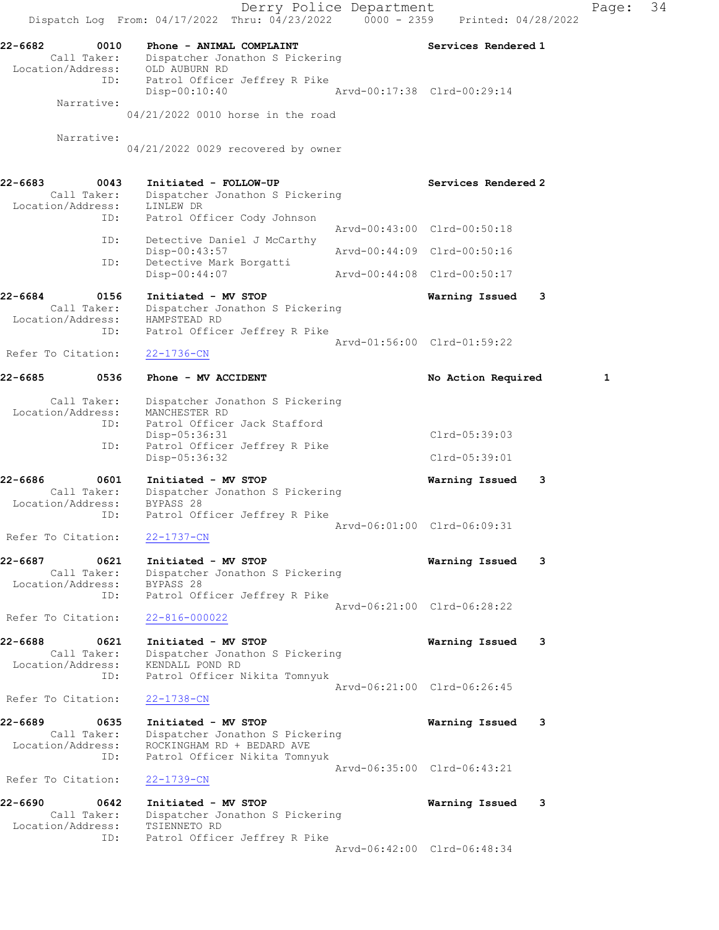Derry Police Department Fage: 34 Dispatch Log From:  $04/17/2022$  Thru:  $04/23/2022$  0000 - 2359 Printed: 04/28/2022 22-6682 0010 Phone - ANIMAL COMPLAINT Services Rendered 1 Call Taker: Dispatcher Jonathon S Pickering Location/Address: OLD AUBURN RD ID: Patrol Officer Jeffrey R Pike Disp-00:10:40 Arvd-00:17:38 Clrd-00:29:14 Narrative: 04/21/2022 0010 horse in the road Narrative: 04/21/2022 0029 recovered by owner 22-6683 0043 Initiated - FOLLOW-UP Services Rendered 2 Call Taker: Dispatcher Jonathon S Pickering Location/Address: LINLEW DR ID: Patrol Officer Cody Johnson Arvd-00:43:00 Clrd-00:50:18 ID: Detective Daniel J McCarthy<br>Disp-00:43:57 Disp-00:43:57 Arvd-00:44:09 Clrd-00:50:16 ID: Detective Mark Borgatti<br>Disp-00:44:07 Disp-00:44:07 Arvd-00:44:08 Clrd-00:50:17 22-6684 0156 Initiated - MV STOP Warning Issued 3 Call Taker: Dispatcher Jonathon S Pickering Location/Address: HAMPSTEAD RD ID: Patrol Officer Jeffrey R Pike Arvd-01:56:00 Clrd-01:59:22 Refer To Citation: 22-1736-CN 22-6685 0536 Phone - MV ACCIDENT No Action Required 1 Call Taker: Dispatcher Jonathon S Pickering Location/Address: MANCHESTER RD ID: Patrol Officer Jack Stafford Disp-05:36:31 Clrd-05:39:03<br>ID: Patrol Officer Jeffrey R Pike<br>Pice Of 26:22 Patrol Officer Jeffrey R Pike Disp-05:36:32 Clrd-05:39:01 22-6686 0601 Initiated - MV STOP Warning Issued 3 Call Taker: Dispatcher Jonathon S Pickering Location/Address: BYPASS 28 ID: Patrol Officer Jeffrey R Pike Arvd-06:01:00 Clrd-06:09:31 Refer To Citation: 22-1737-CN 22-6687 0621 Initiated - MV STOP Warning Issued 3 Call Taker: Dispatcher Jonathon S Pickering Location/Address: BYPASS 28 ID: Patrol Officer Jeffrey R Pike Arvd-06:21:00 Clrd-06:28:22 Refer To Citation: 22-816-000022 22-6688 0621 Initiated - MV STOP Warning Issued 3 Call Taker: Dispatcher Jonathon S Pickering Location/Address: KENDALL POND RD ID: Patrol Officer Nikita Tomnyuk Arvd-06:21:00 Clrd-06:26:45 Refer To Citation: 22-1738-CN 22-6689 0635 Initiated - MV STOP Warning Issued 3 Call Taker: Dispatcher Jonathon S Pickering Location/Address: ROCKINGHAM RD + BEDARD AVE ID: Patrol Officer Nikita Tomnyuk Arvd-06:35:00 Clrd-06:43:21 Refer To Citation: 22-1739-CN 22-6690 0642 Initiated - MV STOP Warning Issued 3 Call Taker: Dispatcher Jonathon S Pickering Location/Address: TSIENNETO RD ID: Patrol Officer Jeffrey R Pike Arvd-06:42:00 Clrd-06:48:34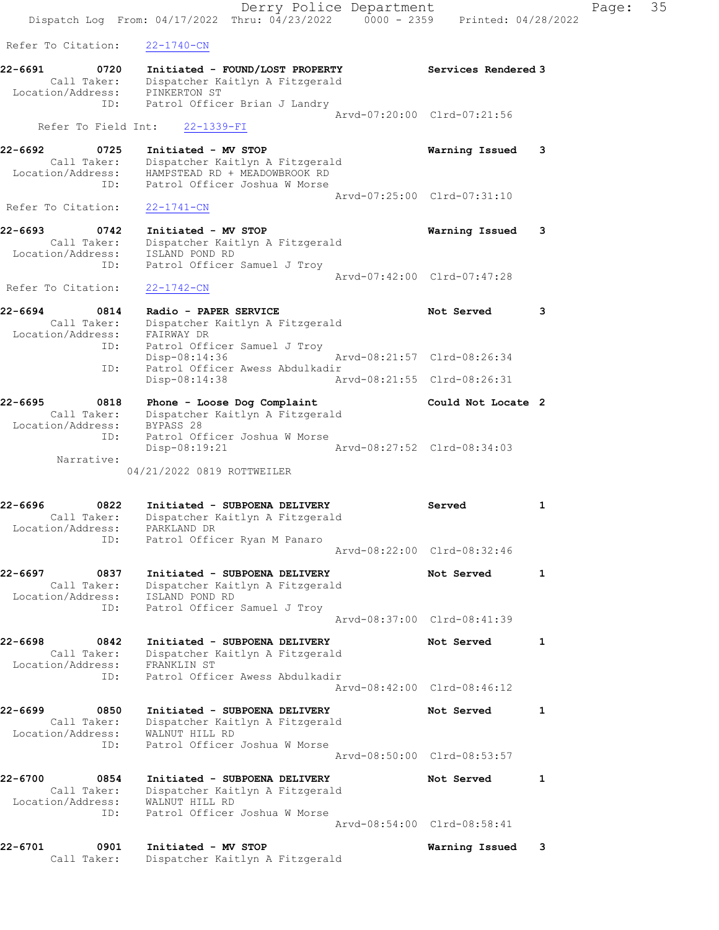Derry Police Department Fage: 35 Dispatch Log From: 04/17/2022 Thru: 04/23/2022 0000 - 2359 Printed: 04/28/2022 Refer To Citation: 22-1740-CN 22-6691 0720 Initiated - FOUND/LOST PROPERTY Services Rendered 3 Call Taker: Dispatcher Kaitlyn A Fitzgerald Location/Address: PINKERTON ST ID: Patrol Officer Brian J Landry Arvd-07:20:00 Clrd-07:21:56 Refer To Field Int: 22-1339-FI 22-6692 0725 Initiated - MV STOP Warning Issued 3 Call Taker: Dispatcher Kaitlyn A Fitzgerald Location/Address: HAMPSTEAD RD + MEADOWBROOK RD ID: Patrol Officer Joshua W Morse Arvd-07:25:00 Clrd-07:31:10 Refer To Citation: 22-1741-CN 22-6693 0742 Initiated - MV STOP Warning Issued 3 Call Taker: Dispatcher Kaitlyn A Fitzgerald Location/Address: ISLAND POND RD ID: Patrol Officer Samuel J Troy Arvd-07:42:00 Clrd-07:47:28 Refer To Citation: 22-1742-CN 22-6694 0814 Radio - PAPER SERVICE Not Served 3 Call Taker: Dispatcher Kaitlyn A Fitzgerald Location/Address: FAIRWAY DR ID: Patrol Officer Samuel J Troy Disp-08:14:36 Arvd-08:21:57 Clrd-08:26:34 ID: Patrol Officer Awess Abdulkadir Disp-08:14:38 Arvd-08:21:55 Clrd-08:26:31 22-6695 0818 Phone - Loose Dog Complaint Could Not Locate 2 Call Taker: Dispatcher Kaitlyn A Fitzgerald Location/Address: BYPASS 28 ID: Patrol Officer Joshua W Morse Disp-08:19:21 Arvd-08:27:52 Clrd-08:34:03 Narrative: 04/21/2022 0819 ROTTWEILER 22-6696 0822 Initiated - SUBPOENA DELIVERY Served 1 Call Taker: Dispatcher Kaitlyn A Fitzgerald Location/Address: PARKLAND DR ID: Patrol Officer Ryan M Panaro Arvd-08:22:00 Clrd-08:32:46 22-6697 0837 Initiated - SUBPOENA DELIVERY Not Served 1 Call Taker: Dispatcher Kaitlyn A Fitzgerald Location/Address: ISLAND POND RD ID: Patrol Officer Samuel J Troy Arvd-08:37:00 Clrd-08:41:39 22-6698 0842 Initiated - SUBPOENA DELIVERY Not Served 1 Call Taker: Dispatcher Kaitlyn A Fitzgerald Location/Address: FRANKLIN ST ID: Patrol Officer Awess Abdulkadir Arvd-08:42:00 Clrd-08:46:12 22-6699 0850 Initiated - SUBPOENA DELIVERY Not Served 1 Call Taker: Dispatcher Kaitlyn A Fitzgerald Location/Address: WALNUT HILL RD ID: Patrol Officer Joshua W Morse Arvd-08:50:00 Clrd-08:53:57 22-6700 0854 Initiated - SUBPOENA DELIVERY Not Served 1 Call Taker: Dispatcher Kaitlyn A Fitzgerald Location/Address: WALNUT HILL RD ID: Patrol Officer Joshua W Morse Arvd-08:54:00 Clrd-08:58:41 22-6701 0901 Initiated - MV STOP Warning Issued 3 Call Taker: Dispatcher Kaitlyn A Fitzgerald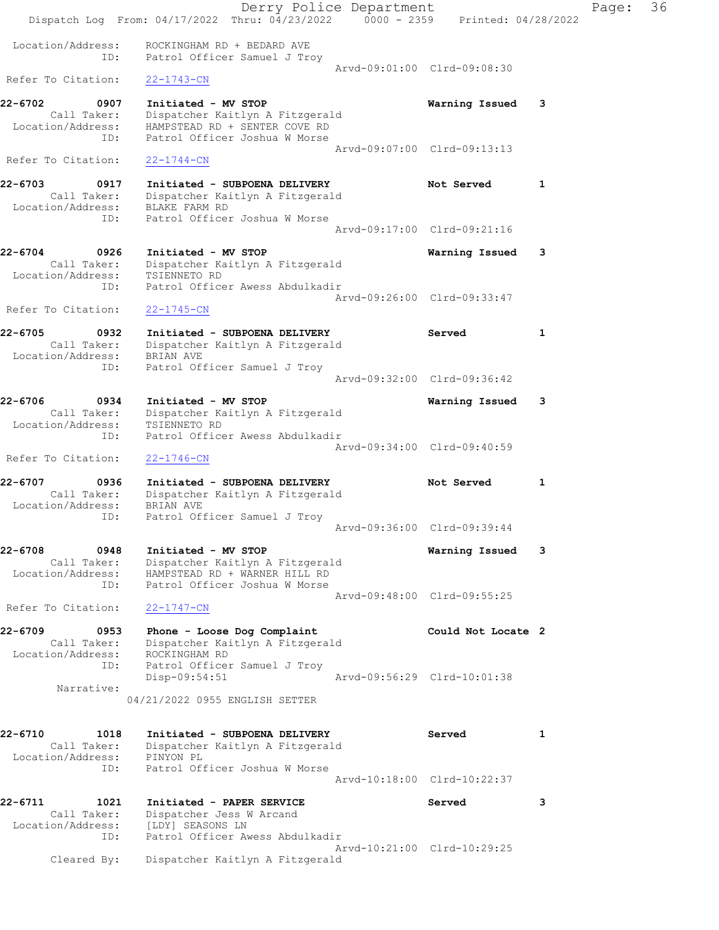|                                                                      | Dispatch Log From: 04/17/2022 Thru: 04/23/2022 0000 - 2359 Printed: 04/28/2022                                           | Derry Police Department |                             |   | Page: | 36 |
|----------------------------------------------------------------------|--------------------------------------------------------------------------------------------------------------------------|-------------------------|-----------------------------|---|-------|----|
| Location/Address:<br>ID:                                             | ROCKINGHAM RD + BEDARD AVE<br>Patrol Officer Samuel J Troy                                                               |                         |                             |   |       |    |
| Refer To Citation:                                                   | $22 - 1743 - CN$                                                                                                         |                         | Arvd-09:01:00 Clrd-09:08:30 |   |       |    |
| 22-6702<br>0907<br>Call Taker:<br>Location/Address:<br>ID:           | Initiated - MV STOP<br>Dispatcher Kaitlyn A Fitzgerald<br>HAMPSTEAD RD + SENTER COVE RD<br>Patrol Officer Joshua W Morse |                         | Warning Issued              | 3 |       |    |
| Refer To Citation:                                                   | $22 - 1744 - CN$                                                                                                         |                         | Arvd-09:07:00 Clrd-09:13:13 |   |       |    |
| 22-6703<br>0917<br>Call Taker:<br>Location/Address:<br>ID:           | Initiated - SUBPOENA DELIVERY<br>Dispatcher Kaitlyn A Fitzgerald<br>BLAKE FARM RD<br>Patrol Officer Joshua W Morse       |                         | Not Served                  | 1 |       |    |
|                                                                      |                                                                                                                          |                         | Arvd-09:17:00 Clrd-09:21:16 |   |       |    |
| 22-6704<br>0926<br>Call Taker:<br>Location/Address:<br>ID:           | Initiated - MV STOP<br>Dispatcher Kaitlyn A Fitzgerald<br>TSIENNETO RD<br>Patrol Officer Awess Abdulkadir                |                         | Warning Issued              | 3 |       |    |
| Refer To Citation:                                                   | $22 - 1745 - CN$                                                                                                         |                         | Aryd-09:26:00 Clrd-09:33:47 |   |       |    |
| 22-6705<br>0932<br>Call Taker:<br>Location/Address: BRIAN AVE        | Initiated - SUBPOENA DELIVERY<br>Dispatcher Kaitlyn A Fitzgerald                                                         |                         | Served                      | 1 |       |    |
| ID:                                                                  | Patrol Officer Samuel J Troy                                                                                             |                         | Arvd-09:32:00 Clrd-09:36:42 |   |       |    |
| 22-6706<br>0934<br>Call Taker:<br>Location/Address:<br>ID:           | Initiated - MV STOP<br>Dispatcher Kaitlyn A Fitzgerald<br>TSIENNETO RD<br>Patrol Officer Awess Abdulkadir                |                         | Warning Issued              | 3 |       |    |
| Refer To Citation:                                                   | $22 - 1746 - CN$                                                                                                         |                         | Arvd-09:34:00 Clrd-09:40:59 |   |       |    |
| 22-6707<br>0936<br>Call Taker:<br>Location/Address:<br>ID:           | Initiated - SUBPOENA DELIVERY<br>Dispatcher Kaitlyn A Fitzgerald<br>BRIAN AVE<br>Patrol Officer Samuel J Troy            |                         | Not Served                  | 1 |       |    |
|                                                                      |                                                                                                                          |                         | Arvd-09:36:00 Clrd-09:39:44 |   |       |    |
| 22-6708<br>0948<br>Call Taker:<br>Location/Address:<br>ID:           | Initiated - MV STOP<br>Dispatcher Kaitlyn A Fitzgerald<br>HAMPSTEAD RD + WARNER HILL RD<br>Patrol Officer Joshua W Morse |                         | Warning Issued              | 3 |       |    |
| Refer To Citation:                                                   | $22 - 1747 - CN$                                                                                                         |                         | Arvd-09:48:00 Clrd-09:55:25 |   |       |    |
| 22-6709<br>0953<br>Call Taker:<br>Location/Address:<br>ID:           | Phone - Loose Dog Complaint<br>Dispatcher Kaitlyn A Fitzgerald<br>ROCKINGHAM RD<br>Patrol Officer Samuel J Troy          |                         | Could Not Locate 2          |   |       |    |
| Narrative:                                                           | $Disp-09:54:51$                                                                                                          |                         | Arvd-09:56:29 Clrd-10:01:38 |   |       |    |
|                                                                      | 04/21/2022 0955 ENGLISH SETTER                                                                                           |                         |                             |   |       |    |
| 22-6710<br>1018<br>Call Taker:<br>Location/Address: PINYON PL<br>ID: | Initiated - SUBPOENA DELIVERY<br>Dispatcher Kaitlyn A Fitzgerald<br>Patrol Officer Joshua W Morse                        |                         | Served                      | 1 |       |    |
|                                                                      |                                                                                                                          |                         | Arvd-10:18:00 Clrd-10:22:37 |   |       |    |
| 22-6711<br>1021<br>Call Taker:<br>Location/Address:<br>ID:           | Initiated - PAPER SERVICE<br>Dispatcher Jess W Arcand<br>[LDY] SEASONS LN<br>Patrol Officer Awess Abdulkadir             |                         | Served                      | 3 |       |    |
| Cleared By:                                                          | Dispatcher Kaitlyn A Fitzgerald                                                                                          |                         | Arvd-10:21:00 Clrd-10:29:25 |   |       |    |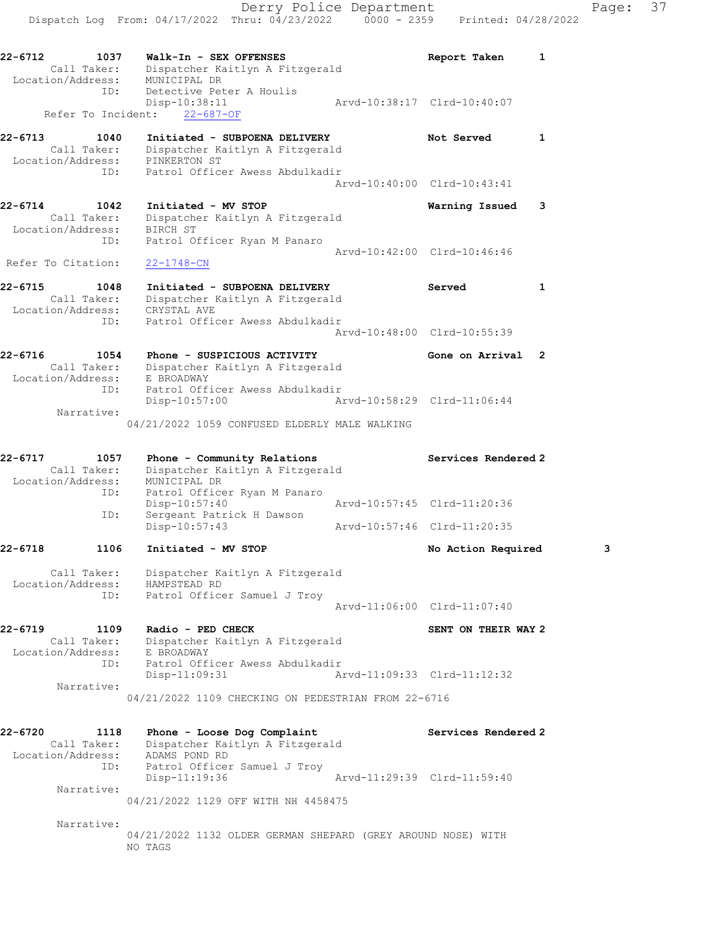Call Taker: Dispatcher Kaitlyn A Fitzgerald Location/Address: PINKERTON ST ID: Patrol Officer Awess Abdulkadir Arvd-10:40:00 Clrd-10:43:41 22-6714 1042 Initiated - MV STOP Warning Issued 3 Call Taker: Dispatcher Kaitlyn A Fitzgerald Location/Address: BIRCH ST ID: Patrol Officer Ryan M Panaro Arvd-10:42:00 Clrd-10:46:46 Refer To Citation: 22-1748-CN 22-6715 1048 Initiated - SUBPOENA DELIVERY Served 1 Call Taker: Dispatcher Kaitlyn A Fitzgerald Location/Address: CRYSTAL AVE ID: Patrol Officer Awess Abdulkadir

 Arvd-10:48:00 Clrd-10:55:39 22-6716 1054 Phone - SUSPICIOUS ACTIVITY Gone on Arrival 2 Call Taker: Dispatcher Kaitlyn A Fitzgerald Location/Address: E BROADWAY ID: Patrol Officer Awess Abdulkadir

 Disp-10:57:00 Arvd-10:58:29 Clrd-11:06:44 Narrative: 04/21/2022 1059 CONFUSED ELDERLY MALE WALKING

| $22 - 6717$       | 1057        | Phone - Community Relations     |  | Services Rendered 2         |
|-------------------|-------------|---------------------------------|--|-----------------------------|
|                   | Call Taker: | Dispatcher Kaitlyn A Fitzgerald |  |                             |
| Location/Address: |             | MUNICIPAL DR                    |  |                             |
|                   | ID:         | Patrol Officer Ryan M Panaro    |  |                             |
|                   |             | $Disp-10:57:40$                 |  | Arvd-10:57:45 Clrd-11:20:36 |
|                   | ID:         | Sergeant Patrick H Dawson       |  |                             |
|                   |             | $Disp-10:57:43$                 |  | Arvd-10:57:46 Clrd-11:20:35 |

22-6718 1106 Initiated - MV STOP 120 No Action Required 3

 Call Taker: Dispatcher Kaitlyn A Fitzgerald Location/Address: HAMPSTEAD RD ID: Patrol Officer Samuel J Troy Arvd-11:06:00 Clrd-11:07:40

22-6719 1109 Radio - PED CHECK SENT ON THEIR WAY 2 Call Taker: Dispatcher Kaitlyn A Fitzgerald Location/Address: E BROADWAY ID: Patrol Officer Awess Abdulkadir Disp-11:09:31 Arvd-11:09:33 Clrd-11:12:32 Narrative: 04/21/2022 1109 CHECKING ON PEDESTRIAN FROM 22-6716

| 22-6720           | 1118        | Phone - Loose Dog Complaint         |                             | Services Rendered 2 |
|-------------------|-------------|-------------------------------------|-----------------------------|---------------------|
|                   | Call Taker: | Dispatcher Kaitlyn A Fitzgerald     |                             |                     |
| Location/Address: |             | ADAMS POND RD                       |                             |                     |
|                   | ID:         | Patrol Officer Samuel J Troy        |                             |                     |
|                   |             | Disp-11:19:36                       | Arvd-11:29:39 Clrd-11:59:40 |                     |
|                   | Narrative:  |                                     |                             |                     |
|                   |             | 04/21/2022 1129 OFF WITH NH 4458475 |                             |                     |

Narrative:

04/21/2022 1132 OLDER GERMAN SHEPARD (GREY AROUND NOSE) WITH NO TAGS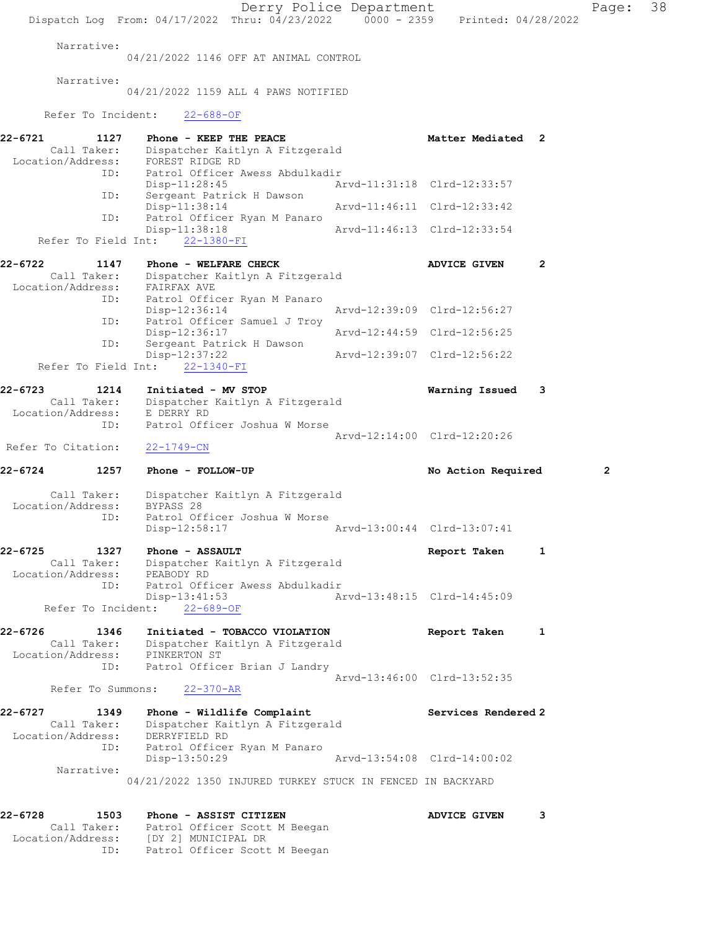Derry Police Department Page: 38 Dispatch Log From: 04/17/2022 Thru: 04/23/2022 0000 - 2359 Printed: 04/28/2022 Narrative: 04/21/2022 1146 OFF AT ANIMAL CONTROL Narrative: 04/21/2022 1159 ALL 4 PAWS NOTIFIED Refer To Incident: 22-688-OF 22-6721 1127 Phone - KEEP THE PEACE 1127 Matter Mediated 2 Call Taker: Dispatcher Kaitlyn A Fitzgerald Location/Address: FOREST RIDGE RD ID: Patrol Officer Awess Abdulkadir Disp-11:28:45 Arvd-11:31:18 Clrd-12:33:57 ID: Sergeant Patrick H Dawson Disp-11:38:14 Arvd-11:46:11 Clrd-12:33:42 ID: Patrol Officer Ryan M Panaro<br>Disp-11:38:18 Arvd-11:46:13 Clrd-12:33:54 Refer To Field Int: 22-1380-FI 22-6722 1147 Phone - WELFARE CHECK 12 ADVICE GIVEN 2 Call Taker: Dispatcher Kaitlyn A Fitzgerald Location/Address: FAIRFAX AVE ID: Patrol Officer Ryan M Panaro Disp-12:36:14 Arvd-12:39:09 Clrd-12:56:27 ID: Patrol Officer Samuel J Troy Disp-12:36:17 Arvd-12:44:59 Clrd-12:56:25 ID: Sergeant Patrick H Dawson Disp-12:37:22 Arvd-12:39:07 Clrd-12:56:22 Refer To Field Int: 22-1340-FI 22-6723 1214 Initiated - MV STOP Warning Issued 3 Call Taker: Dispatcher Kaitlyn A Fitzgerald Location/Address: E DERRY RD ID: Patrol Officer Joshua W Morse Arvd-12:14:00 Clrd-12:20:26 Refer To Citation: 22-1749-CN 22-6724 1257 Phone - FOLLOW-UP No Action Required 2 Call Taker: Dispatcher Kaitlyn A Fitzgerald Location/Address: BYPASS 28 ID: Patrol Officer Joshua W Morse Disp-12:58:17 Arvd-13:00:44 Clrd-13:07:41 22-6725 1327 Phone - ASSAULT Report Taken 1 Call Taker: Dispatcher Kaitlyn A Fitzgerald Location/Address: PEABODY RD ID: Patrol Officer Awess Abdulkadir Disp-13:41:53<br>Arvd-13:48:15 Clrd-14:45:09 Refer To Incident: 22-689-OF 22-6726 1346 Initiated - TOBACCO VIOLATION Report Taken 1 Call Taker: Dispatcher Kaitlyn A Fitzgerald Location/Address: PINKERTON ST ID: Patrol Officer Brian J Landry Arvd-13:46:00 Clrd-13:52:35 Refer To Summons: 22-370-AR 22-6727 1349 Phone - Wildlife Complaint National Services Rendered 2 Call Taker: Dispatcher Kaitlyn A Fitzgerald Location/Address: DERRYFIELD RD ID: Patrol Officer Ryan M Panaro Disp-13:50:29 Arvd-13:54:08 Clrd-14:00:02 Narrative: 04/21/2022 1350 INJURED TURKEY STUCK IN FENCED IN BACKYARD 22-6728 1503 Phone - ASSIST CITIZEN 1988 ADVICE GIVEN 3 Call Taker: Patrol Officer Scott M Beegan Location/Address: [DY 2] MUNICIPAL DR ID: Patrol Officer Scott M Beegan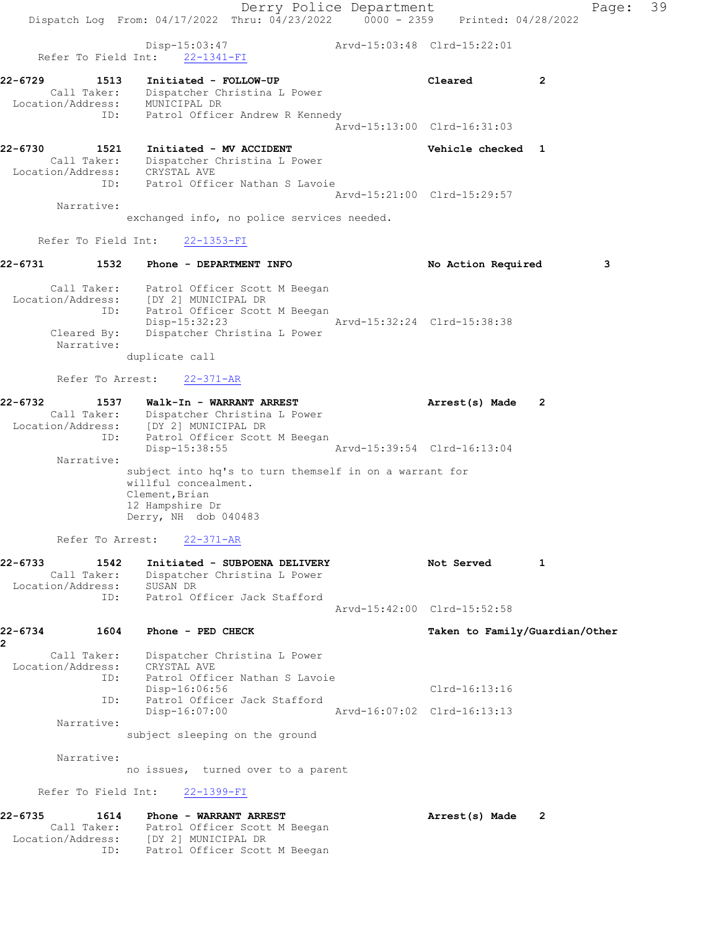|                                                                            |      |                                                                                    |                                 | Derry Police Department                                |                                |                | Page: 39 |  |
|----------------------------------------------------------------------------|------|------------------------------------------------------------------------------------|---------------------------------|--------------------------------------------------------|--------------------------------|----------------|----------|--|
|                                                                            |      | Dispatch Log From: 04/17/2022 Thru: 04/23/2022 0000 - 2359 Printed: 04/28/2022     |                                 |                                                        |                                |                |          |  |
| Refer To Field Int:                                                        |      | Disp-15:03:47                                                                      | $22 - 1341 - FI$                | Arvd-15:03:48 Clrd-15:22:01                            |                                |                |          |  |
| 22-6729                                                                    | 1513 |                                                                                    | Initiated - FOLLOW-UP           |                                                        | Cleared                        | $\overline{2}$ |          |  |
| Call Taker: Dispatcher Christina L Power<br>Location/Address: MUNICIPAL DR |      |                                                                                    |                                 |                                                        |                                |                |          |  |
|                                                                            | ID:  |                                                                                    | Patrol Officer Andrew R Kennedy | Arvd-15:13:00 Clrd-16:31:03                            |                                |                |          |  |
| 22-6730                                                                    | 1521 | Initiated - MV ACCIDENT                                                            |                                 |                                                        | Vehicle checked 1              |                |          |  |
| Location/Address: CRYSTAL AVE                                              |      | Call Taker: Dispatcher Christina L Power                                           |                                 |                                                        |                                |                |          |  |
|                                                                            |      | ID: Patrol Officer Nathan S Lavoie                                                 |                                 |                                                        |                                |                |          |  |
| Narrative:                                                                 |      |                                                                                    |                                 | Arvd-15:21:00 Clrd-15:29:57                            |                                |                |          |  |
|                                                                            |      | exchanged info, no police services needed.                                         |                                 |                                                        |                                |                |          |  |
| Refer To Field Int:                                                        |      |                                                                                    | $22 - 1353 - FI$                |                                                        |                                |                |          |  |
| 22-6731                                                                    |      | 1532 Phone - DEPARTMENT INFO                                                       |                                 |                                                        | No Action Required             |                | 3        |  |
|                                                                            |      | Call Taker: Patrol Officer Scott M Beegan<br>Location/Address: [DY 2] MUNICIPAL DR |                                 |                                                        |                                |                |          |  |
|                                                                            |      | ID: Patrol Officer Scott M Beegan                                                  |                                 |                                                        |                                |                |          |  |
| Cleared By:                                                                |      | Disp-15:32:23                                                                      | Dispatcher Christina L Power    | Arvd-15:32:24 Clrd-15:38:38                            |                                |                |          |  |
| Narrative:                                                                 |      |                                                                                    |                                 |                                                        |                                |                |          |  |
|                                                                            |      | duplicate call                                                                     |                                 |                                                        |                                |                |          |  |
|                                                                            |      | Refer To Arrest: 22-371-AR                                                         |                                 |                                                        |                                |                |          |  |
| 22-6732                                                                    | 1537 |                                                                                    | Walk-In - WARRANT ARREST        |                                                        | Arrest(s) Made                 | 2              |          |  |
| Location/Address: [DY 2] MUNICIPAL DR                                      |      | Call Taker: Dispatcher Christina L Power                                           |                                 |                                                        |                                |                |          |  |
|                                                                            | ID:  | Disp-15:38:55                                                                      | Patrol Officer Scott M Beegan   | Arvd-15:39:54 Clrd-16:13:04                            |                                |                |          |  |
| Narrative:                                                                 |      |                                                                                    |                                 |                                                        |                                |                |          |  |
|                                                                            |      | willful concealment.                                                               |                                 | subject into hq's to turn themself in on a warrant for |                                |                |          |  |
|                                                                            |      | Clement, Brian                                                                     |                                 |                                                        |                                |                |          |  |
|                                                                            |      | 12 Hampshire Dr<br>Derry, NH dob 040483                                            |                                 |                                                        |                                |                |          |  |
|                                                                            |      | Refer To Arrest: 22-371-AR                                                         |                                 |                                                        |                                |                |          |  |
| 22-6733                                                                    | 1542 |                                                                                    | Initiated - SUBPOENA DELIVERY   |                                                        | Not Served                     | 1              |          |  |
| Call Taker:<br>Location/Address: SUSAN DR                                  |      |                                                                                    | Dispatcher Christina L Power    |                                                        |                                |                |          |  |
|                                                                            | ID:  | Patrol Officer Jack Stafford                                                       |                                 |                                                        |                                |                |          |  |
|                                                                            |      |                                                                                    |                                 | Arvd-15:42:00 Clrd-15:52:58                            |                                |                |          |  |
| 22-6734<br>2                                                               | 1604 | Phone - PED CHECK                                                                  |                                 |                                                        | Taken to Family/Guardian/Other |                |          |  |
| Call Taker:                                                                |      |                                                                                    | Dispatcher Christina L Power    |                                                        |                                |                |          |  |
| Location/Address:                                                          | ID:  | CRYSTAL AVE<br>Patrol Officer Nathan S Lavoie                                      |                                 |                                                        |                                |                |          |  |
|                                                                            |      | Disp-16:06:56                                                                      |                                 |                                                        | Clrd-16:13:16                  |                |          |  |
|                                                                            | ID:  | Disp-16:07:00                                                                      | Patrol Officer Jack Stafford    | Arvd-16:07:02 Clrd-16:13:13                            |                                |                |          |  |
| Narrative:                                                                 |      | subject sleeping on the ground                                                     |                                 |                                                        |                                |                |          |  |
|                                                                            |      |                                                                                    |                                 |                                                        |                                |                |          |  |
| Narrative:                                                                 |      | no issues, turned over to a parent                                                 |                                 |                                                        |                                |                |          |  |
| Refer To Field Int:                                                        |      |                                                                                    | 22-1399-FI                      |                                                        |                                |                |          |  |
| 22-6735                                                                    | 1614 |                                                                                    | Phone - WARRANT ARREST          |                                                        | Arrest(s) Made                 | 2              |          |  |
|                                                                            |      | Call Taker: Patrol Officer Scott M Beegan                                          |                                 |                                                        |                                |                |          |  |
|                                                                            | ID:  | Location/Address: [DY 2] MUNICIPAL DR                                              | Patrol Officer Scott M Beegan   |                                                        |                                |                |          |  |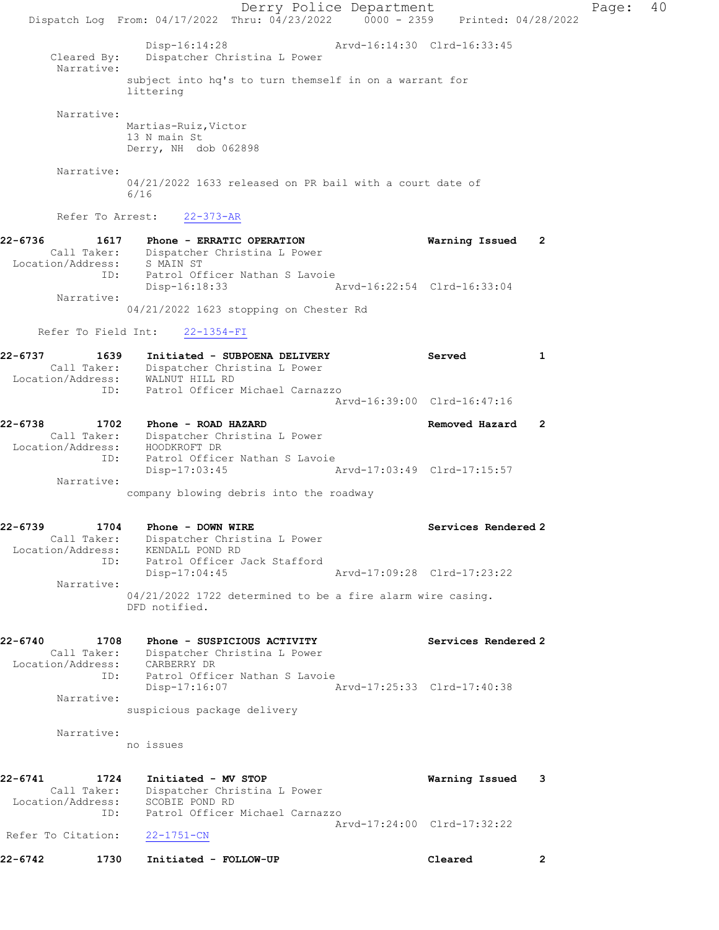Derry Police Department Page: 40 Dispatch Log From: 04/17/2022 Thru: 04/23/2022 0000 - 2359 Printed: 04/28/2022 Disp-16:14:28 Arvd-16:14:30 Clrd-16:33:45 Cleared By: Dispatcher Christina L Power Narrative: subject into hq's to turn themself in on a warrant for littering Narrative: Martias-Ruiz,Victor 13 N main St Derry, NH dob 062898 Narrative: 04/21/2022 1633 released on PR bail with a court date of 6/16 Refer To Arrest: 22-373-AR 22-6736 1617 Phone - ERRATIC OPERATION Warning Issued 2 Call Taker: Dispatcher Christina L Power Location/Address: S MAIN ST ID: Patrol Officer Nathan S Lavoie<br>Disp-16:18:33 Arvd-16:22:54 Clrd-16:33:04 Disp-16:18:33 Narrative: 04/21/2022 1623 stopping on Chester Rd Refer To Field Int: 22-1354-FI 22-6737 1639 Initiated - SUBPOENA DELIVERY Served 1 Call Taker: Dispatcher Christina L Power Location/Address: WALNUT HILL RD ID: Patrol Officer Michael Carnazzo Arvd-16:39:00 Clrd-16:47:16 22-6738 1702 Phone - ROAD HAZARD Removed Hazard 2 Call Taker: Dispatcher Christina L Power Location/Address: HOODKROFT DR ID: Patrol Officer Nathan S Lavoie Disp-17:03:45 Arvd-17:03:49 Clrd-17:15:57 Narrative: company blowing debris into the roadway 22-6739 1704 Phone - DOWN WIRE Services Rendered 2 Call Taker: Dispatcher Christina L Power Location/Address: KENDALL POND RD ID: Patrol Officer Jack Stafford Disp-17:04:45 Arvd-17:09:28 Clrd-17:23:22 Narrative: 04/21/2022 1722 determined to be a fire alarm wire casing. DFD notified. 22-6740 1708 Phone - SUSPICIOUS ACTIVITY Services Rendered 2 Call Taker: Dispatcher Christina L Power Location/Address: CARBERRY DR ID: Patrol Officer Nathan S Lavoie Disp-17:16:07 Arvd-17:25:33 Clrd-17:40:38 Narrative: suspicious package delivery Narrative: no issues 22-6741 1724 Initiated - MV STOP Warning Issued 3 Call Taker: Dispatcher Christina L Power Location/Address: SCOBIE POND RD ID: Patrol Officer Michael Carnazzo Arvd-17:24:00 Clrd-17:32:22 Refer To Citation: 22-1751-CN 22-6742 1730 Initiated - FOLLOW-UP Cleared 2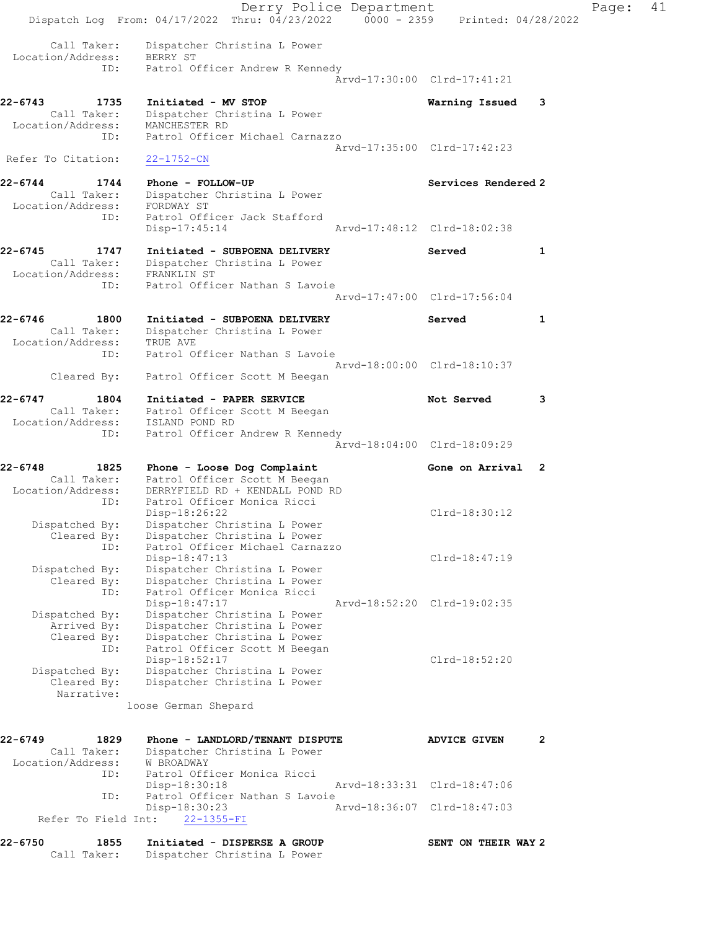Derry Police Department Fage: 41 Dispatch Log From: 04/17/2022 Thru: 04/23/2022 0000 - 2359 Printed: 04/28/2022 Call Taker: Dispatcher Christina L Power Location/Address: BERRY ST ID: Patrol Officer Andrew R Kennedy Arvd-17:30:00 Clrd-17:41:21 22-6743 1735 Initiated - MV STOP Warning Issued 3 Call Taker: Dispatcher Christina L Power Location/Address: MANCHESTER RD ID: Patrol Officer Michael Carnazzo Arvd-17:35:00 Clrd-17:42:23 Refer To Citation: 22-1752-CN 22-6744 1744 Phone - FOLLOW-UP Services Rendered 2 Call Taker: Dispatcher Christina L Power Location/Address: FORDWAY ST ID: Patrol Officer Jack Stafford Disp-17:45:14 Arvd-17:48:12 Clrd-18:02:38 22-6745 1747 Initiated - SUBPOENA DELIVERY Served 1 Call Taker: Dispatcher Christina L Power Location/Address: FRANKLIN ST ID: Patrol Officer Nathan S Lavoie Arvd-17:47:00 Clrd-17:56:04 22-6746 1800 Initiated - SUBPOENA DELIVERY Served 1 Call Taker: Dispatcher Christina L Power Location/Address: TRUE AVE ID: Patrol Officer Nathan S Lavoie Arvd-18:00:00 Clrd-18:10:37 Cleared By: Patrol Officer Scott M Beegan 22-6747 1804 Initiated - PAPER SERVICE 1997 Not Served 3 Call Taker: Patrol Officer Scott M Beegan Location/Address: ISLAND POND RD ID: Patrol Officer Andrew R Kennedy Arvd-18:04:00 Clrd-18:09:29 22-6748 1825 Phone - Loose Dog Complaint Cone on Arrival 2 Call Taker: Patrol Officer Scott M Beegan Location/Address: DERRYFIELD RD + KENDALL POND RD ID: Patrol Officer Monica Ricci Disp-18:26:22 Clrd-18:30:12 Dispatched By: Dispatcher Christina L Power Cleared By: Dispatcher Christina L Power ID: Patrol Officer Michael Carnazzo Disp-18:47:13 Clrd-18:47:19 Dispatched By: Dispatcher Christina L Power Cleared By: Dispatcher Christina L Power ID: Patrol Officer Monica Ricci Disp-18:47:17 Arvd-18:52:20 Clrd-19:02:35 Dispatched By: Dispatcher Christina L Power Arrived By: Dispatcher Christina L Power Cleared By: Dispatcher Christina L Power ID: Patrol Officer Scott M Beegan Disp-18:52:17 Clrd-18:52:20 Dispatched By: Dispatcher Christina L Power Cleared By: Dispatcher Christina L Power Narrative: loose German Shepard 22-6749 1829 Phone - LANDLORD/TENANT DISPUTE ADVICE GIVEN 2 Call Taker: Dispatcher Christina L Power Location/Address: W BROADWAY ID: Patrol Officer Monica Ricci Disp-18:30:18 Arvd-18:33:31 Clrd-18:47:06 ID: Patrol Officer Nathan S Lavoie<br>Disp-18:30:23 Ar Disp-18:30:23 Arvd-18:36:07 Clrd-18:47:03 Refer To Field Int: 22-1355-FI 22-6750 1855 Initiated - DISPERSE A GROUP SENT ON THEIR WAY 2 Call Taker: Dispatcher Christina L Power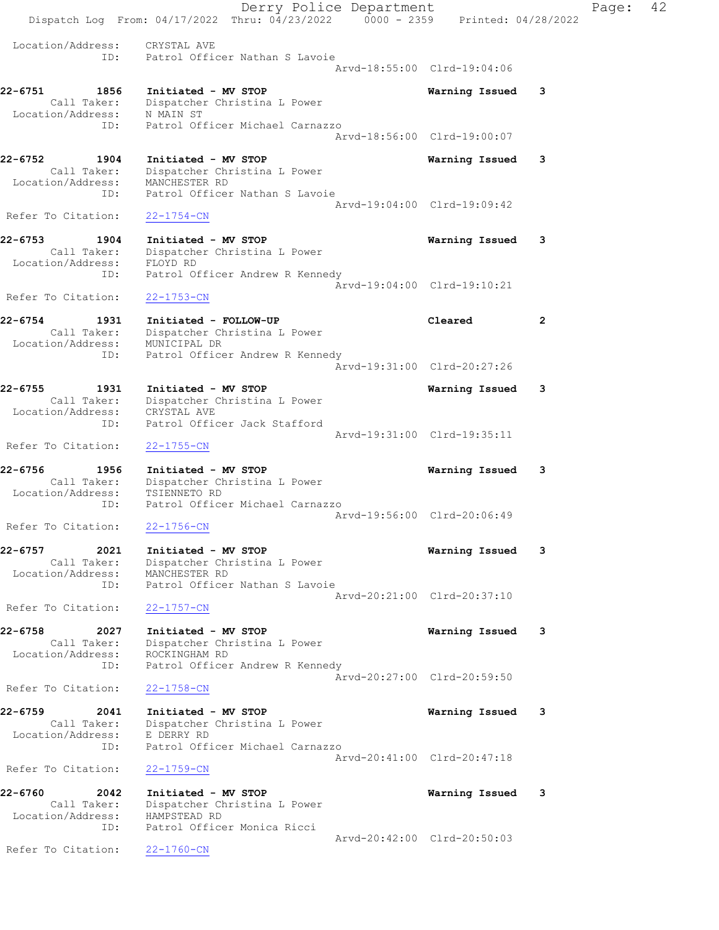Derry Police Department Fage: 42 Dispatch Log From:  $04/17/2022$  Thru:  $04/23/2022$  0000 - 2359 Printed: 04/28/2022 Location/Address: CRYSTAL AVE ID: Patrol Officer Nathan S Lavoie Arvd-18:55:00 Clrd-19:04:06 22-6751 1856 Initiated - MV STOP Warning Issued 3 Call Taker: Dispatcher Christina L Power Location/Address: N MAIN ST ID: Patrol Officer Michael Carnazzo Arvd-18:56:00 Clrd-19:00:07 22-6752 1904 Initiated - MV STOP Warning Issued 3 Call Taker: Dispatcher Christina L Power Location/Address: MANCHESTER RD ID: Patrol Officer Nathan S Lavoie Arvd-19:04:00 Clrd-19:09:42 Refer To Citation: 22-1754-CN 22-6753 1904 Initiated - MV STOP Warning Issued 3 Call Taker: Dispatcher Christina L Power Location/Address: FLOYD RD ID: Patrol Officer Andrew R Kennedy Arvd-19:04:00 Clrd-19:10:21 Refer To Citation: 22-1753-CN 22-6754 1931 Initiated - FOLLOW-UP Cleared 2 Call Taker: Dispatcher Christina L Power Location/Address: MUNICIPAL DR ID: Patrol Officer Andrew R Kennedy Arvd-19:31:00 Clrd-20:27:26 22-6755 1931 Initiated - MV STOP Warning Issued 3 Call Taker: Dispatcher Christina L Power Location/Address: CRYSTAL AVE ID: Patrol Officer Jack Stafford Arvd-19:31:00 Clrd-19:35:11 Refer To Citation: 22-1755-CN 22-6756 1956 Initiated - MV STOP Warning Issued 3 Call Taker: Dispatcher Christina L Power Location/Address: TSIENNETO RD ID: Patrol Officer Michael Carnazzo Arvd-19:56:00 Clrd-20:06:49 Refer To Citation: 22-1756-CN 22-6757 2021 Initiated - MV STOP Warning Issued 3 Call Taker: Dispatcher Christina L Power Location/Address: MANCHESTER RD ID: Patrol Officer Nathan S Lavoie Arvd-20:21:00 Clrd-20:37:10 Refer To Citation: 22-1757-CN 22-6758 2027 Initiated - MV STOP Warning Issued 3 Call Taker: Dispatcher Christina L Power Location/Address: ROCKINGHAM RD ID: Patrol Officer Andrew R Kennedy Arvd-20:27:00 Clrd-20:59:50 Refer To Citation: 22-1758-CN 22-6759 2041 Initiated - MV STOP Warning Issued 3 Call Taker: Dispatcher Christina L Power Location/Address: E DERRY RD ID: Patrol Officer Michael Carnazzo Arvd-20:41:00 Clrd-20:47:18 Refer To Citation: 22-1759-CN 22-6760 2042 Initiated - MV STOP Warning Issued 3 Call Taker: Dispatcher Christina L Power Location/Address: HAMPSTEAD RD ID: Patrol Officer Monica Ricci Arvd-20:42:00 Clrd-20:50:03 Refer To Citation: 22-1760-CN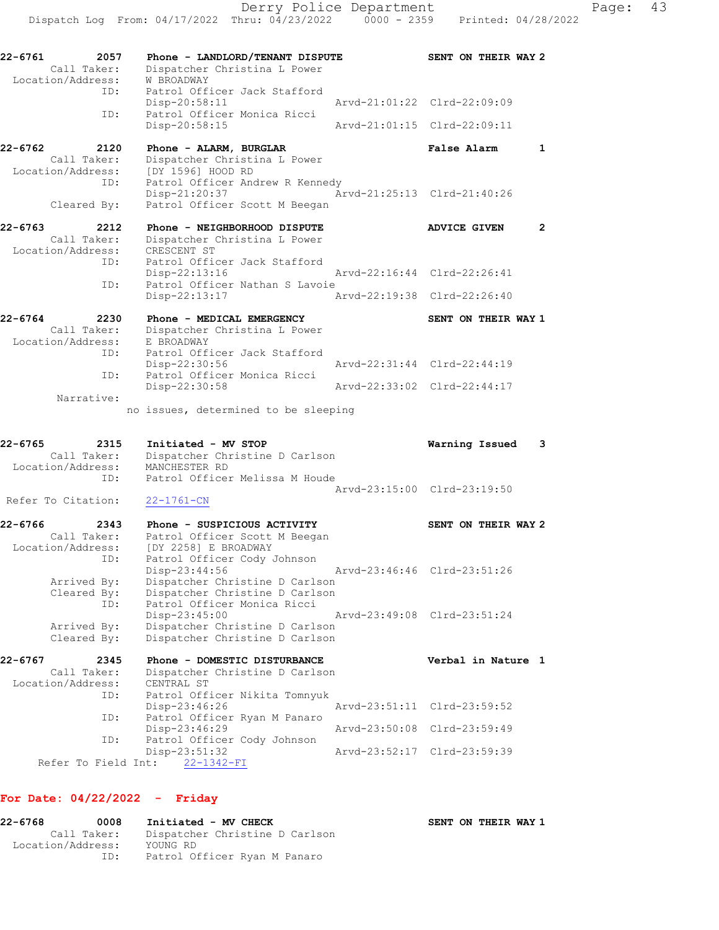| 1<br>$\mathbf{2}$<br>SENT ON THEIR WAY 1 |
|------------------------------------------|
|                                          |
|                                          |
|                                          |
|                                          |
|                                          |
|                                          |
|                                          |
|                                          |
|                                          |
|                                          |
|                                          |
| 3                                        |
|                                          |
| SENT ON THEIR WAY 2                      |
|                                          |
|                                          |
| Verbal in Nature 1                       |
|                                          |
|                                          |
|                                          |
|                                          |

SENT ON THEIR WAY 1

## For Date: 04/22/2022 - Friday

| 22-6768           | 0008        | Initiated - MV CHECK           |
|-------------------|-------------|--------------------------------|
|                   | Call Taker: | Dispatcher Christine D Carlson |
| Location/Address: |             | YOUNG RD                       |
|                   | ID:         | Patrol Officer Ryan M Panaro   |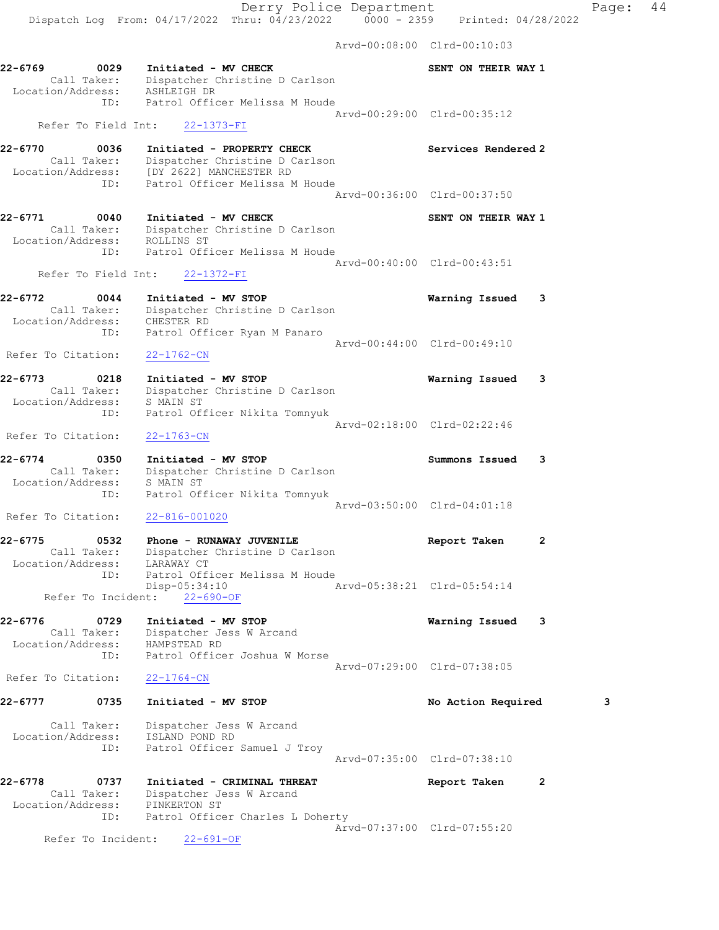Arvd-00:08:00 Clrd-00:10:03 22-6769 0029 Initiated - MV CHECK SENT ON THEIR WAY 1 Call Taker: Dispatcher Christine D Carlson Location/Address: ASHLEIGH DR ID: Patrol Officer Melissa M Houde Arvd-00:29:00 Clrd-00:35:12 Refer To Field Int: 22-1373-FI 22-6770 0036 Initiated - PROPERTY CHECK Services Rendered 2 Call Taker: Dispatcher Christine D Carlson Location/Address: [DY 2622] MANCHESTER RD ID: Patrol Officer Melissa M Houde Arvd-00:36:00 Clrd-00:37:50 22-6771 0040 Initiated - MV CHECK SENT ON THEIR WAY 1 Call Taker: Dispatcher Christine D Carlson Location/Address: ROLLINS ST ID: Patrol Officer Melissa M Houde Arvd-00:40:00 Clrd-00:43:51 Refer To Field Int: 22-1372-FI 22-6772 0044 Initiated - MV STOP Warning Issued 3 Call Taker: Dispatcher Christine D Carlson Location/Address: CHESTER RD ID: Patrol Officer Ryan M Panaro Arvd-00:44:00 Clrd-00:49:10 Refer To Citation: 22-1762-CN 22-6773 0218 Initiated - MV STOP Warning Issued 3 Call Taker: Dispatcher Christine D Carlson Location/Address: S MAIN ST ID: Patrol Officer Nikita Tomnyuk Arvd-02:18:00 Clrd-02:22:46 Refer To Citation: 22-1763-CN 22-6774 0350 Initiated - MV STOP Summons Issued 3 Call Taker: Dispatcher Christine D Carlson Location/Address: S MAIN ST ID: Patrol Officer Nikita Tomnyuk Arvd-03:50:00 Clrd-04:01:18 Refer To Citation: 22-816-001020 22-6775 0532 Phone - RUNAWAY JUVENILE Report Taken 2 Call Taker: Dispatcher Christine D Carlson Location/Address: LARAWAY CT ID: Patrol Officer Melissa M Houde Disp-05:34:10 Arvd-05:38:21 Clrd-05:54:14 Refer To Incident: 22-690-OF 22-6776 0729 Initiated - MV STOP Warning Issued 3 Call Taker: Dispatcher Jess W Arcand Location/Address: HAMPSTEAD RD ID: Patrol Officer Joshua W Morse Arvd-07:29:00 Clrd-07:38:05 Refer To Citation: 22-1764-CN 22-6777 0735 Initiated - MV STOP No Action Required 3 Call Taker: Dispatcher Jess W Arcand Location/Address: ISLAND POND RD ID: Patrol Officer Samuel J Troy Arvd-07:35:00 Clrd-07:38:10 22-6778 0737 Initiated - CRIMINAL THREAT Report Taken 2 Call Taker: Dispatcher Jess W Arcand Location/Address: PINKERTON ST ID: Patrol Officer Charles L Doherty Arvd-07:37:00 Clrd-07:55:20

Refer To Incident: 22-691-OF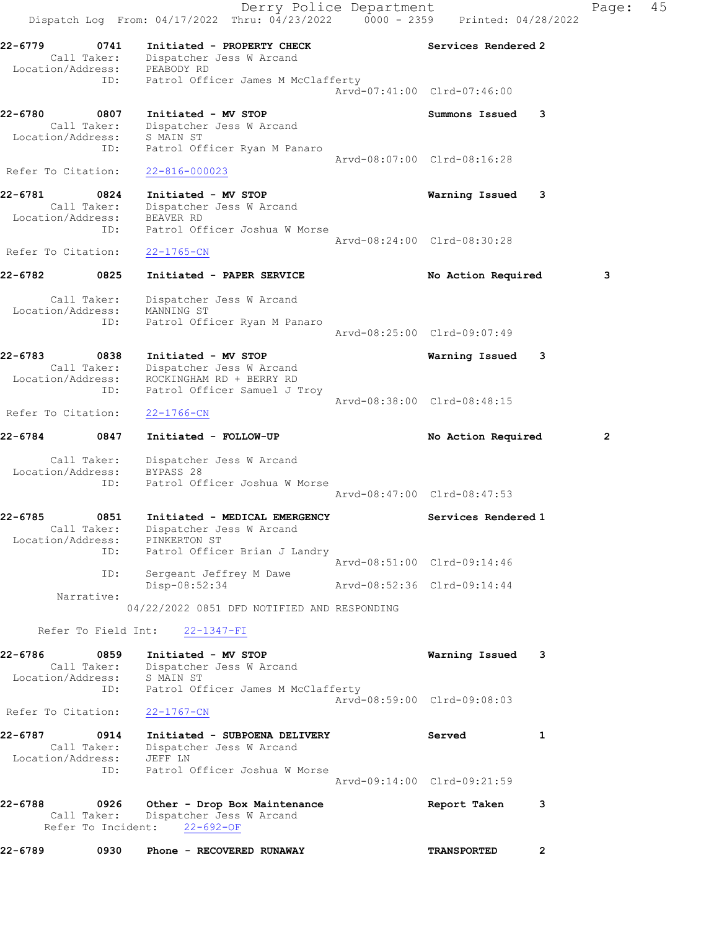Derry Police Department Fage: 45 Dispatch Log From: 04/17/2022 Thru: 04/23/2022 0000 - 2359 Printed: 04/28/2022 22-6779 0741 Initiated - PROPERTY CHECK Services Rendered 2 Call Taker: Dispatcher Jess W Arcand Location/Address: PEABODY RD ID: Patrol Officer James M McClafferty Arvd-07:41:00 Clrd-07:46:00 22-6780 0807 Initiated - MV STOP **SUMMONS** Summons Issued 3 Call Taker: Dispatcher Jess W Arcand Location/Address: S MAIN ST ID: Patrol Officer Ryan M Panaro Arvd-08:07:00 Clrd-08:16:28 Refer To Citation: 22-816-000023 22-6781 0824 Initiated - MV STOP Warning Issued 3 Call Taker: Dispatcher Jess W Arcand Location/Address: BEAVER RD ID: Patrol Officer Joshua W Morse Arvd-08:24:00 Clrd-08:30:28 Refer To Citation: 22-1765-CN 22-6782 0825 Initiated - PAPER SERVICE No Action Required 3 Call Taker: Dispatcher Jess W Arcand Location/Address: MANNING ST ID: Patrol Officer Ryan M Panaro Arvd-08:25:00 Clrd-09:07:49 22-6783 0838 Initiated - MV STOP Warning Issued 3 Call Taker: Dispatcher Jess W Arcand Location/Address: ROCKINGHAM RD + BERRY RD ID: Patrol Officer Samuel J Troy Arvd-08:38:00 Clrd-08:48:15 Refer To Citation: 22-1766-CN 22-6784 0847 Initiated - FOLLOW-UP No Action Required 2 Call Taker: Dispatcher Jess W Arcand Location/Address: BYPASS 28 ID: Patrol Officer Joshua W Morse Arvd-08:47:00 Clrd-08:47:53 22-6785 0851 Initiated - MEDICAL EMERGENCY Services Rendered 1 Call Taker: Dispatcher Jess W Arcand Location/Address: PINKERTON ST ID: Patrol Officer Brian J Landry Arvd-08:51:00 Clrd-09:14:46 ID: Sergeant Jeffrey M Dawe Disp-08:52:34 Arvd-08:52:36 Clrd-09:14:44 Narrative: 04/22/2022 0851 DFD NOTIFIED AND RESPONDING Refer To Field Int: 22-1347-FI 22-6786 0859 Initiated - MV STOP Warning Issued 3 Call Taker: Dispatcher Jess W Arcand Location/Address: S MAIN ST ID: Patrol Officer James M McClafferty Arvd-08:59:00 Clrd-09:08:03 Refer To Citation: 22-1767-CN 22-6787 0914 Initiated - SUBPOENA DELIVERY Served 1 Call Taker: Dispatcher Jess W Arcand Location/Address: JEFF LN ID: Patrol Officer Joshua W Morse Arvd-09:14:00 Clrd-09:21:59 22-6788 0926 Other - Drop Box Maintenance Report Taken 3 Call Taker: Dispatcher Jess W Arcand Refer To Incident: 22-692-OF 22-6789 0930 Phone - RECOVERED RUNAWAY TRANSPORTED 2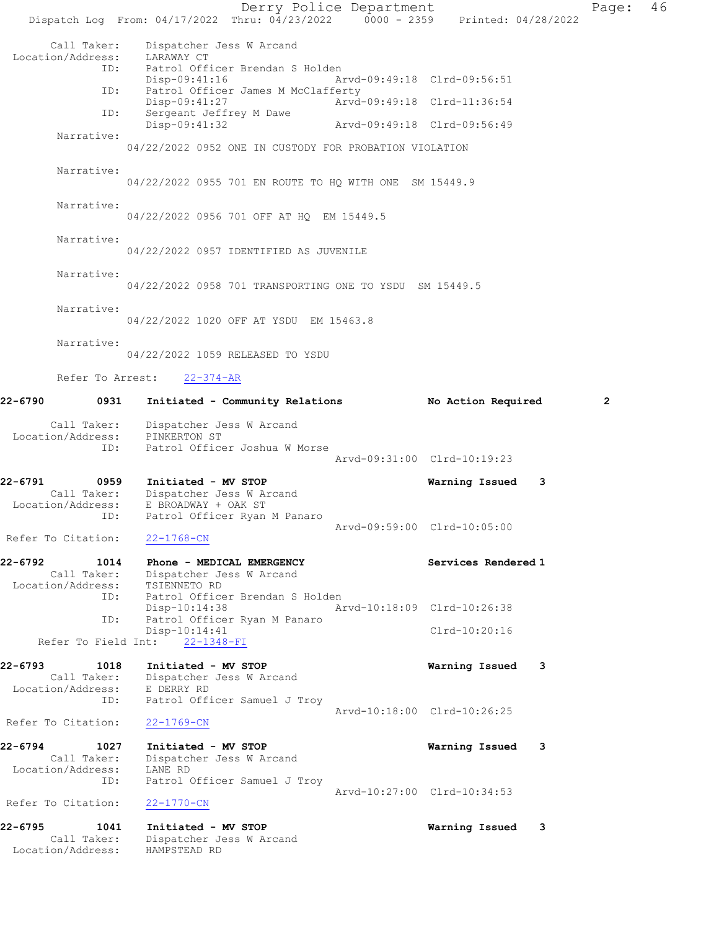Derry Police Department Page: 46 Dispatch Log From: 04/17/2022 Thru: 04/23/2022 0000 - 2359 Printed: 04/28/2022 Call Taker: Dispatcher Jess W Arcand Location/Address: LARAWAY CT<br>ID: Patrol Off: Patrol Officer Brendan S Holden Disp-09:41:16 Arvd-09:49:18 Clrd-09:56:51 ID: Patrol Officer James M McClafferty Disp-09:41:27 Arvd-09:49:18 Clrd-11:36:54 ID: Sergeant Jeffrey M Dawe<br>Disp-09:41:32 Arvd-09:49:18 Clrd-09:56:49 Narrative: 04/22/2022 0952 ONE IN CUSTODY FOR PROBATION VIOLATION Narrative: 04/22/2022 0955 701 EN ROUTE TO HQ WITH ONE SM 15449.9 Narrative: 04/22/2022 0956 701 OFF AT HQ EM 15449.5 Narrative: 04/22/2022 0957 IDENTIFIED AS JUVENILE Narrative: 04/22/2022 0958 701 TRANSPORTING ONE TO YSDU SM 15449.5 Narrative: 04/22/2022 1020 OFF AT YSDU EM 15463.8 Narrative: 04/22/2022 1059 RELEASED TO YSDU Refer To Arrest: 22-374-AR 22-6790 0931 Initiated - Community Relations No Action Required 2 Call Taker: Dispatcher Jess W Arcand Location/Address: PINKERTON ST ID: Patrol Officer Joshua W Morse Arvd-09:31:00 Clrd-10:19:23 22-6791 0959 Initiated - MV STOP Warning Issued 3 Call Taker: Dispatcher Jess W Arcand Location/Address: E BROADWAY + OAK ST ID: Patrol Officer Ryan M Panaro Arvd-09:59:00 Clrd-10:05:00 Refer To Citation: 22-1768-CN 22-6792 1014 Phone - MEDICAL EMERGENCY Services Rendered 1 Call Taker: Dispatcher Jess W Arcand Location/Address: TSIENNETO RD ID: Patrol Officer Brendan S Holden<br>Disp-10:14:38 Ar Arvd-10:18:09 Clrd-10:26:38 Patrol Officer Ryan M Panaro ID: Patrol Officer Ryan M Panaro<br>Disp-10:14:41 Clrd-10:20:16 Refer To Field Int: 22-1348-FI 22-6793 1018 Initiated - MV STOP Warning Issued 3 Call Taker: Dispatcher Jess W Arcand Location/Address: E DERRY RD ID: Patrol Officer Samuel J Troy Arvd-10:18:00 Clrd-10:26:25 Refer To Citation: 22-1769-CN 22-6794 1027 Initiated - MV STOP Warning Issued 3 Call Taker: Dispatcher Jess W Arcand Location/Address: LANE RD ID: Patrol Officer Samuel J Troy Arvd-10:27:00 Clrd-10:34:53 Refer To Citation: 22-1770-CN 22-6795 1041 Initiated - MV STOP Warning Issued 3 Call Taker: Dispatcher Jess W Arcand Location/Address: HAMPSTEAD RD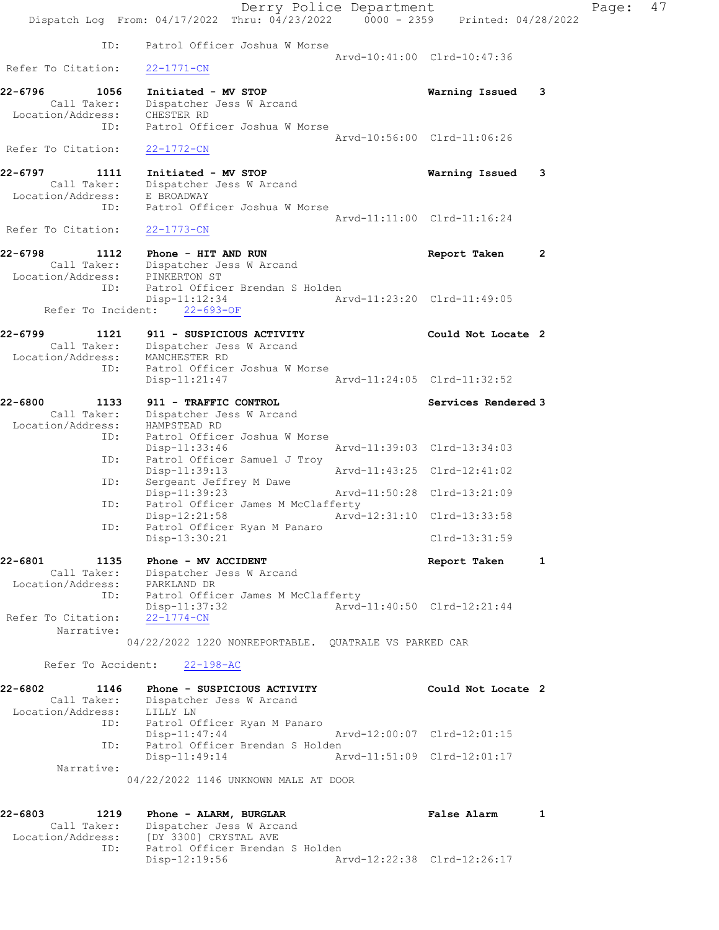|                                  |                                                                                | Derry Police Department |                             |              | Page: | 47 |
|----------------------------------|--------------------------------------------------------------------------------|-------------------------|-----------------------------|--------------|-------|----|
|                                  | Dispatch Log From: 04/17/2022 Thru: 04/23/2022 0000 - 2359 Printed: 04/28/2022 |                         |                             |              |       |    |
| ID:                              | Patrol Officer Joshua W Morse                                                  |                         |                             |              |       |    |
| Refer To Citation:               | $22 - 1771 - CN$                                                               |                         | Arvd-10:41:00 Clrd-10:47:36 |              |       |    |
| 22-6796<br>1056                  | Initiated - MV STOP                                                            |                         | Warning Issued              | -3           |       |    |
| Call Taker:<br>Location/Address: | Dispatcher Jess W Arcand<br>CHESTER RD                                         |                         |                             |              |       |    |
| ID:                              | Patrol Officer Joshua W Morse                                                  |                         |                             |              |       |    |
| Refer To Citation:               |                                                                                |                         | Arvd-10:56:00 Clrd-11:06:26 |              |       |    |
|                                  | $22 - 1772 - CN$                                                               |                         |                             |              |       |    |
| 22-6797<br>1111                  | Initiated - MV STOP                                                            |                         | Warning Issued              | 3            |       |    |
| Call Taker:<br>Location/Address: | Dispatcher Jess W Arcand<br>E BROADWAY                                         |                         |                             |              |       |    |
| ID:                              | Patrol Officer Joshua W Morse                                                  |                         |                             |              |       |    |
| Refer To Citation:               | $22 - 1773 - CN$                                                               |                         | Arvd-11:11:00 Clrd-11:16:24 |              |       |    |
|                                  |                                                                                |                         |                             |              |       |    |
| 22-6798<br>1112                  | Phone - HIT AND RUN                                                            |                         | Report Taken                | $\mathbf{2}$ |       |    |
| Call Taker:<br>Location/Address: | Dispatcher Jess W Arcand<br>PINKERTON ST                                       |                         |                             |              |       |    |
| ID:                              | Patrol Officer Brendan S Holden                                                |                         |                             |              |       |    |
| Refer To Incident:               | Disp-11:12:34<br>$22 - 693 - OF$                                               |                         | Arvd-11:23:20 Clrd-11:49:05 |              |       |    |
|                                  |                                                                                |                         |                             |              |       |    |
| $22 - 6799$<br>1121              | 911 - SUSPICIOUS ACTIVITY                                                      |                         | Could Not Locate 2          |              |       |    |
| Location/Address: MANCHESTER RD  | Call Taker: Dispatcher Jess W Arcand                                           |                         |                             |              |       |    |
| ID:                              | Patrol Officer Joshua W Morse                                                  |                         |                             |              |       |    |
|                                  | Disp-11:21:47                                                                  |                         | Arvd-11:24:05 Clrd-11:32:52 |              |       |    |
| 22-6800<br>1133                  | 911 - TRAFFIC CONTROL                                                          |                         | Services Rendered 3         |              |       |    |
| Call Taker:<br>Location/Address: | Dispatcher Jess W Arcand<br>HAMPSTEAD RD                                       |                         |                             |              |       |    |
| ID:                              | Patrol Officer Joshua W Morse                                                  |                         |                             |              |       |    |
|                                  | Disp-11:33:46                                                                  |                         | Arvd-11:39:03 Clrd-13:34:03 |              |       |    |
| ID:                              | Patrol Officer Samuel J Troy<br>$Disp-11:39:13$                                |                         | Arvd-11:43:25 Clrd-12:41:02 |              |       |    |
| ID:                              | Sergeant Jeffrey M Dawe                                                        |                         |                             |              |       |    |
| ID:                              | Disp-11:39:23<br>Patrol Officer James M McClafferty                            |                         | Arvd-11:50:28 Clrd-13:21:09 |              |       |    |
|                                  | Disp-12:21:58                                                                  |                         | Arvd-12:31:10 Clrd-13:33:58 |              |       |    |
| ID:                              | Patrol Officer Ryan M Panaro<br>Disp-13:30:21                                  |                         | Clrd-13:31:59               |              |       |    |
| 22-6801<br>1135                  | Phone - MV ACCIDENT                                                            |                         |                             | 1            |       |    |
| Call Taker:                      | Dispatcher Jess W Arcand                                                       |                         | Report Taken                |              |       |    |
| Location/Address:                | PARKLAND DR                                                                    |                         |                             |              |       |    |
| ID:                              | Patrol Officer James M McClafferty<br>Disp-11:37:32                            |                         | Arvd-11:40:50 Clrd-12:21:44 |              |       |    |
| Refer To Citation:               | $22 - 1774 - CN$                                                               |                         |                             |              |       |    |
| Narrative:                       |                                                                                |                         |                             |              |       |    |
|                                  | 04/22/2022 1220 NONREPORTABLE. QUATRALE VS PARKED CAR                          |                         |                             |              |       |    |
| Refer To Accident:               | $22 - 198 - AC$                                                                |                         |                             |              |       |    |
| 22-6802<br>1146                  | Phone - SUSPICIOUS ACTIVITY                                                    |                         | Could Not Locate 2          |              |       |    |
| Location/Address:                | Call Taker: Dispatcher Jess W Arcand<br>LILLY LN                               |                         |                             |              |       |    |
| ID:                              | Patrol Officer Ryan M Panaro                                                   |                         |                             |              |       |    |
|                                  | $Disp-11:47:44$                                                                |                         | Arvd-12:00:07 Clrd-12:01:15 |              |       |    |
| ID:                              | Patrol Officer Brendan S Holden<br>$Disp-11:49:14$                             |                         | Arvd-11:51:09 Clrd-12:01:17 |              |       |    |
| Narrative:                       |                                                                                |                         |                             |              |       |    |
|                                  | 04/22/2022 1146 UNKNOWN MALE AT DOOR                                           |                         |                             |              |       |    |
| 22-6803<br>1219                  | Phone - ALARM, BURGLAR                                                         |                         | <b>False Alarm</b>          | 1            |       |    |
| Call Taker:                      | Dispatcher Jess W Arcand                                                       |                         |                             |              |       |    |
| Location/Address:                | [DY 3300] CRYSTAL AVE                                                          |                         |                             |              |       |    |
| ID:                              | Patrol Officer Brendan S Holden<br>Disp-12:19:56                               |                         | Arvd-12:22:38 Clrd-12:26:17 |              |       |    |
|                                  |                                                                                |                         |                             |              |       |    |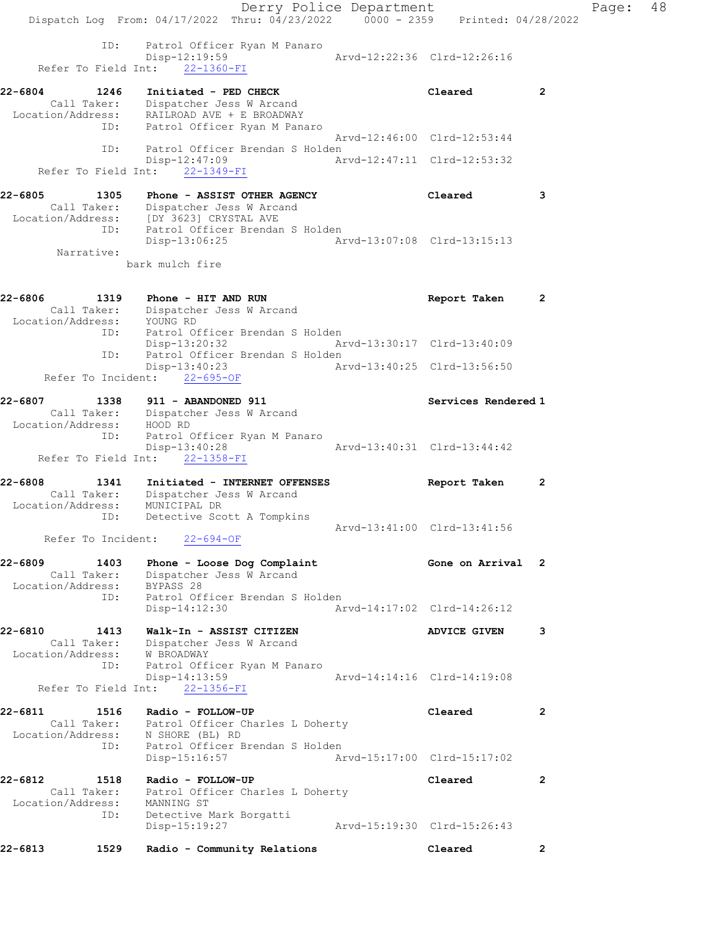Derry Police Department Fage: 48 Dispatch Log From: 04/17/2022 Thru: 04/23/2022 0000 - 2359 Printed: 04/28/2022 ID: Patrol Officer Ryan M Panaro Disp-12:19:59 Arvd-12:22:36 Clrd-12:26:16 Refer To Field Int: 22-1360-FI 22-6804 1246 Initiated - PED CHECK Cleared 2 Call Taker: Dispatcher Jess W Arcand Location/Address: RAILROAD AVE + E BROADWAY ID: Patrol Officer Ryan M Panaro Arvd-12:46:00 Clrd-12:53:44 ID: Patrol Officer Brendan S Holden Disp-12:47:09 Arvd-12:47:11 Clrd-12:53:32 Refer To Field Int: 22-1349-FI 22-6805 1305 Phone - ASSIST OTHER AGENCY Cleared 3 Call Taker: Dispatcher Jess W Arcand Location/Address: [DY 3623] CRYSTAL AVE ID: Patrol Officer Brendan S Holden Disp-13:06:25 Arvd-13:07:08 Clrd-13:15:13 Narrative: bark mulch fire 22-6806 1319 Phone - HIT AND RUN Report Taken 2 Call Taker: Dispatcher Jess W Arcand Location/Address: YOUNG RD ID: Patrol Officer Brendan S Holden<br>Disp-13:20:32 Ar Disp-13:20:32 Arvd-13:30:17 Clrd-13:40:09 ID: Patrol Officer Brendan S Holden Disp-13:40:23 Arvd-13:40:25 Clrd-13:56:50 Refer To Incident: 22-695-OF 22-6807 1338 911 - ABANDONED 911 Services Rendered 1 Call Taker: Dispatcher Jess W Arcand Location/Address: HOOD RD ID: Patrol Officer Ryan M Panaro Disp-13:40:28 Arvd-13:40:31 Clrd-13:44:42 Refer To Field Int: 22-1358-FI 22-6808 1341 Initiated - INTERNET OFFENSES Report Taken 2 Call Taker: Dispatcher Jess W Arcand Location/Address: MUNICIPAL DR ID: Detective Scott A Tompkins Arvd-13:41:00 Clrd-13:41:56 Refer To Incident: 22-694-OF 22-6809 1403 Phone - Loose Dog Complaint Gone on Arrival 2 Call Taker: Dispatcher Jess W Arcand Location/Address: BYPASS 28 ID: Patrol Officer Brendan S Holden Disp-14:12:30 Arvd-14:17:02 Clrd-14:26:12 22-6810 1413 Walk-In - ASSIST CITIZEN ADVICE GIVEN 3 Call Taker: Dispatcher Jess W Arcand Location/Address: W BROADWAY ID: Patrol Officer Ryan M Panaro Disp-14:13:59 Arvd-14:14:16 Clrd-14:19:08 Refer To Field Int: 22-1356-FI 22-6811 1516 Radio - FOLLOW-UP Cleared 2 Call Taker: Patrol Officer Charles L Doherty Location/Address: N SHORE (BL) RD ID: Patrol Officer Brendan S Holden Disp-15:16:57 Arvd-15:17:00 Clrd-15:17:02 22-6812 1518 Radio - FOLLOW-UP Cleared 2 Call Taker: Patrol Officer Charles L Doherty Location/Address: MANNING ST ID: Detective Mark Borgatti Disp-15:19:27 Arvd-15:19:30 Clrd-15:26:43 22-6813 1529 Radio - Community Relations Cleared 2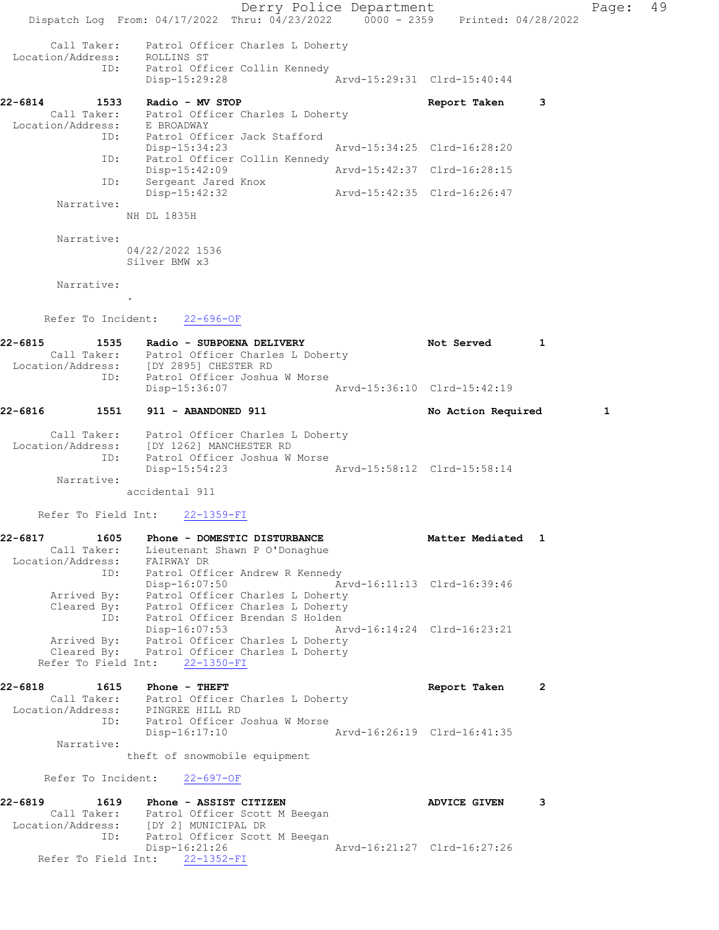Derry Police Department Controller Page: 49 Dispatch Log From: 04/17/2022 Thru: 04/23/2022 0000 - 2359 Printed: 04/28/2022 Call Taker: Patrol Officer Charles L Doherty Location/Address: ROLLINS ST ID: Patrol Officer Collin Kennedy Disp-15:29:28 Arvd-15:29:31 Clrd-15:40:44 22-6814 1533 Radio - MV STOP Report Taken 3 Call Taker: Patrol Officer Charles L Doherty Location/Address: E BROADWAY ID: Patrol Officer Jack Stafford Disp-15:34:23 Arvd-15:34:25 Clrd-16:28:20 ID: Patrol Officer Collin Kennedy<br>Disp-15:42:09 Mrvd-15:42:37 Clrd-16:28:15 Disp-15:42:09 ID: Sergeant Jared Knox Disp-15:42:32 Arvd-15:42:35 Clrd-16:26:47 Narrative: NH DL 1835H Narrative: 04/22/2022 1536 Silver BMW x3 Narrative: . Refer To Incident: 22-696-OF 22-6815 1535 Radio - SUBPOENA DELIVERY 1988 Not Served 1 Call Taker: Patrol Officer Charles L Doherty Location/Address: [DY 2895] CHESTER RD ID: Patrol Officer Joshua W Morse Disp-15:36:07 Arvd-15:36:10 Clrd-15:42:19 22-6816 1551 911 - ABANDONED 911 1 No Action Required 1 Call Taker: Patrol Officer Charles L Doherty Location/Address: [DY 1262] MANCHESTER RD ID: Patrol Officer Joshua W Morse Disp-15:54:23 Arvd-15:58:12 Clrd-15:58:14 Narrative: accidental 911 Refer To Field Int: 22-1359-FI 22-6817 1605 Phone - DOMESTIC DISTURBANCE 1 Matter Mediated 1 Call Taker: Lieutenant Shawn P O'Donaghue Location/Address: FAIRWAY DR ID: Patrol Officer Andrew R Kennedy Disp-16:07:50 Arvd-16:11:13 Clrd-16:39:46 Arrived By: Patrol Officer Charles L Doherty Cleared By: Patrol Officer Charles L Doherty ID: Patrol Officer Brendan S Holden Disp-16:07:53 Arvd-16:14:24 Clrd-16:23:21 Arrived By: Patrol Officer Charles L Doherty Cleared By: Patrol Officer Charles L Doherty Refer To Field Int: 22-1350-FI 22-6818 1615 Phone - THEFT Report Taken 2 Call Taker: Patrol Officer Charles L Doherty Location/Address: PINGREE HILL RD ID: Patrol Officer Joshua W Morse Disp-16:17:10 Arvd-16:26:19 Clrd-16:41:35 Narrative: theft of snowmobile equipment Refer To Incident: 22-697-OF 22-6819 1619 Phone - ASSIST CITIZEN 1990 Phone 1619 DESIST CONTROL CONTROL ADVICE GIVEN Call Taker: Patrol Officer Scott M Beegan Location/Address: [DY 2] MUNICIPAL DR ID: Patrol Officer Scott M Beegan Disp-16:21:26 Arvd-16:21:27 Clrd-16:27:26 Refer To Field Int: 22-1352-FI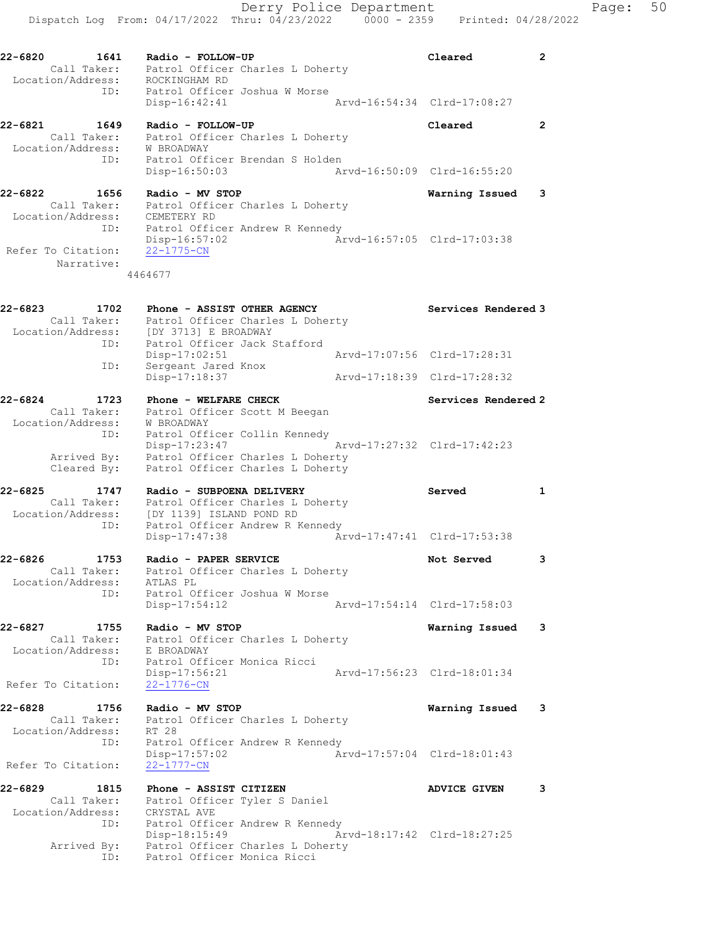Call Taker: Patrol Officer Charles L Doherty Location/Address: ROCKINGHAM RD ID: Patrol Officer Joshua W Morse Disp-16:42:41 Arvd-16:54:34 Clrd-17:08:27

22-6821 1649 Radio - FOLLOW-UP Cleared 2 Call Taker: Patrol Officer Charles L Doherty Location/Address: W BROADWAY ID: Patrol Officer Brendan S Holden Disp-16:50:03 Arvd-16:50:09 Clrd-16:55:20

22-6822 1656 Radio - MV STOP Warning Issued 3 Call Taker: Patrol Officer Charles L Doherty Location/Address: CEMETERY RD ID: Patrol Officer Andrew R Kennedy Disp-16:57:02 Arvd-16:57:05 Clrd-17:03:38 Refer To Citation: 22-1775-CN Narrative:

4464677

| 22-6823<br>Call Taker:<br>Location/Address: | 1702<br>ID:       | Phone - ASSIST OTHER AGENCY<br>Patrol Officer Charles L Doherty<br>[DY 3713] E BROADWAY<br>Patrol Officer Jack Stafford | Services Rendered 3         |
|---------------------------------------------|-------------------|-------------------------------------------------------------------------------------------------------------------------|-----------------------------|
|                                             | ID:               | Disp-17:02:51<br>Sergeant Jared Knox                                                                                    | Arvd-17:07:56 Clrd-17:28:31 |
|                                             |                   | Disp-17:18:37                                                                                                           | Arvd-17:18:39 Clrd-17:28:32 |
| 22-6824                                     | 1723              | Phone - WELFARE CHECK                                                                                                   | Services Rendered 2         |
| Call Taker:<br>Location/Address:            | W BROADWAY<br>ID: | Patrol Officer Scott M Beegan<br>Patrol Officer Collin Kennedy                                                          |                             |

22-6825 1747 Radio - SUBPOENA DELIVERY Served 1 Call Taker: Patrol Officer Charles L Doherty Location/Address: [DY 1139] ISLAND POND RD ID: Patrol Officer Andrew R Kennedy Disp-17:47:38 Arvd-17:47:41 Clrd-17:53:38

22-6826 1753 Radio - PAPER SERVICE Not Served 3 Call Taker: Patrol Officer Charles L Doherty Location/Address: ATLAS PL ID: Patrol Officer Joshua W Morse Disp-17:54:12 Arvd-17:54:14 Clrd-17:58:03

22-6827 1755 Radio - MV STOP Warning Issued 3 Call Taker: Patrol Officer Charles L Doherty Location/Address: E BROADWAY ID: Patrol Officer Monica Ricci Disp-17:56:21 Arvd-17:56:23 Clrd-18:01:34 Refer To Citation: 22-1776-CN

22-6828 1756 Radio - MV STOP Warning Issued 3 Call Taker: Patrol Officer Charles L Doherty Location/Address: RT 28 ID: Patrol Officer Andrew R Kennedy Disp-17:57:02 Arvd-17:57:04 Clrd-18:01:43 Refer To Citation: 22-1777-CN

22-6829 1815 Phone - ASSIST CITIZEN ADVICE GIVEN 3 Call Taker: Patrol Officer Tyler S Daniel Location/Address: CRYSTAL AVE ID: Patrol Officer Andrew R Kennedy Disp-18:15:49 Arvd-18:17:42 Clrd-18:27:25 Arrived By: Patrol Officer Charles L Doherty ID: Patrol Officer Monica Ricci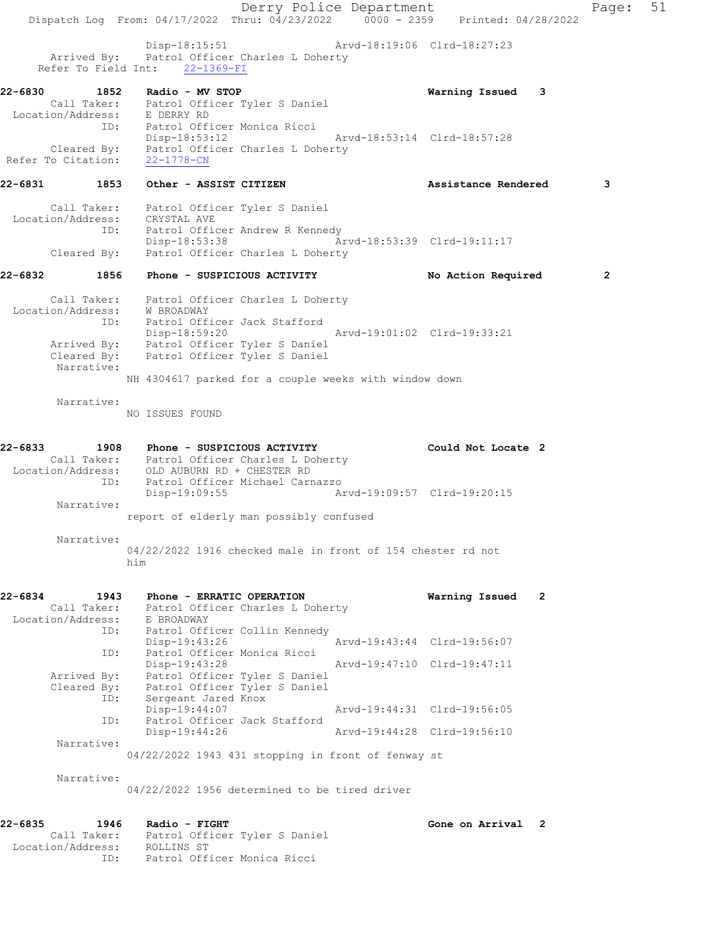Derry Police Department Page: 51 Dispatch Log From: 04/17/2022 Thru: 04/23/2022 0000 - 2359 Printed: 04/28/2022 Disp-18:15:51 Arvd-18:19:06 Clrd-18:27:23 Arrived By: Patrol Officer Charles L Doherty Refer To Field Int: 22-1369-FI 22-6830 1852 Radio - MV STOP Warning Issued 3 Call Taker: Patrol Officer Tyler S Daniel Location/Address: E DERRY RD ID: Patrol Officer Monica Ricci Disp-18:53:12 Arvd-18:53:14 Clrd-18:57:28 Cleared By: Patrol Officer Charles L Doherty Refer To Citation: 22-1778-CN 22-6831 1853 Other - ASSIST CITIZEN Assistance Rendered 3 Call Taker: Patrol Officer Tyler S Daniel Location/Address: CRYSTAL AVE ID: Patrol Officer Andrew R Kennedy Disp-18:53:38 Arvd-18:53:39 Clrd-19:11:17 Cleared By: Patrol Officer Charles L Doherty 22-6832 1856 Phone - SUSPICIOUS ACTIVITY No Action Required 2 Call Taker: Patrol Officer Charles L Doherty Location/Address: W BROADWAY ID: Patrol Officer Jack Stafford Disp-18:59:20 Arvd-19:01:02 Clrd-19:33:21 Arrived By: Patrol Officer Tyler S Daniel Cleared By: Patrol Officer Tyler S Daniel Narrative: NH 4304617 parked for a couple weeks with window down Narrative: NO ISSUES FOUND 22-6833 1908 Phone - SUSPICIOUS ACTIVITY Could Not Locate 2 Call Taker: Patrol Officer Charles L Doherty Location/Address: OLD AUBURN RD + CHESTER RD ID: Patrol Officer Michael Carnazzo Disp-19:09:55 Arvd-19:09:57 Clrd-19:20:15 Narrative: report of elderly man possibly confused Narrative: 04/22/2022 1916 checked male in front of 154 chester rd not him 22-6834 1943 Phone - ERRATIC OPERATION Warning Issued 2 Call Taker: Patrol Officer Charles L Doherty Location/Address: E BROADWAY ID: Patrol Officer Collin Kennedy Disp-19:43:26 Arvd-19:43:44 Clrd-19:56:07 ID: Patrol Officer Monica Ricci Disp-19:43:28 Arvd-19:47:10 Clrd-19:47:11 Arrived By: Patrol Officer Tyler S Daniel Cleared By: Patrol Officer Tyler S Daniel ID: Sergeant Jared Knox Disp-19:44:07 Arvd-19:44:31 Clrd-19:56:05 ID: Patrol Officer Jack Stafford<br>Disp-19:44:26 Disp-19:44:26 Arvd-19:44:28 Clrd-19:56:10 Narrative: 04/22/2022 1943 431 stopping in front of fenway st Narrative: 04/22/2022 1956 determined to be tired driver 22-6835 1946 Radio - FIGHT Gone on Arrival 2 Call Taker: Patrol Officer Tyler S Daniel Location/Address: ROLLINS ST ID: Patrol Officer Monica Ricci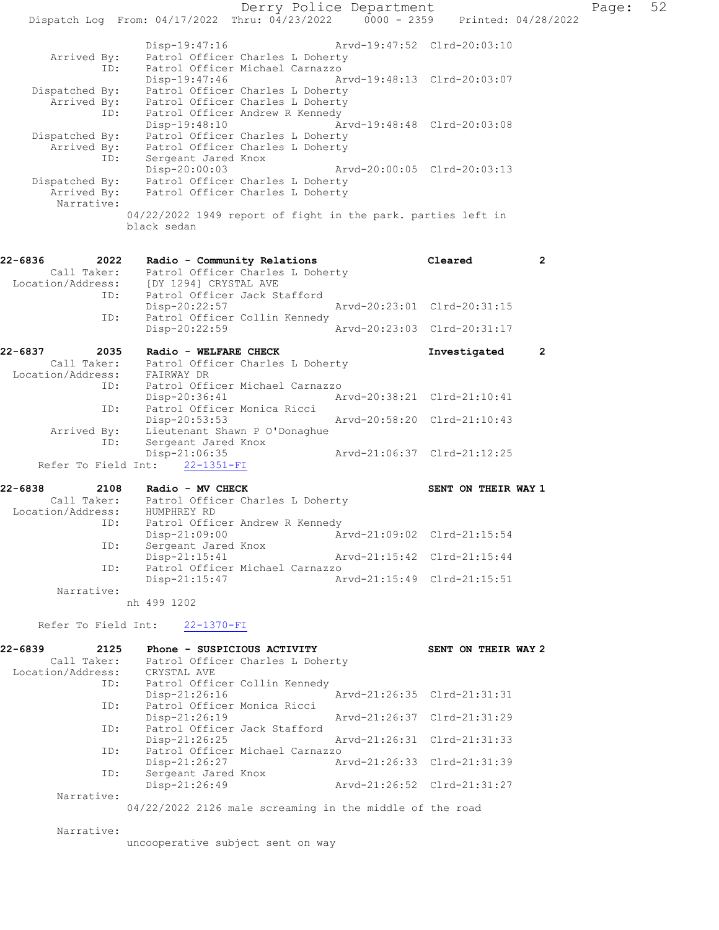Derry Police Department Fage: 52 Dispatch Log From: 04/17/2022 Thru: 04/23/2022 0000 - 2359 Printed: 04/28/2022 Disp-19:47:16 Arvd-19:47:52 Clrd-20:03:10 Arrived By: Patrol Officer Charles L Doherty<br>ID: Patrol Officer Michael Carnazzo Patrol Officer Michael Carnazzo<br>Disp-19:47:46 A Disp-19:47:46 Arvd-19:48:13 Clrd-20:03:07 Dispatched By: Patrol Officer Charles L Doherty Arrived By: Patrol Officer Charles L Doherty ID: Patrol Officer Andrew R Kennedy Disp-19:48:10 Arvd-19:48:48 Clrd-20:03:08 Dispatched By: Patrol Officer Charles L Doherty Arrived By: Patrol Officer Charles L Doherty ID: Sergeant Jared Knox Disp-20:00:03 Arvd-20:00:05 Clrd-20:03:13 Dispatched By: Patrol Officer Charles L Doherty Arrived By: Patrol Officer Charles L Doherty Narrative: 04/22/2022 1949 report of fight in the park. parties left in black sedan 22-6836 2022 Radio - Community Relations Cleared 2 Call Taker: Patrol Officer Charles L Doherty Location/Address: [DY 1294] CRYSTAL AVE ID: Patrol Officer Jack Stafford Disp-20:22:57 Arvd-20:23:01 Clrd-20:31:15 ID: Patrol Officer Collin Kennedy<br>Disp-20:22:59 Arvd-20:23:03 Clrd-20:31:17 22-6837 2035 Radio - WELFARE CHECK **Investigated** 2 Call Taker: Patrol Officer Charles L Doherty Location/Address: FAIRWAY DR ID: Patrol Officer Michael Carnazzo Disp-20:36:41 Arvd-20:38:21 Clrd-21:10:41<br>D: Patrol Officer Monica Ricci<br>Disp-20:53:53 Arvd-20:58:20 Clrd-21:10:43 Patrol Officer Monica Ricci Disp-20:53:53 Arvd-20:58:20 Clrd-21:10:43 Arrived By: Lieutenant Shawn P O'Donaghue ID: Sergeant Jared Knox Disp-21:06:35 Arvd-21:06:37 Clrd-21:12:25 Refer To Field Int: 22-1351-FI 22-6838 2108 Radio - MV CHECK SENT ON THEIR WAY 1 Call Taker: Patrol Officer Charles L Doherty Location/Address: HUMPHREY RD ID: Patrol Officer Andrew R Kennedy<br>Disp-21:09:00 Ar Disp-21:09:00 Arvd-21:09:02 Clrd-21:15:54<br>ID: Sergeant Jared Knox Disp-21.09.00<br>Sergeant Jared Knox Disp-21:15:41 Arvd-21:15:42 Clrd-21:15:44 ID: Patrol Officer Michael Carnazzo Disp-21:15:47 Arvd-21:15:49 Clrd-21:15:51 Narrative: nh 499 1202 Refer To Field Int: 22-1370-FI 22-6839 2125 Phone - SUSPICIOUS ACTIVITY SENT ON THEIR WAY 2 Call Taker: Patrol Officer Charles L Doherty Location/Address: CRYSTAL AVE ID: Patrol Officer Collin Kennedy Disp-21:26:16 Arvd-21:26:35 Clrd-21:31:31 ID: Patrol Officer Monica Ricci Disp-21:26:19 Arvd-21:26:37 Clrd-21:31:29<br>ID: Patrol Officer Jack Stafford Patrol Officer Jack Stafford Disp-21:26:25 Arvd-21:26:31 Clrd-21:31:33<br>ID: Patrol Officer Michael Carnazzo Patrol Officer Michael Carnazzo<br>Disp-21:26:27 A Disp-21:26:27 Arvd-21:26:33 Clrd-21:31:39 ID: Sergeant Jared Knox<br>Disp-21:26:49 Disp-21:26:49 Arvd-21:26:52 Clrd-21:31:27 Narrative:

04/22/2022 2126 male screaming in the middle of the road

Narrative:

uncooperative subject sent on way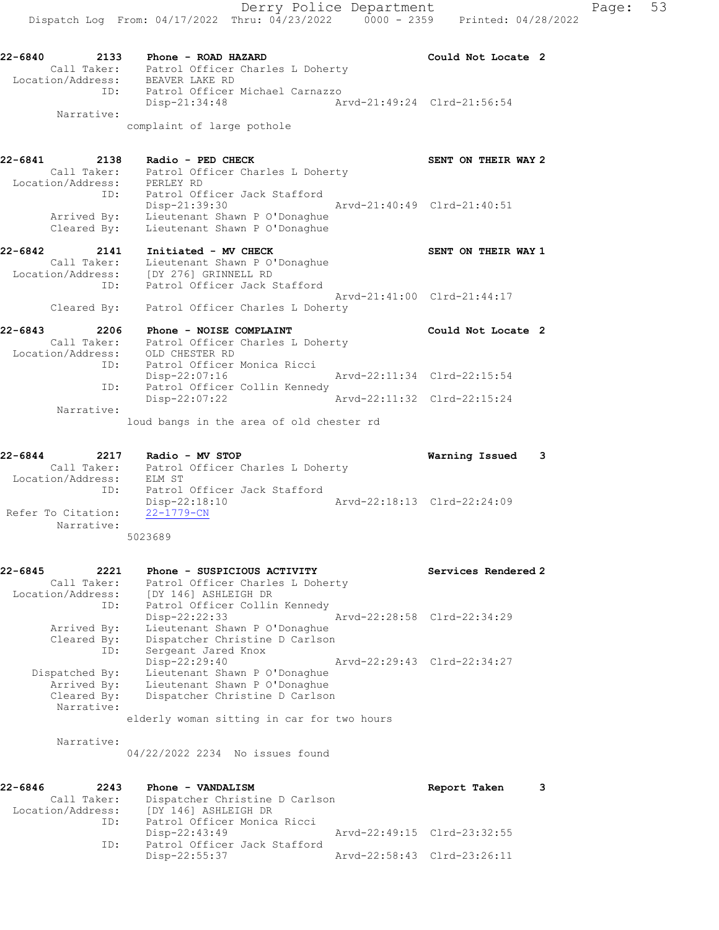complaint of large pothole

| 22-6841<br>2138            |     | Radio - PED CHECK                                              | SENT ON THEIR WAY 2         |
|----------------------------|-----|----------------------------------------------------------------|-----------------------------|
| Call Taker:                |     | Patrol Officer Charles L Doherty                               |                             |
| Location/Address:          |     | PERLEY RD                                                      |                             |
|                            | ID: | Patrol Officer Jack Stafford<br>Disp-21:39:30                  | Arvd-21:40:49 Clrd-21:40:51 |
| Arrived By:<br>Cleared By: |     | Lieutenant Shawn P O'Donaghue<br>Lieutenant Shawn P O'Donaghue |                             |

| 22-6842           | 2141 | Initiated - MV CHECK             | SENT ON THEIR WAY 1         |
|-------------------|------|----------------------------------|-----------------------------|
| Call Taker:       |      | Lieutenant Shawn P O'Donaghue    |                             |
| Location/Address: |      | [DY 276] GRINNELL RD             |                             |
|                   | ID:  | Patrol Officer Jack Stafford     |                             |
|                   |      |                                  | Aryd-21:41:00 Clrd-21:44:17 |
| Cleared By:       |      | Patrol Officer Charles L Doherty |                             |

| 22-6843           | 2206        | Phone - NOISE COMPLAINT          | Could Not Locate 2          |  |
|-------------------|-------------|----------------------------------|-----------------------------|--|
|                   | Call Taker: | Patrol Officer Charles L Doherty |                             |  |
| Location/Address: |             | OLD CHESTER RD                   |                             |  |
|                   | ID:         | Patrol Officer Monica Ricci      |                             |  |
|                   |             | Disp-22:07:16                    | Arvd-22:11:34 Clrd-22:15:54 |  |
|                   | ID:         | Patrol Officer Collin Kennedy    |                             |  |
|                   |             | $Disp-22:07:22$                  | Arvd-22:11:32 Clrd-22:15:24 |  |
|                   | Narrative:  |                                  |                             |  |

loud bangs in the area of old chester rd

| $22 - 6844$<br>2217 | Radio - MV STOP                  | Warning Issued              |  |
|---------------------|----------------------------------|-----------------------------|--|
| Call Taker:         | Patrol Officer Charles L Doherty |                             |  |
| Location/Address:   | ELM ST                           |                             |  |
| ID:                 | Patrol Officer Jack Stafford     |                             |  |
|                     | Disp-22:18:10                    | Arvd-22:18:13 Clrd-22:24:09 |  |
| Refer To Citation:  | $22 - 1779 - CN$                 |                             |  |
| Narrative:          |                                  |                             |  |
|                     | 5023689                          |                             |  |

| 22-6845<br>2221   | Phone - SUSPICIOUS ACTIVITY                | Services Rendered 2         |
|-------------------|--------------------------------------------|-----------------------------|
| Call Taker:       | Patrol Officer Charles L Doherty           |                             |
| Location/Address: | [DY 146] ASHLEIGH DR                       |                             |
| ID:               | Patrol Officer Collin Kennedy              |                             |
|                   | Disp-22:22:33                              | Arvd-22:28:58 Clrd-22:34:29 |
| Arrived By:       | Lieutenant Shawn P O'Donaghue              |                             |
| Cleared By:       | Dispatcher Christine D Carlson             |                             |
| ID:               | Sergeant Jared Knox                        |                             |
|                   | Disp-22:29:40                              | Arvd-22:29:43 Clrd-22:34:27 |
| Dispatched By:    | Lieutenant Shawn P O'Donaghue              |                             |
| Arrived By:       | Lieutenant Shawn P O'Donaghue              |                             |
| Cleared By:       | Dispatcher Christine D Carlson             |                             |
| Narrative:        |                                            |                             |
|                   | elderly woman sitting in car for two hours |                             |

Narrative:

04/22/2022 2234 No issues found

| 22-6846           | 2243        | Phone - VANDALISM              | Report Taken                |  |
|-------------------|-------------|--------------------------------|-----------------------------|--|
|                   | Call Taker: | Dispatcher Christine D Carlson |                             |  |
| Location/Address: |             | [DY 146] ASHLEIGH DR           |                             |  |
|                   | ID:         | Patrol Officer Monica Ricci    |                             |  |
|                   |             | Disp-22:43:49                  | Arvd-22:49:15 Clrd-23:32:55 |  |
|                   | ID:         | Patrol Officer Jack Stafford   |                             |  |
|                   |             | Disp-22:55:37                  | Arvd-22:58:43 Clrd-23:26:11 |  |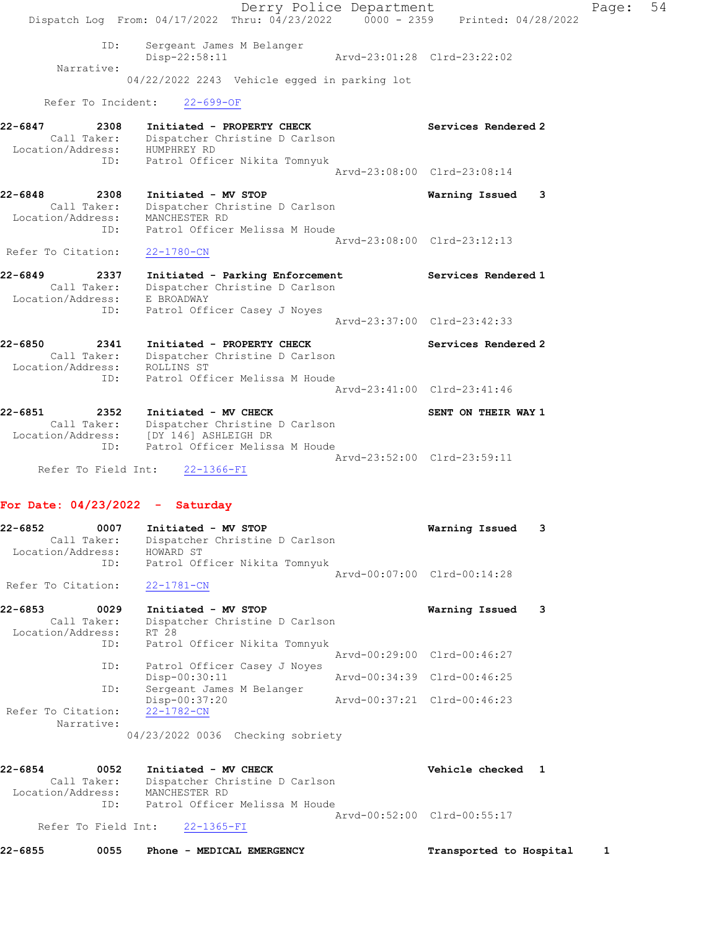Derry Police Department Fage: 54 Dispatch Log From:  $04/17/2022$  Thru:  $04/23/2022$  0000 - 2359 Printed: 04/28/2022 ID: Sergeant James M Belanger Disp-22:58:11 Arvd-23:01:28 Clrd-23:22:02 Narrative: 04/22/2022 2243 Vehicle egged in parking lot Refer To Incident: 22-699-OF 22-6847 2308 Initiated - PROPERTY CHECK Services Rendered 2 Call Taker: Dispatcher Christine D Carlson Location/Address: HUMPHREY RD ID: Patrol Officer Nikita Tomnyuk Arvd-23:08:00 Clrd-23:08:14 22-6848 2308 Initiated - MV STOP Warning Issued 3 Call Taker: Dispatcher Christine D Carlson Location/Address: MANCHESTER RD ID: Patrol Officer Melissa M Houde Arvd-23:08:00 Clrd-23:12:13 Refer To Citation: 22-1780-CN 22-6849 2337 Initiated - Parking Enforcement Services Rendered 1 Call Taker: Dispatcher Christine D Carlson Location/Address: E BROADWAY ID: Patrol Officer Casey J Noyes Arvd-23:37:00 Clrd-23:42:33 22-6850 2341 Initiated - PROPERTY CHECK Services Rendered 2 Call Taker: Dispatcher Christine D Carlson Location/Address: ROLLINS ST ID: Patrol Officer Melissa M Houde Arvd-23:41:00 Clrd-23:41:46 22-6851 2352 Initiated - MV CHECK SENT ON THEIR WAY 1 Call Taker: Dispatcher Christine D Carlson Location/Address: [DY 146] ASHLEIGH DR ID: Patrol Officer Melissa M Houde Arvd-23:52:00 Clrd-23:59:11 Refer To Field Int: 22-1366-FI For Date: 04/23/2022 - Saturday 22-6852 0007 Initiated - MV STOP Warning Issued 3 Call Taker: Dispatcher Christine D Carlson

 Location/Address: HOWARD ST ID: Patrol Officer Nikita Tomnyuk Arvd-00:07:00 Clrd-00:14:28 Refer To Citation: 22-1781-CN

| 22-6853            | 0029        | Initiated - MV STOP            | Warning Issued              |  |
|--------------------|-------------|--------------------------------|-----------------------------|--|
|                    | Call Taker: | Dispatcher Christine D Carlson |                             |  |
| Location/Address:  |             | RT 28                          |                             |  |
|                    | ID:         | Patrol Officer Nikita Tomnyuk  |                             |  |
|                    |             |                                | Arvd-00:29:00 Clrd-00:46:27 |  |
|                    | ID:         | Patrol Officer Casey J Noyes   |                             |  |
|                    |             | Disp-00:30:11                  | Arvd-00:34:39 Clrd-00:46:25 |  |
|                    | ID:         | Sergeant James M Belanger      |                             |  |
|                    |             | Disp-00:37:20                  | Arvd-00:37:21 Clrd-00:46:23 |  |
| Refer To Citation: |             | $22 - 1782 - CN$               |                             |  |
|                    | Narrative:  |                                |                             |  |

04/23/2022 0036 Checking sobriety

| 22-6854<br>0052   | Initiated - MV CHECK           | Vehicle checked 1           |  |
|-------------------|--------------------------------|-----------------------------|--|
| Call Taker:       | Dispatcher Christine D Carlson |                             |  |
| Location/Address: | MANCHESTER RD                  |                             |  |
| TD:               | Patrol Officer Melissa M Houde |                             |  |
|                   |                                | Aryd-00:52:00 Clrd-00:55:17 |  |

Refer To Field Int: 22-1365-FI

22-6855 0055 Phone - MEDICAL EMERGENCY Transported to Hospital 1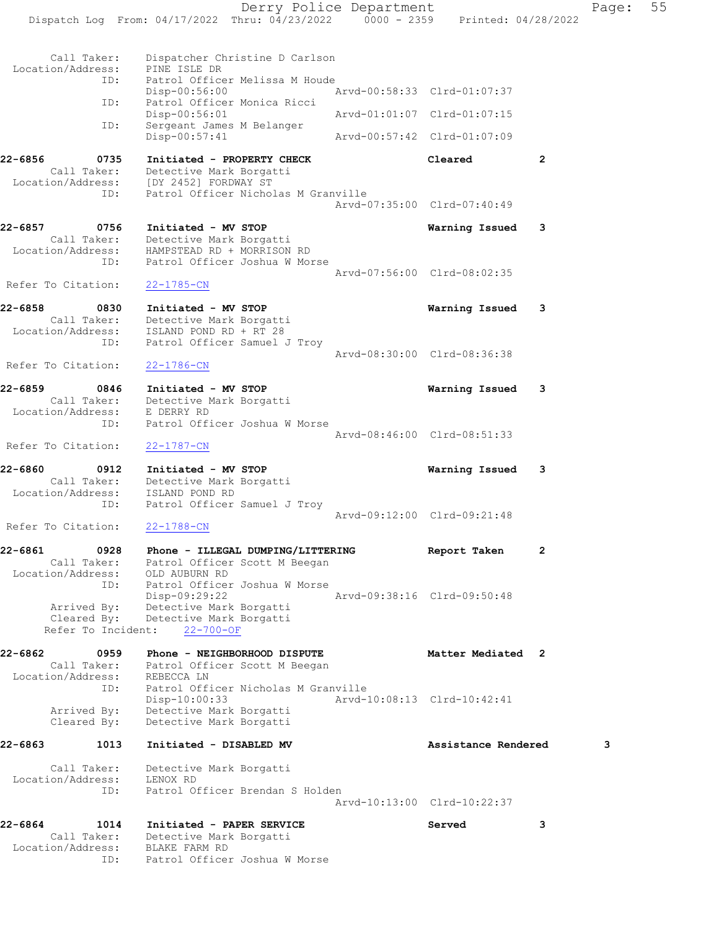Derry Police Department Fage: 55 Dispatch Log From: 04/17/2022 Thru: 04/23/2022 0000 - 2359 Printed: 04/28/2022 Call Taker: Dispatcher Christine D Carlson Location/Address: PINE ISLE DR ID: Patrol Officer Melissa M Houde Disp-00:56:00 Arvd-00:58:33 Clrd-01:07:37 ID: Patrol Officer Monica Ricci Disp-00:56:01 Arvd-01:01:07 Clrd-01:07:15 ID: Sergeant James M Belanger Disp-00:57:41 Arvd-00:57:42 Clrd-01:07:09 22-6856 0735 Initiated - PROPERTY CHECK Cleared 2 Call Taker: Detective Mark Borgatti Location/Address: [DY 2452] FORDWAY ST ID: Patrol Officer Nicholas M Granville Arvd-07:35:00 Clrd-07:40:49 22-6857 0756 Initiated - MV STOP Warning Issued 3 Call Taker: Detective Mark Borgatti Location/Address: HAMPSTEAD RD + MORRISON RD ID: Patrol Officer Joshua W Morse Arvd-07:56:00 Clrd-08:02:35 Refer To Citation: 22-1785-CN 22-6858 0830 Initiated - MV STOP Warning Issued 3 Call Taker: Detective Mark Borgatti Location/Address: ISLAND POND RD + RT 28 ID: Patrol Officer Samuel J Troy Arvd-08:30:00 Clrd-08:36:38 Refer To Citation: 22-1786-CN 22-6859 0846 Initiated - MV STOP Warning Issued 3 Call Taker: Detective Mark Borgatti Location/Address: E DERRY RD ID: Patrol Officer Joshua W Morse Arvd-08:46:00 Clrd-08:51:33 Refer To Citation: 22-1787-CN 22-6860 0912 Initiated - MV STOP Warning Issued 3 Call Taker: Detective Mark Borgatti Location/Address: ISLAND POND RD ID: Patrol Officer Samuel J Troy Arvd-09:12:00 Clrd-09:21:48 Refer To Citation: 22-1788-CN 22-6861 0928 Phone - ILLEGAL DUMPING/LITTERING Report Taken 2 Call Taker: Patrol Officer Scott M Beegan Location/Address: OLD AUBURN RD ID: Patrol Officer Joshua W Morse Disp-09:29:22 Arvd-09:38:16 Clrd-09:50:48 Arrived By: Detective Mark Borgatti Cleared By: Detective Mark Borgatti Refer To Incident: 22-700-OF 22-6862 0959 Phone - NEIGHBORHOOD DISPUTE Matter Mediated 2 Call Taker: Patrol Officer Scott M Beegan Location/Address: REBECCA LN ID: Patrol Officer Nicholas M Granville Disp-10:00:33 Arvd-10:08:13 Clrd-10:42:41 Arrived By: Detective Mark Borgatti Cleared By: Detective Mark Borgatti 22-6863 1013 Initiated - DISABLED MV **Assistance Rendered** 3 Call Taker: Detective Mark Borgatti Location/Address: LENOX RD ID: Patrol Officer Brendan S Holden Arvd-10:13:00 Clrd-10:22:37 22-6864 1014 Initiated - PAPER SERVICE Served 3 Call Taker: Detective Mark Borgatti Location/Address: BLAKE FARM RD

ID: Patrol Officer Joshua W Morse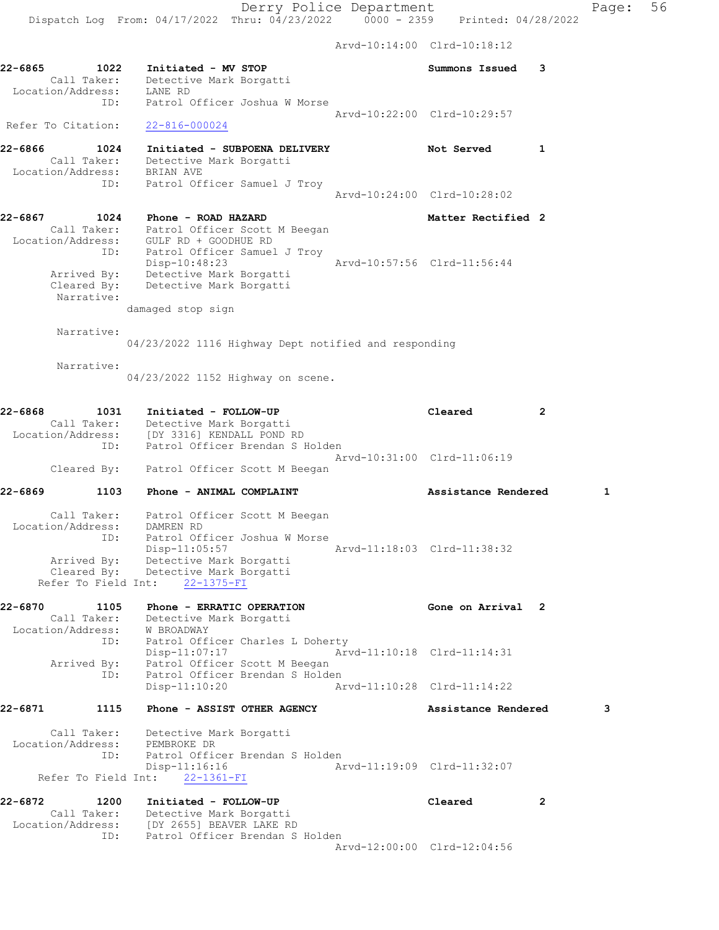Arvd-10:14:00 Clrd-10:18:12 22-6865 1022 Initiated - MV STOP Summons Issued 3 Call Taker: Detective Mark Borgatti Location/Address: LANE RD ID: Patrol Officer Joshua W Morse Arvd-10:22:00 Clrd-10:29:57 Refer To Citation: 22-816-000024 22-6866 1024 Initiated - SUBPOENA DELIVERY Not Served 1 Call Taker: Detective Mark Borgatti Location/Address: BRIAN AVE ID: Patrol Officer Samuel J Troy Arvd-10:24:00 Clrd-10:28:02 22-6867 1024 Phone - ROAD HAZARD Matter Rectified 2 Call Taker: Patrol Officer Scott M Beegan Location/Address: GULF RD + GOODHUE RD ID: Patrol Officer Samuel J Troy Disp-10:48:23 Arvd-10:57:56 Clrd-11:56:44 Arrived By: Detective Mark Borgatti Cleared By: Detective Mark Borgatti Narrative: damaged stop sign Narrative: 04/23/2022 1116 Highway Dept notified and responding Narrative: 04/23/2022 1152 Highway on scene. 22-6868 1031 Initiated - FOLLOW-UP Cleared 2 Call Taker: Detective Mark Borgatti Location/Address: [DY 3316] KENDALL POND RD ID: Patrol Officer Brendan S Holden Arvd-10:31:00 Clrd-11:06:19 Cleared By: Patrol Officer Scott M Beegan 22-6869 1103 Phone - ANIMAL COMPLAINT 1 1990 Assistance Rendered 1 Call Taker: Patrol Officer Scott M Beegan Location/Address: DAMREN RD ID: Patrol Officer Joshua W Morse Disp-11:05:57 Arvd-11:18:03 Clrd-11:38:32 Arrived By: Detective Mark Borgatti Cleared By: Detective Mark Borgatti Refer To Field Int: 22-1375-FI 22-6870 1105 Phone - ERRATIC OPERATION **120 Cone on Arrival** 2 Call Taker: Detective Mark Borgatti Location/Address: W BROADWAY ID: Patrol Officer Charles L Doherty Disp-11:07:17 Arvd-11:10:18 Clrd-11:14:31 Arrived By: Patrol Officer Scott M Beegan ID: Patrol Officer Brendan S Holden Disp-11:10:20 Arvd-11:10:28 Clrd-11:14:22 22-6871 1115 Phone - ASSIST OTHER AGENCY Assistance Rendered 3 Call Taker: Detective Mark Borgatti Location/Address: PEMBROKE DR ID: Patrol Officer Brendan S Holden Disp-11:16:16 Arvd-11:19:09 Clrd-11:32:07 Refer To Field Int: 22-1361-FI 22-6872 1200 Initiated - FOLLOW-UP Cleared 2 Call Taker: Detective Mark Borgatti Location/Address: [DY 2655] BEAVER LAKE RD ID: Patrol Officer Brendan S Holden Arvd-12:00:00 Clrd-12:04:56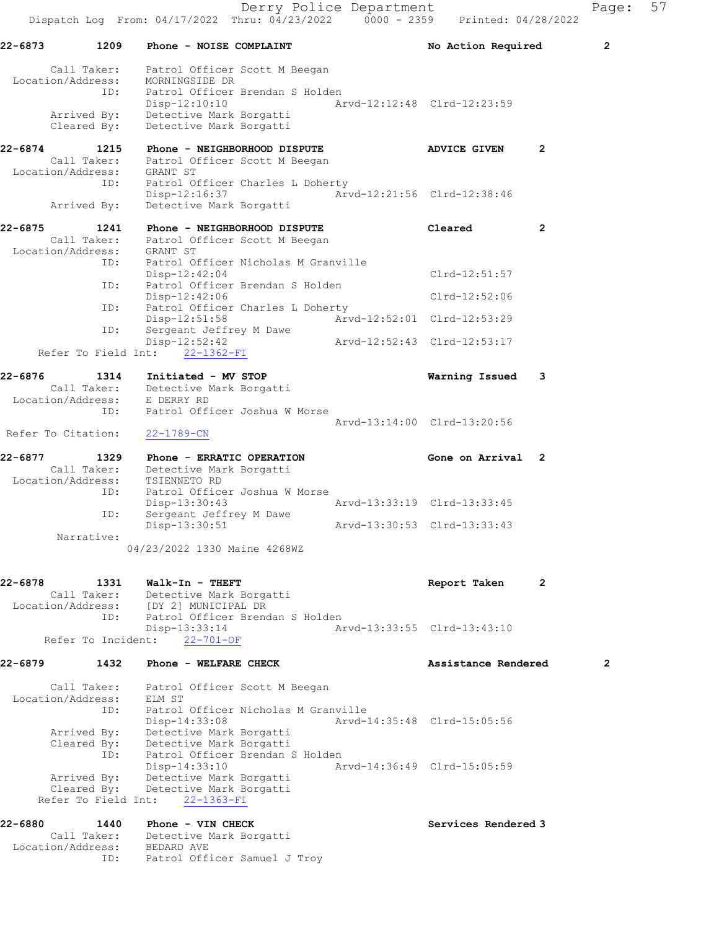22-6873 1209 Phone - NOISE COMPLAINT No Rotion Required 2 Call Taker: Patrol Officer Scott M Beegan Location/Address: MORNINGSIDE DR ID: Patrol Officer Brendan S Holden Disp-12:10:10 Arvd-12:12:48 Clrd-12:23:59 Arrived By: Detective Mark Borgatti Cleared By: Detective Mark Borgatti 22-6874 1215 Phone - NEIGHBORHOOD DISPUTE ADVICE GIVEN 2 Call Taker: Patrol Officer Scott M Beegan Location/Address: GRANT ST ID: Patrol Officer Charles L Doherty Disp-12:16:37 Arvd-12:21:56 Clrd-12:38:46 Arrived By: Detective Mark Borgatti 22-6875 1241 Phone - NEIGHBORHOOD DISPUTE Cleared 2 Call Taker: Patrol Officer Scott M Beegan Location/Address: GRANT ST ID: Patrol Officer Nicholas M Granville Disp-12:42:04 Clrd-12:51:57<br>ID: Patrol Officer Brendan S Holden Clrd-12:52:06 Patrol Officer Brendan S Holden<br>Disp-12:42:06 Disp-12:42:06 Clrd-12:52:06 ID: Patrol Officer Charles L Doherty Disp-12:51:58 Arvd-12:52:01 Clrd-12:53:29 ID: Sergeant Jeffrey M Dawe Disp-12:52:42 Arvd-12:52:43 Clrd-12:53:17 Refer To Field Int: 22-1362-FI 22-6876 1314 Initiated - MV STOP Warning Issued 3 Call Taker: Detective Mark Borgatti Location/Address: E DERRY RD ID: Patrol Officer Joshua W Morse Arvd-13:14:00 Clrd-13:20:56 Refer To Citation: 22-1789-CN 22-6877 1329 Phone - ERRATIC OPERATION 1988 Gone on Arrival 2 Call Taker: Detective Mark Borgatti Location/Address: TSIENNETO RD ID: Patrol Officer Joshua W Morse Disp-13:30:43 Arvd-13:33:19 Clrd-13:33:45 ID: Sergeant Jeffrey M Dawe Disp-13:30:51 Arvd-13:30:53 Clrd-13:33:43 Narrative: 04/23/2022 1330 Maine 4268WZ 22-6878 1331 Walk-In - THEFT Report Taken 2 Call Taker: Detective Mark Borgatti Location/Address: [DY 2] MUNICIPAL DR ID: Patrol Officer Brendan S Holden Disp-13:33:14 Arvd-13:33:55 Clrd-13:43:10 Refer To Incident: 22-701-OF 22-6879 1432 Phone - WELFARE CHECK Assistance Rendered 2 Call Taker: Patrol Officer Scott M Beegan Location/Address: ELM ST ID: Patrol Officer Nicholas M Granville Disp-14:33:08 Arvd-14:35:48 Clrd-15:05:56 Arrived By: Detective Mark Borgatti Cleared By: Detective Mark Borgatti ID: Patrol Officer Brendan S Holden Disp-14:33:10 Arvd-14:36:49 Clrd-15:05:59 Arrived By: Detective Mark Borgatti Cleared By: Detective Mark Borgatti Refer To Field Int: 22-1363-FI

22-6880 1440 Phone - VIN CHECK Services Rendered 3 Call Taker: Detective Mark Borgatti Location/Address: BEDARD AVE ID: Patrol Officer Samuel J Troy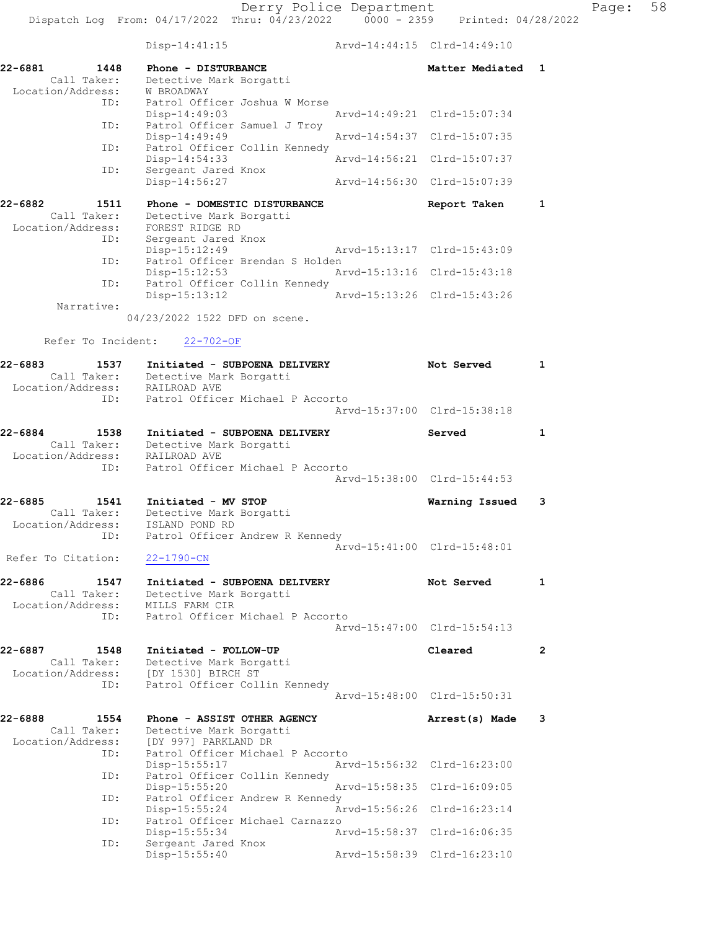Disp-14:41:15 Arvd-14:44:15 Clrd-14:49:10

Dispatch Log From:  $04/17/2022$  Thru:  $04/23/2022$  0000 - 2359 Printed: 04/28/2022

22-6881 1448 Phone - DISTURBANCE 1 22-6881 Matter Mediated 1 Call Taker: Detective Mark Borgatti Location/Address: W BROADWAY ID: Patrol Officer Joshua W Morse Disp-14:49:03 Arvd-14:49:21 Clrd-15:07:34 ID: Patrol Officer Samuel J Troy Disp-14:49:49 Arvd-14:54:37 Clrd-15:07:35<br>ID: Patrol Officer Collin Kennedy<br>
nisn-14:54:33 Arvd-14:56:21 Clrd-15:07:37 Patrol Officer Collin Kennedy<br>Disp-14:54:33<br>Arvd-14:56:21 Clrd-15:07:37 Disp-14:54:33 Arvd-14:56:21 Clrd-15:07:37 ID: Sergeant Jared Knox Disp-14:56:27 Arvd-14:56:30 Clrd-15:07:39 22-6882 1511 Phone - DOMESTIC DISTURBANCE Report Taken 1 Call Taker: Detective Mark Borgatti Location/Address: FOREST RIDGE RD ID: Sergeant Jared Knox Disp-15:12:49 Arvd-15:13:17 Clrd-15:43:09<br>ID: Patrol Officer Brendan S Holden Patrol Officer Brendan S Holden<br>Disp-15:12:53 Ar Disp-15:12:53 Arvd-15:13:16 Clrd-15:43:18<br>ID: Patrol Officer Collin Kennedy Patrol Officer Collin Kennedy<br>Disp-15:13:12 Arvd-15:13:26 Clrd-15:43:26 Disp-15:13:12 Narrative: 04/23/2022 1522 DFD on scene. Refer To Incident: 22-702-OF 22-6883 1537 Initiated - SUBPOENA DELIVERY 1 Not Served 1 Call Taker: Detective Mark Borgatti Location/Address: RAILROAD AVE ID: Patrol Officer Michael P Accorto Arvd-15:37:00 Clrd-15:38:18 22-6884 1538 Initiated - SUBPOENA DELIVERY Served 1 Call Taker: Detective Mark Borgatti Location/Address: RAILROAD AVE ID: Patrol Officer Michael P Accorto Arvd-15:38:00 Clrd-15:44:53 22-6885 1541 Initiated - MV STOP Warning Issued 3 Call Taker: Detective Mark Borgatti Location/Address: ISLAND POND RD ID: Patrol Officer Andrew R Kennedy Arvd-15:41:00 Clrd-15:48:01 Refer To Citation: 22-1790-CN 22-6886 1547 Initiated - SUBPOENA DELIVERY 1 Not Served 1 Call Taker: Detective Mark Borgatti Location/Address: MILLS FARM CIR ID: Patrol Officer Michael P Accorto Arvd-15:47:00 Clrd-15:54:13 22-6887 1548 Initiated - FOLLOW-UP Cleared 2 Call Taker: Detective Mark Borgatti Location/Address: [DY 1530] BIRCH ST ID: Patrol Officer Collin Kennedy Arvd-15:48:00 Clrd-15:50:31 22-6888 1554 Phone - ASSIST OTHER AGENCY Annual Mate 3 Call Taker: Detective Mark Borgatti Location/Address: [DY 997] PARKLAND DR ID: Patrol Officer Michael P Accorto<br>Disp-15:55:17 Arv Disp-15:55:17 Arvd-15:56:32 Clrd-16:23:00<br>ID: Patrol Officer Collin Kennedy Patrol Officer Collin Kennedy<br>Disp-15:55:20 Disp-15:55:20 Arvd-15:58:35 Clrd-16:09:05 ID: Patrol Officer Andrew R Kennedy<br>Disp-15:55:24 Ar Disp-15:55:24 Arvd-15:56:26 Clrd-16:23:14 ID: Patrol Officer Michael Carnazzo

Disp-15:55:34 Arvd-15:58:37 Clrd-16:06:35

Disp-15:55:40 Arvd-15:58:39 Clrd-16:23:10

ID: Sergeant Jared Knox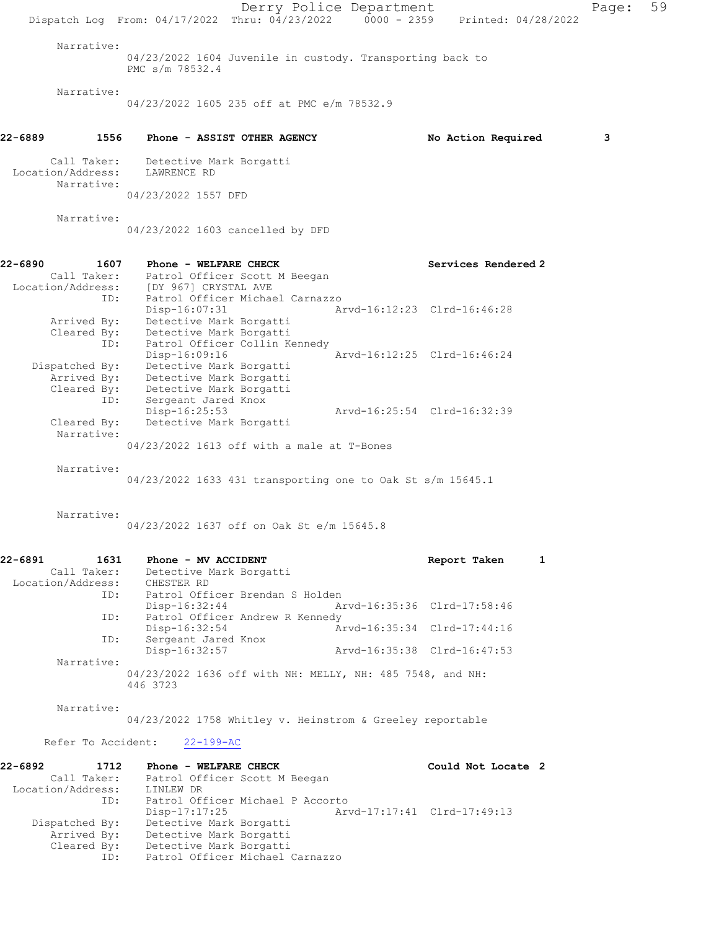Derry Police Department Page: 59 Dispatch Log From: 04/17/2022 Thru: 04/23/2022 0000 - 2359 Printed: 04/28/2022 Narrative: 04/23/2022 1604 Juvenile in custody. Transporting back to PMC s/m 78532.4 Narrative: 04/23/2022 1605 235 off at PMC e/m 78532.9 22-6889 1556 Phone - ASSIST OTHER AGENCY No Action Required 3 Call Taker: Detective Mark Borgatti Location/Address: LAWRENCE RD Narrative: 04/23/2022 1557 DFD Narrative: 04/23/2022 1603 cancelled by DFD 22-6890 1607 Phone - WELFARE CHECK Services Rendered 2 Call Taker: Patrol Officer Scott M Beegan Location/Address: [DY 967] CRYSTAL AVE ID: Patrol Officer Michael Carnazzo Disp-16:07:31 Arvd-16:12:23 Clrd-16:46:28 Arrived By: Detective Mark Borgatti Cleared By: Detective Mark Borgatti ID: Patrol Officer Collin Kennedy Disp-16:09:16 Arvd-16:12:25 Clrd-16:46:24 Dispatched By: Detective Mark Borgatti Arrived By: Detective Mark Borgatti Cleared By: Detective Mark Borgatti ID: Sergeant Jared Knox Disp-16:25:53 Arvd-16:25:54 Clrd-16:32:39 Cleared By: Detective Mark Borgatti Narrative: 04/23/2022 1613 off with a male at T-Bones Narrative: 04/23/2022 1633 431 transporting one to Oak St s/m 15645.1 Narrative: 04/23/2022 1637 off on Oak St e/m 15645.8 22-6891 1631 Phone - MV ACCIDENT Report Taken 1 Call Taker: Detective Mark Borgatti Location/Address: CHESTER RD<br>ID: Patrol Off: Patrol Officer Brendan S Holden Disp-16:32:44 Arvd-16:35:36 Clrd-17:58:46 ID: Patrol Officer Andrew R Kennedy Disp-16:32:54 Arvd-16:35:34 Clrd-17:44:16 ID: Sergeant Jared Knox<br>Disp-16:32:57 Disp-16:32:57 Arvd-16:35:38 Clrd-16:47:53 Narrative: 04/23/2022 1636 off with NH: MELLY, NH: 485 7548, and NH: 446 3723 Narrative: 04/23/2022 1758 Whitley v. Heinstrom & Greeley reportable Refer To Accident: 22-199-AC 22-6892 1712 Phone - WELFARE CHECK 1988 1999 Could Not Locate 2 Call Taker: Patrol Officer Scott M Beegan Location/Address: LINLEW DR<br>ID: Patrol Officer Michael P Accorto ID: Patrol Officer Michael P Accorto Disp-17:17:25 Arvd-17:17:41 Clrd-17:49:13 Dispatched By: Detective Mark Borgatti Arrived By: Detective Mark Borgatti Cleared By: Detective Mark Borgatti ID: Patrol Officer Michael Carnazzo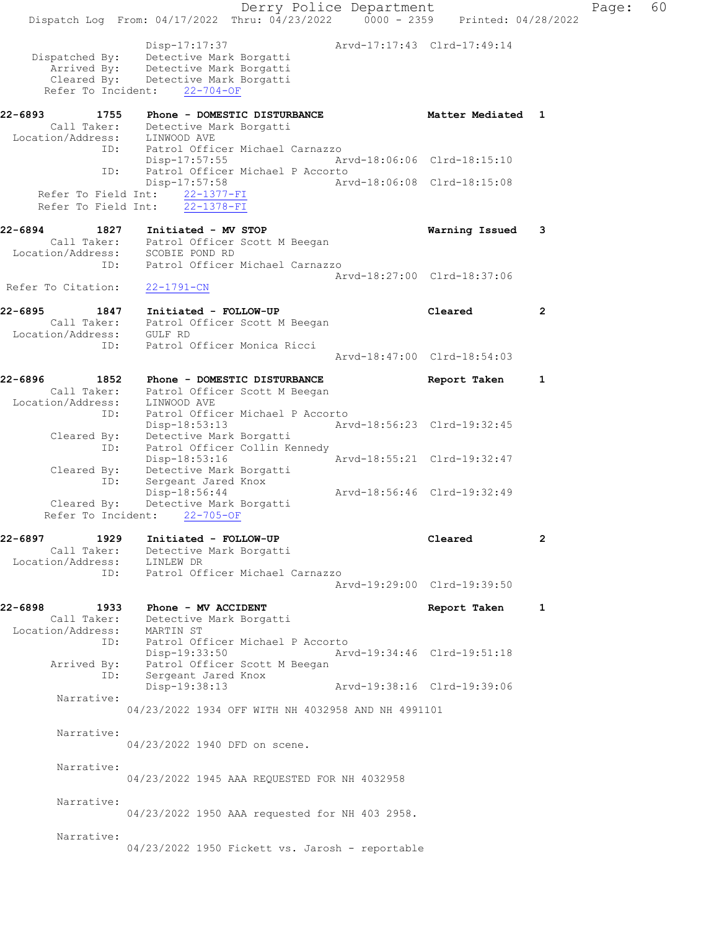Derry Police Department Fage: 60 Dispatch Log From: 04/17/2022 Thru: 04/23/2022 0000 - 2359 Printed: 04/28/2022 Disp-17:17:37 Arvd-17:17:43 Clrd-17:49:14 Dispatched By: Detective Mark Borgatti Arrived By: Detective Mark Borgatti Cleared By: Detective Mark Borgatti Refer To Incident: 22-704-OF 22-6893 1755 Phone - DOMESTIC DISTURBANCE Matter Mediated 1 Call Taker: Detective Mark Borgatti Location/Address: LINWOOD AVE ID: Patrol Officer Michael Carnazzo Disp-17:57:55 Arvd-18:06:06 Clrd-18:15:10 ID: Patrol Officer Michael P Accorto<br>Disp-17:57:58 Art Disp-17:57:58 Arvd-18:06:08 Clrd-18:15:08 Refer To Field Int:  $22-1377-FI$ Refer To Field Int:  $\overline{22-1378-FI}$ 22-6894 1827 Initiated - MV STOP Warning Issued 3 Call Taker: Patrol Officer Scott M Beegan Location/Address: SCOBIE POND RD ID: Patrol Officer Michael Carnazzo Arvd-18:27:00 Clrd-18:37:06 Refer To Citation: 22-1791-CN 22-6895 1847 Initiated - FOLLOW-UP Cleared 2 Call Taker: Patrol Officer Scott M Beegan Location/Address: GULF RD ID: Patrol Officer Monica Ricci Arvd-18:47:00 Clrd-18:54:03 22-6896 1852 Phone - DOMESTIC DISTURBANCE Neport Taken 1 Call Taker: Patrol Officer Scott M Beegan Location/Address: LINWOOD AVE ID: Patrol Officer Michael P Accorto Disp-18:53:13 Arvd-18:56:23 Clrd-19:32:45 Cleared By: Detective Mark Borgatti ID: Patrol Officer Collin Kennedy Disp-18:53:16 Arvd-18:55:21 Clrd-19:32:47 Cleared By: Detective Mark Borgatti ID: Sergeant Jared Knox Disp-18:56:44 Arvd-18:56:46 Clrd-19:32:49 Cleared By: Detective Mark Borgatti Refer To Incident: 22-705-OF 22-6897 1929 Initiated - FOLLOW-UP Cleared 2 Call Taker: Detective Mark Borgatti Location/Address: LINLEW DR ID: Patrol Officer Michael Carnazzo Arvd-19:29:00 Clrd-19:39:50 22-6898 1933 Phone - MV ACCIDENT Report Taken 1 Call Taker: Detective Mark Borgatti Location/Address: MARTIN ST ID: Patrol Officer Michael P Accorto Disp-19:33:50 Arvd-19:34:46 Clrd-19:51:18 Arrived By: Patrol Officer Scott M Beegan ID: Sergeant Jared Knox Disp-19:38:13 Arvd-19:38:16 Clrd-19:39:06 Narrative: 04/23/2022 1934 OFF WITH NH 4032958 AND NH 4991101 Narrative: 04/23/2022 1940 DFD on scene. Narrative: 04/23/2022 1945 AAA REQUESTED FOR NH 4032958 Narrative: 04/23/2022 1950 AAA requested for NH 403 2958. Narrative: 04/23/2022 1950 Fickett vs. Jarosh - reportable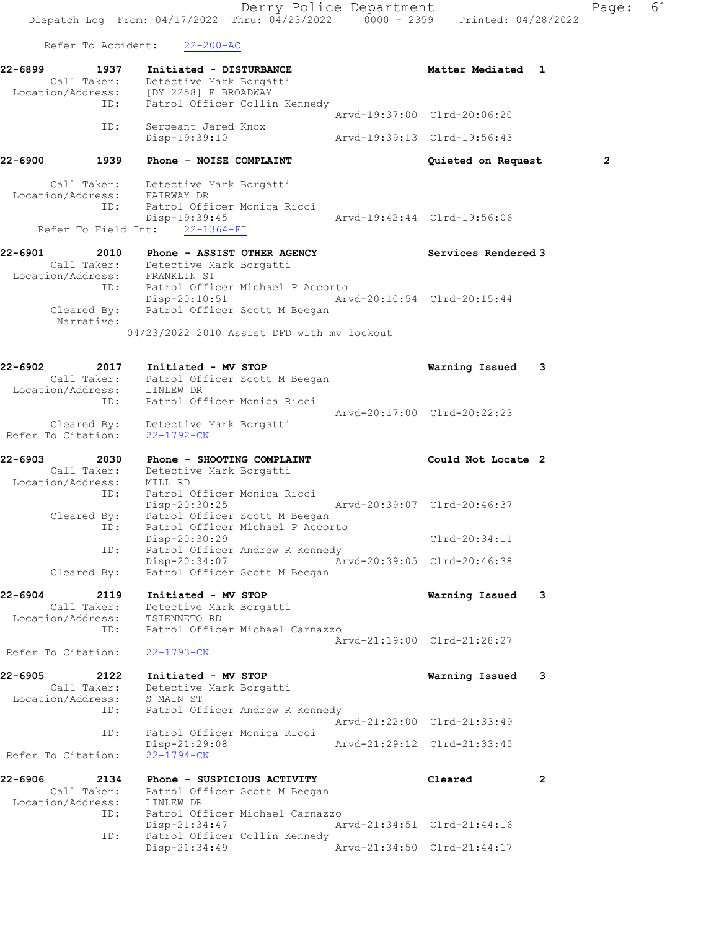Derry Police Department Fage: 61 Dispatch Log From: 04/17/2022 Thru: 04/23/2022 0000 - 2359 Printed: 04/28/2022 Refer To Accident: 22-200-AC 22-6899 1937 Initiated - DISTURBANCE 1988 Matter Mediated 1 Call Taker: Detective Mark Borgatti Location/Address: [DY 2258] E BROADWAY ID: Patrol Officer Collin Kennedy Arvd-19:37:00 Clrd-20:06:20 ID: Sergeant Jared Knox Disp-19:39:10 Arvd-19:39:13 Clrd-19:56:43 22-6900 1939 Phone - NOISE COMPLAINT Quieted on Request 2 Call Taker: Detective Mark Borgatti Location/Address: FAIRWAY DR ID: Patrol Officer Monica Ricci Disp-19:39:45 Arvd-19:42:44 Clrd-19:56:06 Refer To Field Int: 22-1364-FI 22-6901 2010 Phone - ASSIST OTHER AGENCY Services Rendered 3 Call Taker: Detective Mark Borgatti Location/Address: FRANKLIN ST ID: Patrol Officer Michael P Accorto Disp-20:10:51 Arvd-20:10:54 Clrd-20:15:44 Cleared By: Patrol Officer Scott M Beegan Narrative: 04/23/2022 2010 Assist DFD with mv lockout 22-6902 2017 Initiated - MV STOP Warning Issued 3 Call Taker: Patrol Officer Scott M Beegan Location/Address: LINLEW DR ID: Patrol Officer Monica Ricci Arvd-20:17:00 Clrd-20:22:23 Cleared By: Detective Mark Borgatti Refer To Citation: 22-1792-CN 22-6903 2030 Phone - SHOOTING COMPLAINT Could Not Locate 2 Call Taker: Detective Mark Borgatti Location/Address: MILL RD ID: Patrol Officer Monica Ricci Disp-20:30:25 Arvd-20:39:07 Clrd-20:46:37 Cleared By: Patrol Officer Scott M Beegan ID: Patrol Officer Michael P Accorto Disp-20:30:29 Clrd-20:34:11 ID: Patrol Officer Andrew R Kennedy Disp-20:34:07 Arvd-20:39:05 Clrd-20:46:38 Cleared By: Patrol Officer Scott M Beegan 22-6904 2119 Initiated - MV STOP Warning Issued 3 Call Taker: Detective Mark Borgatti Location/Address: TSIENNETO RD ID: Patrol Officer Michael Carnazzo Arvd-21:19:00 Clrd-21:28:27 Refer To Citation: 22-1793-CN 22-6905 2122 Initiated - MV STOP Warning Issued 3 Call Taker: Detective Mark Borgatti Location/Address: S MAIN ST ID: Patrol Officer Andrew R Kennedy Arvd-21:22:00 Clrd-21:33:49 ID: Patrol Officer Monica Ricci Disp-21:29:08 Arvd-21:29:12 Clrd-21:33:45 Refer To Citation: 22-1794-CN 22-6906 2134 Phone - SUSPICIOUS ACTIVITY Cleared 2 Call Taker: Patrol Officer Scott M Beegan Location/Address: LINLEW DR ID: Patrol Officer Michael Carnazzo<br>Disp-21:34:47 Ar Arvd-21:34:51 Clrd-21:44:16 ID: Patrol Officer Collin Kennedy Disp-21:34:49 Arvd-21:34:50 Clrd-21:44:17